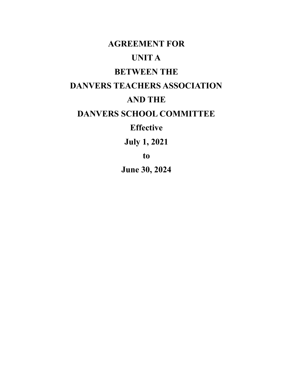# **AGREEMENT FOR UNIT A BETWEEN THE DANVERS TEACHERS ASSOCIATION AND THE DANVERS SCHOOL COMMITTEE Effective**

**July 1, 2021**

**to**

**June 30, 2024**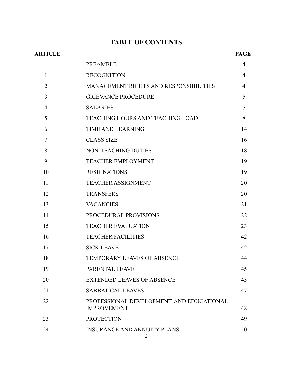# **TABLE OF CONTENTS**

|                                                                | <b>PAGE</b>    |
|----------------------------------------------------------------|----------------|
| <b>PREAMBLE</b>                                                | 4              |
| <b>RECOGNITION</b>                                             | $\overline{4}$ |
| MANAGEMENT RIGHTS AND RESPONSIBILITIES                         | 4              |
| <b>GRIEVANCE PROCEDURE</b>                                     | 5              |
| <b>SALARIES</b>                                                | 7              |
| <b>TEACHING HOURS AND TEACHING LOAD</b>                        | 8              |
| <b>TIME AND LEARNING</b>                                       | 14             |
| <b>CLASS SIZE</b>                                              | 16             |
| <b>NON-TEACHING DUTIES</b>                                     | 18             |
| <b>TEACHER EMPLOYMENT</b>                                      | 19             |
| <b>RESIGNATIONS</b>                                            | 19             |
| <b>TEACHER ASSIGNMENT</b>                                      | 20             |
| <b>TRANSFERS</b>                                               | 20             |
| <b>VACANCIES</b>                                               | 21             |
| PROCEDURAL PROVISIONS                                          | 22             |
| <b>TEACHER EVALUATION</b>                                      | 23             |
| <b>TEACHER FACILITIES</b>                                      | 42             |
| <b>SICK LEAVE</b>                                              | 42             |
| <b>TEMPORARY LEAVES OF ABSENCE</b>                             | 44             |
| PARENTAL LEAVE                                                 | 45             |
| <b>EXTENDED LEAVES OF ABSENCE</b>                              | 45             |
| <b>SABBATICAL LEAVES</b>                                       | 47             |
| PROFESSIONAL DEVELOPMENT AND EDUCATIONAL<br><b>IMPROVEMENT</b> | 48             |
| <b>PROTECTION</b>                                              | 49             |
| <b>INSURANCE AND ANNUITY PLANS</b>                             | 50             |
|                                                                |                |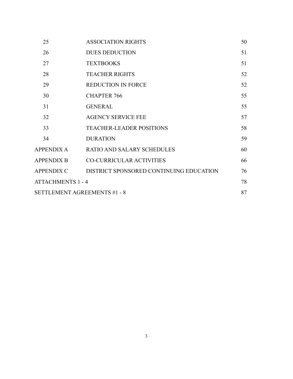| 25                                  | <b>ASSOCIATION RIGHTS</b>               | 50 |
|-------------------------------------|-----------------------------------------|----|
| 26                                  | <b>DUES DEDUCTION</b>                   | 51 |
| 27                                  | <b>TEXTBOOKS</b>                        | 51 |
| 28                                  | <b>TEACHER RIGHTS</b>                   | 52 |
| 29                                  | <b>REDUCTION IN FORCE</b>               | 52 |
| 30                                  | <b>CHAPTER 766</b>                      | 55 |
| 31                                  | <b>GENERAL</b>                          | 55 |
| 32                                  | <b>AGENCY SERVICE FEE</b>               | 57 |
| 33                                  | <b>TEACHER-LEADER POSITIONS</b>         | 58 |
| 34                                  | <b>DURATION</b>                         | 59 |
| APPENDIX A                          | <b>RATIO AND SALARY SCHEDULES</b>       | 60 |
| <b>APPENDIX B</b>                   | <b>CO-CURRICULAR ACTIVITIES</b>         | 66 |
| <b>APPENDIX C</b>                   | DISTRICT SPONSORED CONTINUING EDUCATION | 76 |
| <b>ATTACHMENTS 1 - 4</b>            |                                         | 78 |
| <b>SETTLEMENT AGREEMENTS #1 - 8</b> |                                         |    |
|                                     |                                         |    |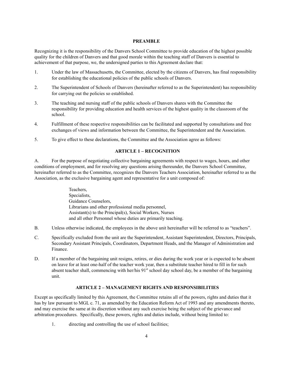# **PREAMBLE**

Recognizing it is the responsibility of the Danvers School Committee to provide education of the highest possible quality for the children of Danvers and that good morale within the teaching staff of Danvers is essential to achievement of that purpose, we, the undersigned parties to this Agreement declare that:

- 1. Under the law of Massachusetts, the Committee, elected by the citizens of Danvers, has final responsibility for establishing the educational policies of the public schools of Danvers.
- 2. The Superintendent of Schools of Danvers (hereinafter referred to as the Superintendent) has responsibility for carrying out the policies so established.
- 3. The teaching and nursing staff of the public schools of Danvers shares with the Committee the responsibility for providing education and health services of the highest quality in the classroom of the school.
- 4. Fulfillment of these respective responsibilities can be facilitated and supported by consultations and free exchanges of views and information between the Committee, the Superintendent and the Association.
- 5. To give effect to these declarations, the Committee and the Association agree as follows:

# **ARTICLE 1 – RECOGNITION**

A. For the purpose of negotiating collective bargaining agreements with respect to wages, hours, and other conditions of employment, and for resolving any questions arising thereunder, the Danvers School Committee, hereinafter referred to as the Committee, recognizes the Danvers Teachers Association, hereinafter referred to as the Association, as the exclusive bargaining agent and representative for a unit composed of:

> Teachers, Specialists, Guidance Counselors, Librarians and other professional media personnel, Assistant(s) to the Principal(s), Social Workers, Nurses and all other Personnel whose duties are primarily teaching.

- B. Unless otherwise indicated, the employees in the above unit hereinafter will be referred to as "teachers".
- C. Specifically excluded from the unit are the Superintendent, Assistant Superintendent, Directors, Principals, Secondary Assistant Principals, Coordinators, Department Heads, and the Manager of Administration and Finance.
- D. If a member of the bargaining unit resigns, retires, or dies during the work year or is expected to be absent on leave for at least one-half of the teacher work year, then a substitute teacher hired to fill in for such absent teacher shall, commencing with her/his 91<sup>st</sup> school day school day, be a member of the bargaining unit.

#### **ARTICLE 2 – MANAGEMENT RIGHTS AND RESPONSIBILITIES**

Except as specifically limited by this Agreement, the Committee retains all of the powers, rights and duties that it has by law pursuant to MGL c. 71, as amended by the Education Reform Act of 1993 and any amendments thereto, and may exercise the same at its discretion without any such exercise being the subject of the grievance and arbitration procedures. Specifically, these powers, rights and duties include, without being limited to:

1. directing and controlling the use of school facilities;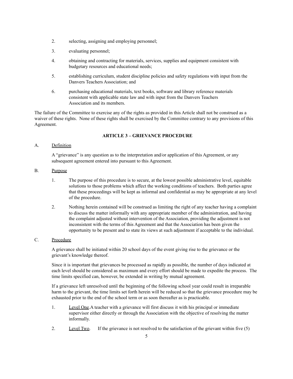- 2. selecting, assigning and employing personnel;
- 3. evaluating personnel;
- 4. obtaining and contracting for materials, services, supplies and equipment consistent with budgetary resources and educational needs;
- 5. establishing curriculum, student discipline policies and safety regulations with input from the Danvers Teachers Association; and
- 6. purchasing educational materials, text books, software and library reference materials consistent with applicable state law and with input from the Danvers Teachers Association and its members.

The failure of the Committee to exercise any of the rights as provided in this Article shall not be construed as a waiver of these rights. None of these rights shall be exercised by the Committee contrary to any provisions of this Agreement.

# **ARTICLE 3 – GRIEVANCE PROCEDURE**

# A. Definition

A "grievance" is any question as to the interpretation and/or application of this Agreement, or any subsequent agreement entered into pursuant to this Agreement.

#### B. Purpose

- 1. The purpose of this procedure is to secure, at the lowest possible administrative level, equitable solutions to those problems which affect the working conditions of teachers. Both parties agree that these proceedings will be kept as informal and confidential as may be appropriate at any level of the procedure.
- 2. Nothing herein contained will be construed as limiting the right of any teacher having a complaint to discuss the matter informally with any appropriate member of the administration, and having the complaint adjusted without intervention of the Association, providing the adjustment is not inconsistent with the terms of this Agreement and that the Association has been given the opportunity to be present and to state its views at such adjustment if acceptable to the individual.

# C. Procedure

A grievance shall be initiated within 20 school days of the event giving rise to the grievance or the grievant's knowledge thereof.

Since it is important that grievances be processed as rapidly as possible, the number of days indicated at each level should be considered as maximum and every effort should be made to expedite the process. The time limits specified can, however, be extended in writing by mutual agreement.

If a grievance left unresolved until the beginning of the following school year could result in irreparable harm to the grievant, the time limits set forth herein will be reduced so that the grievance procedure may be exhausted prior to the end of the school term or as soon thereafter as is practicable.

- 1. Level One.A teacher with a grievance will first discuss it with his principal or immediate supervisor either directly or through the Association with the objective of resolving the matter informally.
- 2. Level Two. If the grievance is not resolved to the satisfaction of the grievant within five (5)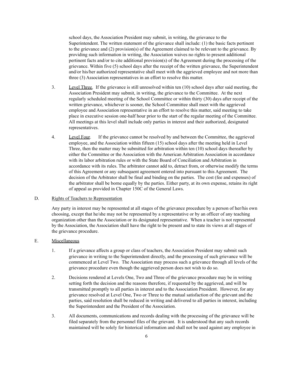school days, the Association President may submit, in writing, the grievance to the Superintendent. The written statement of the grievance shall include: (1) the basic facts pertinent to the grievance and (2) provision(s) of the Agreement claimed to be relevant to the grievance. By providing such information in writing, the Association waives no rights to present additional pertinent facts and/or to cite additional provision(s) of the Agreement during the processing of the grievance. Within five (5) school days after the receipt of the written grievance, the Superintendent and/or his/her authorized representative shall meet with the aggrieved employee and not more than three (3) Association representatives in an effort to resolve this matter.

- 3. Level Three. If the grievance is still unresolved within ten (10) school days after said meeting, the Association President may submit, in writing, the grievance to the Committee. At the next regularly scheduled meeting of the School Committee or within thirty (30) days after receipt of the written grievance, whichever is sooner, the School Committee shall meet with the aggrieved employee and Association representative in an effort to resolve this matter, said meeting to take place in executive session one-half hour prior to the start of the regular meeting of the Committee. All meetings at this level shall include only parties in interest and their authorized, designated representatives.
- 4. Level Four. If the grievance cannot be resolved by and between the Committee, the aggrieved employee, and the Association within fifteen (15) school days after the meeting held in Level Three, then the matter may be submitted for arbitration within ten (10) school days thereafter by either the Committee or the Association with the American Arbitration Association in accordance with its labor arbitration rules or with the State Board of Conciliation and Arbitration in accordance with its rules. The arbitrator cannot add to, detract from, or otherwise modify the terms of this Agreement or any subsequent agreement entered into pursuant to this Agreement. The decision of the Arbitrator shall be final and binding on the parties. The cost (fee and expenses) of the arbitrator shall be borne equally by the parties. Either party, at its own expense, retains its right of appeal as provided in Chapter 150C of the General Laws.

#### D. Rights of Teachers to Representation

Any party in interest may be represented at all stages of the grievance procedure by a person of her/his own choosing, except that he/she may not be represented by a representative or by an officer of any teaching organization other than the Association or its designated representative. When a teacher is not represented by the Association, the Association shall have the right to be present and to state its views at all stages of the grievance procedure.

# E. Miscellaneous

- 1. If a grievance affects a group or class of teachers, the Association President may submit such grievance in writing to the Superintendent directly, and the processing of such grievance will be commenced at Level Two. The Association may process such a grievance through all levels of the grievance procedure even though the aggrieved person does not wish to do so.
- 2. Decisions rendered at Levels One, Two and Three of the grievance procedure may be in writing setting forth the decision and the reasons therefore, if requested by the aggrieved, and will be transmitted promptly to all parties in interest and to the Association President. However, for any grievance resolved at Level One, Two or Three to the mutual satisfaction of the grievant and the parties, said resolution shall be reduced in writing and delivered to all parties in interest, including the Superintendent and the President of the Association.
- 3. All documents, communications and records dealing with the processing of the grievance will be filed separately from the personnel files of the grievant. It is understood that any such records maintained will be solely for historical information and shall not be used against any employee in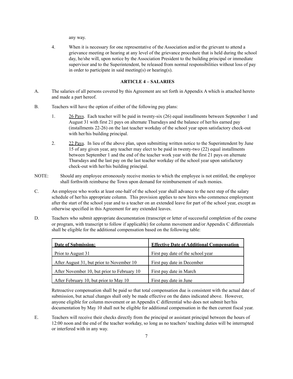any way.

4. When it is necessary for one representative of the Association and/or the grievant to attend a grievance meeting or hearing at any level of the grievance procedure that is held during the school day, he/she will, upon notice by the Association President to the building principal or immediate supervisor and to the Superintendent, be released from normal responsibilities without loss of pay in order to participate in said meeting(s) or hearing(s).

# **ARTICLE 4 – SALARIES**

- A. The salaries of all persons covered by this Agreement are set forth in Appendix A which is attached hereto and made a part hereof.
- B. Teachers will have the option of either of the following pay plans:
	- 1. 26 Pays. Each teacher will be paid in twenty-six (26) equal installments between September 1 and August 31 with first 21 pays on alternate Thursdays and the balance of her/his earned pay (installments 22-26) on the last teacher workday of the school year upon satisfactory check-out with her/his building principal.
	- 2. 22 Pays. In lieu of the above plan, upon submitting written notice to the Superintendent by June 15 of any given year, any teacher may elect to be paid in twenty-two (22) equal installments between September 1 and the end of the teacher work year with the first 21 pays on alternate Thursdays and the last pay on the last teacher workday of the school year upon satisfactory check-out with her/his building principal.
- NOTE: Should any employee erroneously receive monies to which the employee is not entitled, the employee shall forthwith reimburse the Town upon demand for reimbursement of such monies.
- C. An employee who works at least one-half of the school year shall advance to the next step of the salary schedule of her/his appropriate column. This provision applies to new hires who commence employment after the start of the school year and to a teacher on an extended leave for part of the school year, except as otherwise specified in this Agreement for any extended leaves.
- D. Teachers who submit appropriate documentation (transcript or letter of successful completion of the course or program, with transcript to follow if applicable) for column movement and/or Appendix C differentials shall be eligible for the additional compensation based on the following table:

| <b>Date of Submission:</b>                  | <b>Effective Date of Additional Compensation</b> |
|---------------------------------------------|--------------------------------------------------|
| Prior to August 31                          | First pay date of the school year                |
| After August 31, but prior to November 10   | First pay date in December                       |
| After November 10, but prior to February 10 | First pay date in March                          |
| After February 10, but prior to May 10      | First pay date in June                           |

Retroactive compensation shall be paid so that total compensation due is consistent with the actual date of submission, but actual changes shall only be made effective on the dates indicated above. However, anyone eligible for column movement or an Appendix C differential who does not submit her/his documentation by May 10 shall not be eligible for additional compensation in the then current fiscal year.

E. Teachers will receive their checks directly from the principal or assistant principal between the hours of 12:00 noon and the end of the teacher workday, so long as no teachers' teaching duties will be interrupted or interfered with in any way.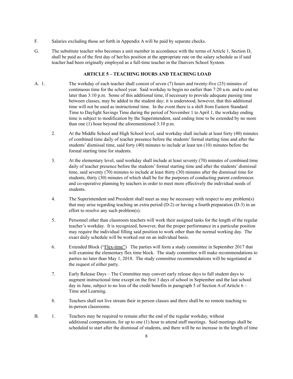- F. Salaries excluding those set forth in Appendix A will be paid by separate checks.
- G. The substitute teacher who becomes a unit member in accordance with the terms of Article 1, Section D, shall be paid as of the first day of her/his position at the appropriate rate on the salary schedule as if said teacher had been originally employed as a full-time teacher in the Danvers School System.

# **ARTICLE 5 – TEACHING HOURS AND TEACHING LOAD**

- A. 1. The workday of each teacher shall consist of seven (7) hours and twenty-five (25) minutes of continuous time for the school year. Said workday to begin no earlier than 7:20 a.m. and to end no later than 3:10 p.m. Some of this additional time, if necessary to provide adequate passing time between classes, may be added to the student day; it is understood, however, that this additional time will not be used as instructional time. In the event there is a shift from Eastern Standard Time to Daylight Savings Time during the period of November 1 to April 1, the workday ending time is subject to modification by the Superintendent, said ending time to be extended by no more than one (1) hour beyond the aforementioned 3:10 p.m.
	- 2. At the Middle School and High School level, said workday shall include at least forty (40) minutes of combined time daily of teacher presence before the students' formal starting time and after the students' dismissal time, said forty (40) minutes to include at least ten (10) minutes before the formal starting time for students.
	- 3. At the elementary level, said workday shall include at least seventy (70) minutes of combined time daily of teacher presence before the students' formal starting time and after the students' dismissal time, said seventy (70) minutes to include at least thirty (30) minutes after the dismissal time for students, thirty (30) minutes of which shall be for the purposes of conducting parent conferences and co-operative planning by teachers in order to meet more effectively the individual needs of students.
	- 4. The Superintendent and President shall meet as may be necessary with respect to any problem(s) that may arise regarding teaching an extra period (D-2) or having a fourth preparation (D-3) in an effort to resolve any such problem(s).
	- 5. Personnel other than classroom teachers will work their assigned tasks for the length of the regular teacher's workday. It is recognized, however, that the proper performance in a particular position may require the individual filling said position to work other than the normal working day. The exact daily schedule will be worked out on an individual basis.
	- 6. Extended Block ("Flex-time") The parties will form a study committee in September 2017 that will examine the elementary flex time block. The study committee will make recommendations to parties no later than May 1, 2018. The study committee recommendations will be negotiated at the request of either party.
	- 7. Early Release Days The Committee may convert early release days to full student days to augment instructional time except on the first 3 days of school in September and the last school day in June, subject to no loss of the credit benefits in paragraph 5 of Section A of Article  $6 -$ Time and Learning.
	- 8. Teachers shall not live stream their in person classes and there shall be no remote teaching to in-person classrooms.
- B. 1. Teachers may be required to remain after the end of the regular workday, without additional compensation, for up to one (1) hour to attend staff meetings. Said meetings shall be scheduled to start after the dismissal of students, and there will be no increase in the length of time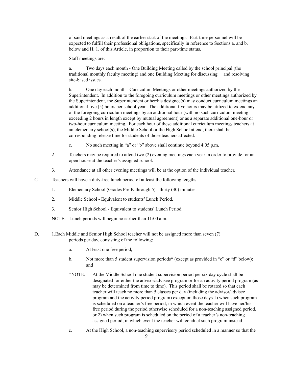of said meetings as a result of the earlier start of the meetings. Part-time personnel will be expected to fulfill their professional obligations, specifically in reference to Sections a. and b. below and H. 1. of this Article, in proportion to their part-time status.

Staff meetings are:

a. Two days each month - One Building Meeting called by the school principal (the traditional monthly faculty meeting) and one Building Meeting for discussing and resolving site-based issues.

b. One day each month - Curriculum Meetings or other meetings authorized by the Superintendent. In addition to the foregoing curriculum meetings or other meetings authorized by the Superintendent, the Superintendent or her/his designee(s) may conduct curriculum meetings an additional five (5) hours per school year. The additional five hours may be utilized to extend any of the foregoing curriculum meetings by an additional hour (with no such curriculum meeting exceeding 2 hours in length except by mutual agreement) or as a separate additional one-hour or two-hour curriculum meeting. For each hour of these additional curriculum meetings teachers at an elementary school(s), the Middle School or the High School attend, there shall be corresponding release time for students of those teachers affected.

- c. No such meeting in "a" or "b" above shall continue beyond 4:05 p.m.
- 2. Teachers may be required to attend two (2) evening meetings each year in order to provide for an open house at the teacher's assigned school.
- 3. Attendance at all other evening meetings will be at the option of the individual teacher.
- C. Teachers will have a duty-free lunch period of at least the following lengths:
	- 1. Elementary School (Grades Pre-K through 5) thirty (30) minutes.
	- 2. Middle School Equivalent to students' Lunch Period.
	- 3. Senior High School Equivalent to students' Lunch Period.
	- NOTE: Lunch periods will begin no earlier than 11:00 a.m.
- D. 1.Each Middle and Senior High School teacher will not be assigned more than seven (7) periods per day, consisting of the following:
	- a. At least one free period;
	- b. Not more than 5 student supervision periods\* (except as provided in "c" or "d" below); and
	- \*NOTE: At the Middle School one student supervision period per six day cycle shall be designated for either the advisor/advisee program or for an activity period program (as may be determined from time to time). This period shall be rotated so that each teacher will teach no more than 5 classes per day (including the advisor/advisee program and the activity period program) except on those days 1) when such program is scheduled on a teacher's free period, in which event the teacher will have her/his free period during the period otherwise scheduled for a non-teaching assigned period, or 2) when such program is scheduled on the period of a teacher's non-teaching assigned period, in which event the teacher will conduct such program instead.
	- c. At the High School, a non-teaching supervisory period scheduled in a manner so that the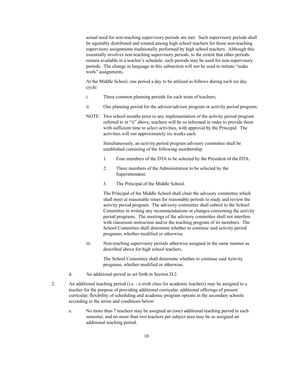actual need for non-teaching supervisory periods are met. Such supervisory periods shall be equitably distributed and rotated among high school teachers for those non-teaching supervisory assignments traditionally performed by high school teachers. Although this essentially involves non-teaching supervisory periods, to the extent that other periods remain available in a teacher's schedule, such periods may be used for non-supervisory periods. The change in language in this subsection will not be used to initiate "make work" assignments.

At the Middle School, one period a day to be utilized as follows during each six day cycle:

- i. Three common planning periods for each team of teachers;
- ii. One planning period for the advisor/advisee program or activity period program;
- NOTE: Two school months prior to any implementation of the activity period program referred to in "ii" above, teachers will be so informed in order to provide them with sufficient time to select activities, with approval by the Principal. The activities will run approximately six weeks each.

Simultaneously, an activity period program advisory committee shall be established consisting of the following membership:

- 1. Four members of the DTA to be selected by the President of the DTA.
- 2. Three members of the Administration to be selected by the Superintendent.
- 3. The Principal of the Middle School.

The Principal of the Middle School shall chair the advisory committee which shall meet at reasonable times for reasonable periods to study and review the activity period program. The advisory committee shall submit to the School Committee in writing any recommendations or changes concerning the activity period programs. The meetings of the advisory committee shall not interfere with classroom instruction and/or the teaching program of its members. The School Committee shall determine whether to continue said activity period programs, whether modified or otherwise.

iii. Non-teaching supervisory periods otherwise assigned in the same manner as described above for high school teachers.

> The School Committee shall determine whether to continue said Activity programs, whether modified or otherwise.

- d. An additional period as set forth in Section D.2.
- 2. An additional teaching period (i.e. a sixth class for academic teachers) may be assigned to a teacher for the purpose of providing additional curricular, additional offerings of present curricular, flexibility of scheduling and academic program options in the secondary schools according to the terms and conditions below:
	- a. No more than 7 teachers may be assigned an (one) additional teaching period in each semester, and no more than two teachers per subject area may be so assigned an additional teaching period.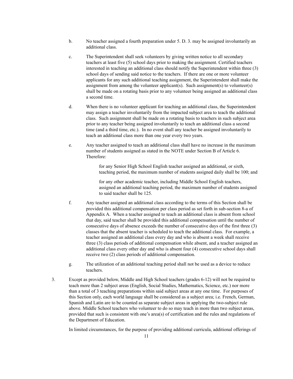- b. No teacher assigned a fourth preparation under 5. D. 3. may be assigned involuntarily an additional class.
- c. The Superintendent shall seek volunteers by giving written notice to all secondary teachers at least five (5) school days prior to making the assignment. Certified teachers interested in teaching an additional class should notify the Superintendent within three (3) school days of sending said notice to the teachers. If there are one or more volunteer applicants for any such additional teaching assignment, the Superintendent shall make the assignment from among the volunteer applicant(s). Such assignment(s) to volunteer(s) shall be made on a rotating basis prior to any volunteer being assigned an additional class a second time.
- d. When there is no volunteer applicant for teaching an additional class, the Superintendent may assign a teacher involuntarily from the impacted subject area to teach the additional class. Such assignment shall be made on a rotating basis to teachers in such subject area prior to any teacher being assigned involuntarily to teach an additional class a second time (and a third time, etc.). In no event shall any teacher be assigned involuntarily to teach an additional class more than one year every two years.
- e. Any teacher assigned to teach an additional class shall have no increase in the maximum number of students assigned as stated in the NOTE under Section B of Article 6. Therefore:

for any Senior High School English teacher assigned an additional, or sixth, teaching period, the maximum number of students assigned daily shall be 100; and

for any other academic teacher, including Middle School English teachers, assigned an additional teaching period, the maximum number of students assigned to said teacher shall be 125.

- f. Any teacher assigned an additional class according to the terms of this Section shall be provided this additional compensation per class period as set forth in sub-section 8-a of Appendix A. When a teacher assigned to teach an additional class is absent from school that day, said teacher shall be provided this additional compensation until the number of consecutive days of absence exceeds the number of consecutive days of the first three (3) classes that the absent teacher is scheduled to teach the additional class. For example, a teacher assigned an additional class every day and who is absent a week shall receive three (3) class periods of additional compensation while absent, and a teacher assigned an additional class every other day and who is absent four (4) consecutive school days shall receive two (2) class periods of additional compensation.
- g. The utilization of an additional teaching period shall not be used as a device to reduce teachers.
- 3. Except as provided below, Middle and High School teachers (grades 6-12) will not be required to teach more than 2 subject areas (English, Social Studies, Mathematics, Science, etc.) nor more than a total of 3 teaching preparations within said subject areas at any one time. For purposes of this Section only, each world language shall be considered as a subject area; i.e. French, German, Spanish and Latin are to be counted as separate subject areas in applying the two-subject rule above. Middle School teachers who volunteer to do so may teach in more than two subject areas, provided that such is consistent with one's area(s) of certification and the rules and regulations of the Department of Education.

In limited circumstances, for the purpose of providing additional curricula, additional offerings of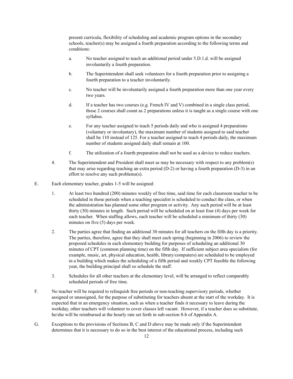present curricula, flexibility of scheduling and academic program options in the secondary schools, teacher(s) may be assigned a fourth preparation according to the following terms and conditions:

- a. No teacher assigned to teach an additional period under 5.D.1.d. will be assigned involuntarily a fourth preparation.
- b. The Superintendent shall seek volunteers for a fourth preparation prior to assigning a fourth preparation to a teacher involuntarily.
- c. No teacher will be involuntarily assigned a fourth preparation more than one year every two years.
- d. If a teacher has two courses (e.g. French IV and V) combined in a single class period, those 2 courses shall count as 2 preparations unless it is taught as a single course with one syllabus.
- e. For any teacher assigned to teach 5 periods daily and who is assigned 4 preparations (voluntary or involuntary), the maximum number of students assigned to said teacher shall be 110 instead of 125. For a teacher assigned to teach 4 periods daily, the maximum number of students assigned daily shall remain at 100.
- f. The utilization of a fourth preparation shall not be used as a device to reduce teachers.
- 4. The Superintendent and President shall meet as may be necessary with respect to any problem(s) that may arise regarding teaching an extra period (D-2) or having a fourth preparation (D-3) in an effort to resolve any such problems(s).
- E. Each elementary teacher, grades 1-5 will be assigned:
	- 1. At least two hundred (200) minutes weekly of free time, said time for each classroom teacher to be scheduled in those periods when a teaching specialist is scheduled to conduct the class, or when the administration has planned some other program or activity. Any such period will be at least thirty (30) minutes in length. Such period will be scheduled on at least four (4) days per week for each teacher. When staffing allows, each teacher will be scheduled a minimum of thirty (30) minutes on five (5) days per week.
	- 2. The parties agree that finding an additional 30 minutes for all teachers on the fifth day is a priority. The parties, therefore, agree that they shall meet each spring (beginning in 2006) to review the proposed schedules in each elementary building for purposes of scheduling an additional 30 minutes of CPT (common planning time) on the fifth day. If sufficient subject area specialists (for example, music, art, physical education, health, library/computers) are scheduled to be employed in a building which makes the scheduling of a fifth period and weekly CPT feasible the following year, the building principal shall so schedule the staff.
	- 3. Schedules for all other teachers at the elementary level, will be arranged to reflect comparably scheduled periods of free time.
- F. No teacher will be required to relinquish free periods or non-teaching supervisory periods, whether assigned or unassigned, for the purpose of substituting for teachers absent at the start of the workday. It is expected that in an emergency situation, such as when a teacher finds it necessary to leave during the workday, other teachers will volunteer to cover classes left vacant. However, if a teacher does so substitute, he/she will be reimbursed at the hourly rate set forth in sub-section 8-b of Appendix A.
- G. Exceptions to the provisions of Sections B, C and D above may be made only if the Superintendent determines that it is necessary to do so in the best interest of the educational process, including such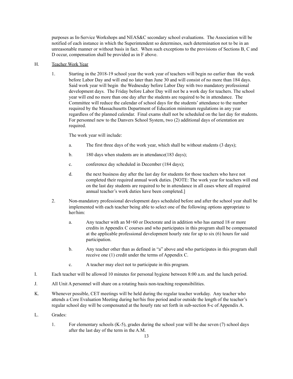purposes as In-Service Workshops and NEAS&C secondary school evaluations. The Association will be notified of each instance in which the Superintendent so determines, such determination not to be in an unreasonable manner or without basis in fact. When such exceptions to the provisions of Sections B, C and D occur, compensation shall be provided as in F above.

# H. Teacher Work Year

1. Starting in the 2018-19 school year the work year of teachers will begin no earlier than the week before Labor Day and will end no later than June 30 and will consist of no more than 184 days. Said work year will begin the Wednesday before Labor Day with two mandatory professional development days. The Friday before Labor Day will not be a work day for teachers. The school year will end no more than one day after the students are required to be in attendance. The Committee will reduce the calendar of school days for the students' attendance to the number required by the Massachusetts Department of Education minimum regulations in any year regardless of the planned calendar. Final exams shall not be scheduled on the last day for students. For personnel new to the Danvers School System, two (2) additional days of orientation are required.

The work year will include:

- a. The first three days of the work year, which shall be without students (3 days);
- b. 180 days when students are in attendance (183 days);
- c. conference day scheduled in December (184 days);
- d. the next business day after the last day for students for those teachers who have not completed their required annual work duties. [NOTE: The work year for teachers will end on the last day students are required to be in attendance in all cases where all required annual teacher's work duties have been completed.]
- 2. Non-mandatory professional development days scheduled before and after the school year shall be implemented with each teacher being able to select one of the following options appropriate to her/him:
	- a. Any teacher with an M+60 or Doctorate and in addition who has earned 18 or more credits in Appendix C courses and who participates in this program shall be compensated at the applicable professional development hourly rate for up to six (6) hours for said participation.
	- b. Any teacher other than as defined in "a" above and who participates in this program shall receive one (1) credit under the terms of Appendix C.
	- c. A teacher may elect not to participate in this program.
- I. Each teacher will be allowed 10 minutes for personal hygiene between 8:00 a.m. and the lunch period.
- J. All Unit A personnel will share on a rotating basis non-teaching responsibilities.
- K. Whenever possible, CET meetings will be held during the regular teacher workday. Any teacher who attends a Core Evaluation Meeting during her/his free period and/or outside the length of the teacher's regular school day will be compensated at the hourly rate set forth in sub-section 8-c of Appendix A.
- L. Grades:
	- 1. For elementary schools (K-5), grades during the school year will be due seven (7) school days after the last day of the term in the A.M.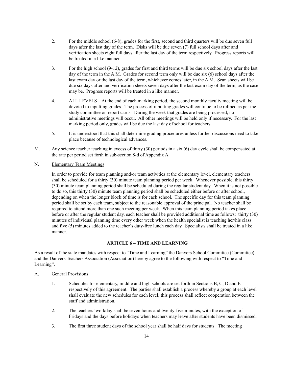- 2. For the middle school (6-8), grades for the first, second and third quarters will be due seven full days after the last day of the term. Disks will be due seven (7) full school days after and verification sheets eight full days after the last day of the term respectively. Progress reports will be treated in a like manner.
- 3. For the high school (9-12), grades for first and third terms will be due six school days after the last day of the term in the A.M. Grades for second term only will be due six (6) school days after the last exam day or the last day of the term, whichever comes later, in the A.M. Scan sheets will be due six days after and verification sheets seven days after the last exam day of the term, as the case may be. Progress reports will be treated in a like manner.
- 4. ALL LEVELS At the end of each marking period, the second monthly faculty meeting will be devoted to inputting grades. The process of inputting grades will continue to be refined as per the study committee on report cards. During the week that grades are being processed, no administrative meetings will occur. All other meetings will be held only if necessary. For the last marking period only, grades will be due the last day of school for teachers.
- 5. It is understood that this shall determine grading procedures unless further discussions need to take place because of technological advances.
- M. Any science teacher teaching in excess of thirty (30) periods in a six (6) day cycle shall be compensated at the rate per period set forth in sub-section 8-d of Appendix A.

# N. Elementary Team Meetings

In order to provide for team planning and/or team activities at the elementary level, elementary teachers shall be scheduled for a thirty (30) minute team planning period per week. Whenever possible, this thirty (30) minute team planning period shall be scheduled during the regular student day. When it is not possible to do so, this thirty (30) minute team planning period shall be scheduled either before or after school, depending on when the longer block of time is for each school. The specific day for this team planning period shall be set by each team, subject to the reasonable approval of the principal. No teacher shall be required to attend more than one such meeting per week. When this team planning period takes place before or after the regular student day, each teacher shall be provided additional time as follows: thirty (30) minutes of individual planning time every other week when the health specialist is teaching her/his class and five (5) minutes added to the teacher's duty-free lunch each day. Specialists shall be treated in a like manner.

#### **ARTICLE 6 – TIME AND LEARNING**

As a result of the state mandates with respect to "Time and Learning" the Danvers School Committee (Committee) and the Danvers Teachers Association (Association) hereby agree to the following with respect to "Time and Learning".

### A. General Provisions

- 1. Schedules for elementary, middle and high schools are set forth in Sections B, C, D and E respectively of this agreement. The parties shall establish a process whereby a group at each level shall evaluate the new schedules for each level; this process shall reflect cooperation between the staff and administration.
- 2. The teachers' workday shall be seven hours and twenty-five minutes, with the exception of Fridays and the days before holidays when teachers may leave after students have been dismissed.
- 3. The first three student days of the school year shall be half days for students. The meeting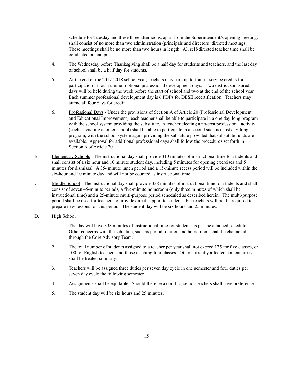schedule for Tuesday and these three afternoons, apart from the Superintendent's opening meeting, shall consist of no more than two administration (principals and directors) directed meetings. These meetings shall be no more than two hours in length. All self-directed teacher time shall be conducted on campus.

- 4. The Wednesday before Thanksgiving shall be a half day for students and teachers, and the last day of school shall be a half day for students.
- 5. At the end of the 2017-2018 school year, teachers may earn up to four in-service credits for participation in four summer optional professional development days. Two district sponsored days will be held during the week before the start of school and two at the end of the school year. Each summer professional development day is 6 PDPs for DESE recertification. Teachers may attend all four days for credit.
- 6. Professional Days Under the provisions of Section A of Article 20 (Professional Development and Educational Improvement), each teacher shall be able to participate in a one day-long program with the school system providing the substitute. A teacher electing a no-cost professional activity (such as visiting another school) shall be able to participate in a second such no-cost day-long program, with the school system again providing the substitute provided that substitute funds are available. Approval for additional professional days shall follow the procedures set forth in Section A of Article 20.
- B. Elementary Schools The instructional day shall provide 310 minutes of instructional time for students and shall consist of a six hour and 10 minute student day, including 5 minutes for opening exercises and 5 minutes for dismissal. A 35- minute lunch period and a 15-minute recess period will be included within the six-hour and 10 minute day and will not be counted as instructional time.
- C. Middle School The instructional day shall provide 338 minutes of instructional time for students and shall consist of seven 45-minute periods, a five-minute homeroom (only three minutes of which shall be instructional time) and a 25-minute multi-purpose period scheduled as described herein. The multi-purpose period shall be used for teachers to provide direct support to students, but teachers will not be required to prepare new lessons for this period. The student day will be six hours and 25 minutes.
- D. High School
	- 1. The day will have 338 minutes of instructional time for students as per the attached schedule. Other concerns with the schedule, such as period rotation and homeroom, shall be channeled through the Core Advisory Team.
	- 2. The total number of students assigned to a teacher per year shall not exceed 125 for five classes, or 100 for English teachers and those teaching four classes. Other currently affected content areas shall be treated similarly.
	- 3. Teachers will be assigned three duties per seven day cycle in one semester and four duties per seven day cycle the following semester.
	- 4. Assignments shall be equitable. Should there be a conflict, senior teachers shall have preference.
	- 5. The student day will be six hours and 25 minutes.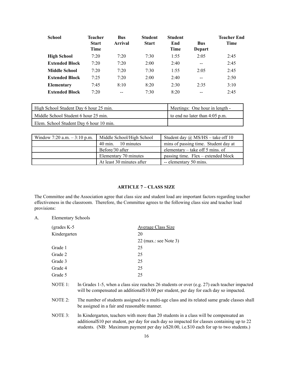| <b>School</b>         | <b>Teacher</b><br><b>Start</b><br>Time | <b>Bus</b><br>Arrival | <b>Student</b><br><b>Start</b> | <b>Student</b><br>End<br>Time | <b>Bus</b><br>Depart | Teacher End<br>Time |
|-----------------------|----------------------------------------|-----------------------|--------------------------------|-------------------------------|----------------------|---------------------|
| <b>High School</b>    | 7:20                                   | 7:20                  | 7:30                           | 1:55                          | 2:05                 | 2:45                |
| <b>Extended Block</b> | 7:20                                   | 7:20                  | 2:00                           | 2:40                          | $- -$                | 2:45                |
| <b>Middle School</b>  | 7:20                                   | 7:20                  | 7:30                           | 1:55                          | 2:05                 | 2:45                |
| <b>Extended Block</b> | 7:25                                   | 7:20                  | 2:00                           | 2:40                          | $-$                  | 2:50                |
| Elementary            | 7:45                                   | 8:10                  | 8:20                           | 2:30                          | 2:35                 | 3:10                |
| <b>Extended Block</b> | 7:20                                   | --                    | 7:30                           | 8:20                          | --                   | 2:45                |

| High School Student Day 6 hour 25 min.  | Meetings: One hour in length - |
|-----------------------------------------|--------------------------------|
| Middle School Student 6 hour 25 min.    | to end no later than 4:05 p.m. |
| Elem. School Student Day 6 hour 10 min. |                                |

| Window 7:20 a.m. $-3:10$ p.m. | Middle School/High School | Student day $\omega$ MS/HS – take off 10 |
|-------------------------------|---------------------------|------------------------------------------|
|                               | 40 min. 10 minutes        | mins of passing time. Student day at     |
|                               | Before/30 after           | elementary $-$ take off 5 mins. of       |
|                               | Elementary 70 minutes     | passing time. $Flex$ – extended block    |
|                               | At least 30 minutes after | -- elementary 50 mins.                   |

# **ARTICLE 7 – CLASS SIZE**

The Committee and the Association agree that class size and student load are important factors regarding teacher effectiveness in the classroom. Therefore, the Committee agrees to the following class size and teacher load provisions:

A. Elementary Schools

| (grades $K-5$ | <b>Average Class Size</b> |
|---------------|---------------------------|
| Kindergarten  | 20                        |
|               | 22 (max.: see Note 3)     |
| Grade 1       | 25                        |
| Grade 2       | 25                        |
| Grade 3       | 25                        |
| Grade 4       | 25                        |
| Grade 5       | 25                        |
|               |                           |

- NOTE 1: In Grades 1-5, when a class size reaches 26 students or over (e.g. 27) each teacher impacted will be compensated an additional\$10.00 per student, per day for each day so impacted.
- NOTE 2: The number of students assigned to a multi-age class and its related same grade classes shall be assigned in a fair and reasonable manner.
- NOTE 3: In Kindergarten, teachers with more than 20 students in a class will be compensated an additional\$10 per student, per day for each day so impacted for classes containing up to 22 students. (NB: Maximum payment per day is\$20.00, i.e.\$10 each for up to two students.)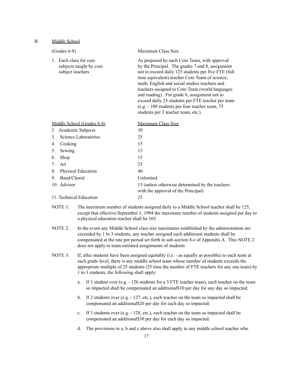#### B. Middle School

| $(Grades 6-8)$                                                                | Maximum Class Size                                                                                                                                                                                                                                                                                                                                                                                                                                                                                          |
|-------------------------------------------------------------------------------|-------------------------------------------------------------------------------------------------------------------------------------------------------------------------------------------------------------------------------------------------------------------------------------------------------------------------------------------------------------------------------------------------------------------------------------------------------------------------------------------------------------|
| Each class for core<br>$1_{-}$<br>subjects taught by core<br>subject teachers | As proposed by each Core Team, with approval<br>by the Principal. The grades 7 and 8, assignment<br>not to exceed daily 125 students per five FTE (full<br>time equivalent) teacher Core Team of science,<br>math, English and social studies teachers and<br>teachers assigned to Core Team (world languages<br>and reading). For grade 6, assignment not to<br>exceed daily 25 students per FTE teacher per team<br>(e.g. - 100 students per four teacher team, 75<br>students per 3 teacher team, etc.). |
| Middle School (Grades 6-8)                                                    | Maximum Class Size                                                                                                                                                                                                                                                                                                                                                                                                                                                                                          |
| Academic Subjects<br>2                                                        | 30                                                                                                                                                                                                                                                                                                                                                                                                                                                                                                          |
| Science Laboratories<br>$\mathcal{E}$                                         | 25                                                                                                                                                                                                                                                                                                                                                                                                                                                                                                          |
| Cooking<br>4.                                                                 | 15                                                                                                                                                                                                                                                                                                                                                                                                                                                                                                          |
| Sewing<br>5.                                                                  | 15                                                                                                                                                                                                                                                                                                                                                                                                                                                                                                          |
| Shop<br>6.                                                                    | 15                                                                                                                                                                                                                                                                                                                                                                                                                                                                                                          |
| 7.<br>Art                                                                     | 25                                                                                                                                                                                                                                                                                                                                                                                                                                                                                                          |
| Physical Education<br>8.                                                      | 40                                                                                                                                                                                                                                                                                                                                                                                                                                                                                                          |
| Band/Choral<br>9.                                                             | Unlimited                                                                                                                                                                                                                                                                                                                                                                                                                                                                                                   |
| 10. Advisor                                                                   | 15 (unless otherwise determined by the teachers<br>with the approval of the Principal)                                                                                                                                                                                                                                                                                                                                                                                                                      |
| 11. Technical Education                                                       | 25                                                                                                                                                                                                                                                                                                                                                                                                                                                                                                          |

NOTE 1: The maximum number of students assigned daily to a Middle School teacher shall be 125, except that effective September 1, 1994 the maximum number of students assigned per day to a physical education teacher shall be 165.

- NOTE 2: In the event any Middle School class size maximums established by the administration are exceeded by 1 to 3 students, any teacher assigned such additional students shall be compensated at the rate per period set forth in sub-section 8-e of Appendix A. This NOTE 2 does not apply to team-initiated assignments of students.
- NOTE 3: If, after students have been assigned equitably (i.e. as equally as possible) to each team at each grade level, there is any middle school team whose number of students exceeds the appropriate multiple of 25 students (25 time the number of FTE teachers for any one team) by 1 to 3 students, the following shall apply:
	- a. If 1 student over (e.g. 126 students for a 5 FTE teacher team), each teacher on the team so impacted shall be compensated an additional\$10 per day for any day so impacted;
	- b. If 2 students over (e.g. 127, etc.), each teacher on the team so impacted shall be compensated an additional\$20 per day for each day so impacted;
	- c. If 3 students over (e.g. 128, etc.), each teacher on the team so impacted shall be compensated an additional\$30 per day for each day so impacted.
	- d. The provisions in a, b and c above also shall apply to any middle school teacher who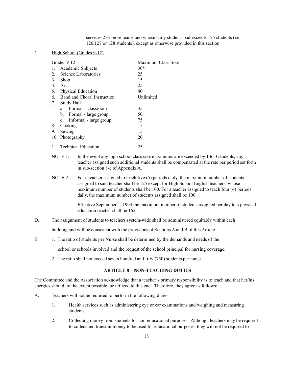services 2 or more teams and whose daily student load exceeds 125 students (i.e. - 126,127 or 128 students), except as otherwise provided in this section.

# C. High School (Grades 9-12)

| Grades 9-12                       | Maximum Class Size |
|-----------------------------------|--------------------|
| Academic Subjects<br>1.           | $30*$              |
| Science Laboratories<br>$2_{1}$   | 25                 |
| 3.<br>Shop                        | 15                 |
| 4.<br>Art                         | 25                 |
| 5.<br><b>Physical Education</b>   | 40                 |
| Band and Choral Instruction<br>6. | Unlimited          |
| 7.<br>Study Hall                  |                    |
| Formal - classroom<br>a.          | 35                 |
| b. Formal - large group           | 50                 |
| c. Informal - large group         | 75                 |
| Cooking<br>8.                     | 15                 |
| Sewing<br>9.                      | 15                 |
| 10. Photography                   | 20                 |
| 11. Technical Education           | 25                 |

NOTE 1: In the event any high school class size maximums are exceeded by 1 to 3 students, any teacher assigned such additional students shall be compensated at the rate per period set forth in sub-section 8-e of Appendix A.

NOTE 2: For a teacher assigned to teach five (5) periods daily, the maximum number of students assigned to said teacher shall be 125 except for High School English teachers, whose maximum number of students shall be 100. For a teacher assigned to teach four (4) periods daily, the maximum number of students assigned shall be 100.

> Effective September 1, 1994 the maximum number of students assigned per day to a physical education teacher shall be 165.

D. The assignment of students to teachers system-wide shall be administered equitably within each

building and will be consistent with the provisions of Sections A and B of this Article.

E. 1. The ratio of students per Nurse shall be determined by the demands and needs of the

school or schools involved and the request of the school principal for nursing coverage.

2. The ratio shall not exceed seven hundred and fifty (750) students per nurse.

#### **ARTICLE 8 – NON-TEACHING DUTIES**

The Committee and the Association acknowledge that a teacher's primary responsibility is to teach and that her/his energies should, to the extent possible, be utilized to this end. Therefore, they agree as follows:

- A. Teachers will not be required to perform the following duties:
	- 1. Health services such as administering eye or ear examinations and weighing and measuring students.
	- 2. Collecting money from students for non-educational purposes. Although teachers may be required to collect and transmit money to be used for educational purposes, they will not be required to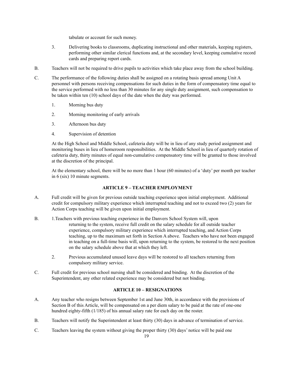tabulate or account for such money.

- 3. Delivering books to classrooms, duplicating instructional and other materials, keeping registers, performing other similar clerical functions and, at the secondary level, keeping cumulative record cards and preparing report cards.
- B. Teachers will not be required to drive pupils to activities which take place away from the school building.
- C. The performance of the following duties shall be assigned on a rotating basis spread among Unit A personnel with persons receiving compensations for such duties in the form of compensatory time equal to the service performed with no less than 30 minutes for any single duty assignment, such compensation to be taken within ten (10) school days of the date when the duty was performed.
	- 1. Morning bus duty
	- 2. Morning monitoring of early arrivals
	- 3. Afternoon bus duty
	- 4. Supervision of detention

At the High School and Middle School, cafeteria duty will be in lieu of any study period assignment and monitoring buses in lieu of homeroom responsibilities. At the Middle School in lieu of quarterly rotation of cafeteria duty, thirty minutes of equal non-cumulative compensatory time will be granted to those involved at the discretion of the principal.

At the elementary school, there will be no more than 1 hour (60 minutes) of a 'duty' per month per teacher in 6 (six) 10 minute segments.

# **ARTICLE 9 – TEACHER EMPLOYMENT**

- A. Full credit will be given for previous outside teaching experience upon initial employment. Additional credit for compulsory military experience which interrupted teaching and not to exceed two (2) years for Action Corps teaching will be given upon initial employment.
- B. 1.Teachers with previous teaching experience in the Danvers School System will, upon returning to the system, receive full credit on the salary schedule for all outside teacher experience, compulsory military experience which interrupted teaching, and Action Corps teaching, up to the maximum set forth in Section A above. Teachers who have not been engaged in teaching on a full-time basis will, upon returning to the system, be restored to the next position on the salary schedule above that at which they left.
	- 2. Previous accumulated unused leave days will be restored to all teachers returning from compulsory military service.
- C. Full credit for previous school nursing shall be considered and binding. At the discretion of the Superintendent, any other related experience may be considered but not binding.

# **ARTICLE 10 – RESIGNATIONS**

- A. Any teacher who resigns between September 1st and June 30th, in accordance with the provisions of Section B of this Article, will be compensated on a per diem salary to be paid at the rate of one-one hundred eighty-fifth (1/185) of his annual salary rate for each day on the roster.
- B. Teachers will notify the Superintendent at least thirty (30) days in advance of termination of service.
- C. Teachers leaving the system without giving the proper thirty (30) days' notice will be paid one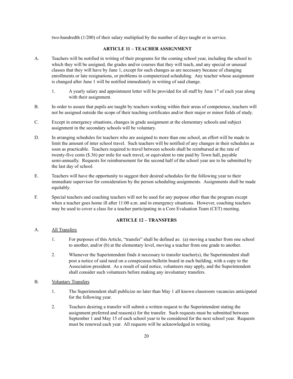two-hundredth (1/200) of their salary multiplied by the number of days taught or in service.

# **ARTICLE 11 – TEACHER ASSIGNMENT**

- A. Teachers will be notified in writing of their programs for the coming school year, including the school to which they will be assigned, the grades and/or courses that they will teach, and any special or unusual classes that they will have by June 1, except for such changes as are necessary because of changing enrollments or late resignations, or problems in computerized scheduling. Any teacher whose assignment is changed after June 1 will be notified immediately in writing of said change.
	- 1. A yearly salary and appointment letter will be provided for all staff by June 1<sup>st</sup> of each year along with their assignment.
- B. In order to assure that pupils are taught by teachers working within their areas of competence, teachers will not be assigned outside the scope of their teaching certificates and/or their major or minor fields of study.
- C. Except in emergency situations, changes in grade assignment at the elementary schools and subject assignment in the secondary schools will be voluntary.
- D. In arranging schedules for teachers who are assigned to more than one school, an effort will be made to limit the amount of inter school travel. Such teachers will be notified of any changes in their schedules as soon as practicable. Teachers required to travel between schools shall be reimbursed at the rate of twenty-five cents (\$.36) per mile for such travel, or equivalent to rate paid by Town hall, payable semi-annually. Requests for reimbursement for the second half of the school year are to be submitted by the last day of school.
- E. Teachers will have the opportunity to suggest their desired schedules for the following year to their immediate supervisor for consideration by the person scheduling assignments. Assignments shall be made equitably.
- F. Special teachers and coaching teachers will not be used for any purpose other than the program except when a teacher goes home ill after 11:00 a.m. and in emergency situations. However, coaching teachers may be used to cover a class for a teacher participating in a Core Evaluation Team (CET) meeting.

# **ARTICLE 12 – TRANSFERS**

# A. All Transfers

- 1. For purposes of this Article, "transfer" shall be defined as: (a) moving a teacher from one school to another, and/or (b) at the elementary level, moving a teacher from one grade to another.
- 2. Whenever the Superintendent finds it necessary to transfer teacher(s), the Superintendent shall post a notice of said need on a conspicuous bulletin board in each building, with a copy to the Association president. As a result of said notice, volunteers may apply, and the Superintendent shall consider such volunteers before making any involuntary transfers.
- B. Voluntary Transfers
	- 1. The Superintendent shall publicize no later than May 1 all known classroom vacancies anticipated for the following year.
	- 2. Teachers desiring a transfer will submit a written request to the Superintendent stating the assignment preferred and reason(s) for the transfer. Such requests must be submitted between September 1 and May 15 of each school year to be considered for the next school year. Requests must be renewed each year. All requests will be acknowledged in writing.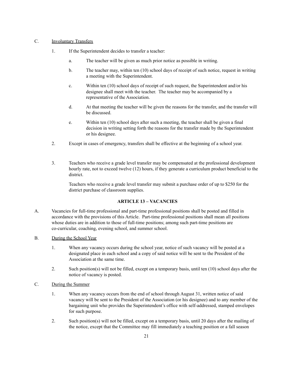#### C. Involuntary Transfers

- 1. If the Superintendent decides to transfer a teacher:
	- a. The teacher will be given as much prior notice as possible in writing.
	- b. The teacher may, within ten (10) school days of receipt of such notice, request in writing a meeting with the Superintendent.
	- c. Within ten (10) school days of receipt of such request, the Superintendent and/or his designee shall meet with the teacher. The teacher may be accompanied by a representative of the Association.
	- d. At that meeting the teacher will be given the reasons for the transfer, and the transfer will be discussed.
	- e. Within ten (10) school days after such a meeting, the teacher shall be given a final decision in writing setting forth the reasons for the transfer made by the Superintendent or his designee.
- 2. Except in cases of emergency, transfers shall be effective at the beginning of a school year.
- 3. Teachers who receive a grade level transfer may be compensated at the professional development hourly rate, not to exceed twelve (12) hours, if they generate a curriculum product beneficial to the district.

Teachers who receive a grade level transfer may submit a purchase order of up to \$250 for the district purchase of classroom supplies.

# **ARTICLE 13 – VACANCIES**

- A. Vacancies for full-time professional and part-time professional positions shall be posted and filled in accordance with the provisions of this Article. Part-time professional positions shall mean all positions whose duties are in addition to those of full-time positions; among such part-time positions are co-curricular, coaching, evening school, and summer school.
- B. During the School Year
	- 1. When any vacancy occurs during the school year, notice of such vacancy will be posted at a designated place in each school and a copy of said notice will be sent to the President of the Association at the same time.
	- 2. Such position(s) will not be filled, except on a temporary basis, until ten (10) school days after the notice of vacancy is posted.
- C. During the Summer
	- 1. When any vacancy occurs from the end of school through August 31, written notice of said vacancy will be sent to the President of the Association (or his designee) and to any member of the bargaining unit who provides the Superintendent's office with self-addressed, stamped envelopes for such purpose.
	- 2. Such position(s) will not be filled, except on a temporary basis, until 20 days after the mailing of the notice, except that the Committee may fill immediately a teaching position or a fall season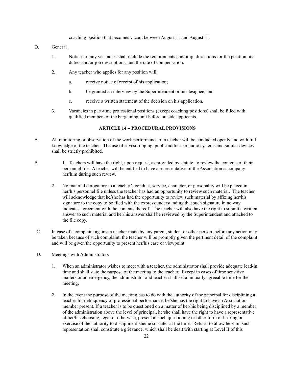coaching position that becomes vacant between August 11 and August 31.

#### D. General

- 1. Notices of any vacancies shall include the requirements and/or qualifications for the position, its duties and/or job descriptions, and the rate of compensation.
- 2. Any teacher who applies for any position will:
	- a. receive notice of receipt of his application;
	- b. be granted an interview by the Superintendent or his designee; and
	- c. receive a written statement of the decision on his application.
- 3. Vacancies in part-time professional positions (except coaching positions) shall be filled with qualified members of the bargaining unit before outside applicants.

# **ARTICLE 14 – PROCEDURAL PROVISIONS**

- A. All monitoring or observation of the work performance of a teacher will be conducted openly and with full knowledge of the teacher. The use of eavesdropping, public address or audio systems and similar devices shall be strictly prohibited.
- B. 1. Teachers will have the right, upon request, as provided by statute, to review the contents of their personnel file. A teacher will be entitled to have a representative of the Association accompany her/him during such review.
	- 2. No material derogatory to a teacher's conduct, service, character, or personality will be placed in her/his personnel file unless the teacher has had an opportunity to review such material. The teacher will acknowledge that he/she has had the opportunity to review such material by affixing her/his signature to the copy to be filed with the express understanding that such signature in no way indicates agreement with the contents thereof. The teacher will also have the right to submit a written answer to such material and her/his answer shall be reviewed by the Superintendent and attached to the file copy.
- C. In case of a complaint against a teacher made by any parent, student or other person, before any action may be taken because of such complaint, the teacher will be promptly given the pertinent detail of the complaint and will be given the opportunity to present her/his case or viewpoint.
- D. Meetings with Administrators
	- 1. When an administrator wishes to meet with a teacher, the administrator shall provide adequate lead-in time and shall state the purpose of the meeting to the teacher. Except in cases of time sensitive matters or an emergency, the administrator and teacher shall set a mutually agreeable time for the meeting.
	- 2. In the event the purpose of the meeting has to do with the authority of the principal for disciplining a teacher for delinquency of professional performance, he/she has the right to have an Association member present. If a teacher is to be questioned on a matter of her/his being disciplined by a member of the administration above the level of principal, he/she shall have the right to have a representative of her/his choosing, legal or otherwise, present at such questioning or other form of hearing or exercise of the authority to discipline if she/he so states at the time. Refusal to allow her/him such representation shall constitute a grievance, which shall be dealt with starting at Level II of this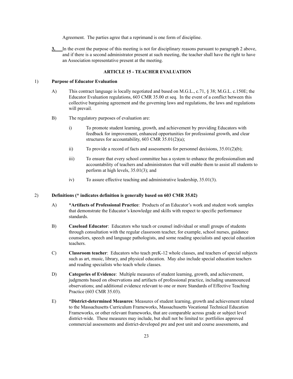Agreement. The parties agree that a reprimand is one form of discipline.

**3.** In the event the purpose of this meeting is not for disciplinary reasons pursuant to paragraph 2 above, and if there is a second administrator present at such meeting, the teacher shall have the right to have an Association representative present at the meeting.

#### **ARTICLE 15 - TEACHER EVALUATION**

#### 1) **Purpose of Educator Evaluation**

- A) This contract language is locally negotiated and based on M.G.L., c.71, § 38; M.G.L. c.150E; the Educator Evaluation regulations, 603 CMR 35.00 et seq. In the event of a conflict between this collective bargaining agreement and the governing laws and regulations, the laws and regulations will prevail.
- B) The regulatory purposes of evaluation are:
	- i) To promote student learning, growth, and achievement by providing Educators with feedback for improvement, enhanced opportunities for professional growth, and clear structures for accountability, 603 CMR 35.01(2)(a);
	- ii) To provide a record of facts and assessments for personnel decisions,  $35.01(2)(b)$ ;
	- iii) To ensure that every school committee has a system to enhance the professionalism and accountability of teachers and administrators that will enable them to assist all students to perform at high levels, 35.01(3); and
	- iv) To assure effective teaching and administrative leadership, 35.01(3).

#### 2) **Definitions (\* indicates definition is generally based on 603 CMR 35.02)**

- A) **\*Artifacts of Professional Practice**: Products of an Educator's work and student work samples that demonstrate the Educator's knowledge and skills with respect to specific performance standards.
- B) **Caseload Educator**: Educators who teach or counsel individual or small groups of students through consultation with the regular classroom teacher, for example, school nurses, guidance counselors, speech and language pathologists, and some reading specialists and special education teachers.
- C) **Classroom teacher**: Educators who teach preK-12 whole classes, and teachers of special subjects such as art, music, library, and physical education. May also include special education teachers and reading specialists who teach whole classes.
- D) **Categories of Evidence**: Multiple measures of student learning, growth, and achievement, judgments based on observations and artifacts of professional practice, including unannounced observations; and additional evidence relevant to one or more Standards of Effective Teaching Practice (603 CMR 35.03).
- E) **\*District-determined Measures**: Measures of student learning, growth and achievement related to the Massachusetts Curriculum Frameworks, Massachusetts Vocational Technical Education Frameworks, or other relevant frameworks, that are comparable across grade or subject level district-wide. These measures may include, but shall not be limited to: portfolios approved commercial assessments and district-developed pre and post unit and course assessments, and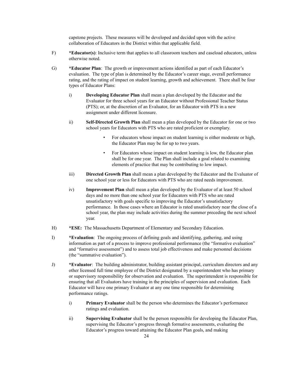capstone projects. These measures will be developed and decided upon with the active collaboration of Educators in the District within that applicable field.

- F) **\*Educator(s)**: Inclusive term that applies to all classroom teachers and caseload educators, unless otherwise noted.
- G) **\*Educator Plan**: The growth or improvement actions identified as part of each Educator's evaluation. The type of plan is determined by the Educator's career stage, overall performance rating, and the rating of impact on student learning, growth and achievement. There shall be four types of Educator Plans:
	- i) **Developing Educator Plan** shall mean a plan developed by the Educator and the Evaluator for three school years for an Educator without Professional Teacher Status (PTS); or, at the discretion of an Evaluator, for an Educator with PTS in a new assignment under different licensure.
	- ii) **Self-Directed Growth Plan** shall mean a plan developed by the Educator for one or two school years for Educators with PTS who are rated proficient or exemplary.
		- For educators whose impact on student learning is either moderate or high, the Educator Plan may be for up to two years.
		- For Educators whose impact on student learning is low, the Educator plan shall be for one year. The Plan shall include a goal related to examining elements of practice that may be contributing to low impact.
	- iii) **Directed Growth Plan** shall mean a plan developed by the Educator and the Evaluator of one school year or less for Educators with PTS who are rated needs improvement.
	- iv) **Improvement Plan** shall mean a plan developed by the Evaluator of at least 50 school days and no more than one school year for Educators with PTS who are rated unsatisfactory with goals specific to improving the Educator's unsatisfactory performance. In those cases where an Educator is rated unsatisfactory near the close of a school year, the plan may include activities during the summer preceding the next school year.
- H) **\*ESE:** The Massachusetts Department of Elementary and Secondary Education.
- I) **\*Evaluation**: The ongoing process of defining goals and identifying, gathering, and using information as part of a process to improve professional performance (the "formative evaluation" and "formative assessment") and to assess total job effectiveness and make personnel decisions (the "summative evaluation").
- J) **\*Evaluator**: The building administrator, building assistant principal, curriculum directors and any other licensed full time employee of the District designated by a superintendent who has primary or supervisory responsibility for observation and evaluation. The superintendent is responsible for ensuring that all Evaluators have training in the principles of supervision and evaluation. Each Educator will have one primary Evaluator at any one time responsible for determining performance ratings.
	- i) **Primary Evaluator** shall be the person who determines the Educator's performance ratings and evaluation.
	- ii) **Supervising Evaluator** shall be the person responsible for developing the Educator Plan, supervising the Educator's progress through formative assessments, evaluating the Educator's progress toward attaining the Educator Plan goals, and making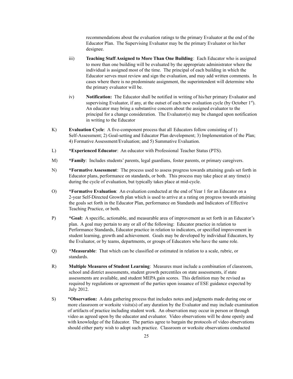recommendations about the evaluation ratings to the primary Evaluator at the end of the Educator Plan. The Supervising Evaluator may be the primary Evaluator or his/her designee.

- iii) **Teaching Staff Assigned to More Than One Building**: Each Educator who is assigned to more than one building will be evaluated by the appropriate administrator where the individual is assigned most of the time. The principal of each building in which the Educator serves must review and sign the evaluation, and may add written comments. In cases where there is no predominate assignment, the superintendent will determine who the primary evaluator will be.
- iv) **Notification:** The Educator shall be notified in writing of his/her primary Evaluator and supervising Evaluator, if any, at the outset of each new evaluation cycle (by October  $1<sup>st</sup>$ ). An educator may bring a substantive concern about the assigned evaluator to the principal for a change consideration. The Evaluator(s) may be changed upon notification in writing to the Educator
- K) **Evaluation Cycle**: A five-component process that all Educators follow consisting of 1) Self-Assessment; 2) Goal-setting and Educator Plan development; 3) Implementation of the Plan; 4) Formative Assessment/Evaluation; and 5) Summative Evaluation.
- L) **\*Experienced Educator**: An educator with Professional Teacher Status (PTS).
- M) **\*Family**: Includes students' parents, legal guardians, foster parents, or primary caregivers.
- N) **\*Formative Assessment**: The process used to assess progress towards attaining goals set forth in Educator plans, performance on standards, or both. This process may take place at any time(s) during the cycle of evaluation, but typically takes place at mid-cycle.
- O) **\*Formative Evaluation**: An evaluation conducted at the end of Year 1 for an Educator on a 2-year Self-Directed Growth plan which is used to arrive at a rating on progress towards attaining the goals set forth in the Educator Plan, performance on Standards and Indicators of Effective Teaching Practice, or both.
- P) **\*Goal:** A specific, actionable, and measurable area of improvement as set forth in an Educator's plan. A goal may pertain to any or all of the following: Educator practice in relation to Performance Standards, Educator practice in relation to indicators, or specified improvement in student learning, growth and achievement. Goals may be developed by individual Educators, by the Evaluator, or by teams, departments, or groups of Educators who have the same role.
- Q) **\*Measurable**: That which can be classified or estimated in relation to a scale, rubric, or standards.
- R) **Multiple Measures of Student Learning**: Measures must include a combination of classroom, school and district assessments, student growth percentiles on state assessments, if state assessments are available, and student MEPA gain scores. This definition may be revised as required by regulations or agreement of the parties upon issuance of ESE guidance expected by July 2012.
- S) \***Observation:** A data gathering process that includes notes and judgments made during one or more classroom or worksite visits(s) of any duration by the Evaluator and may include examination of artifacts of practice including student work. An observation may occur in person or through video as agreed upon by the educator and evaluator. Video observations will be done openly and with knowledge of the Educator. The parties agree to bargain the protocols of video observations should either party wish to adopt such practice. Classroom or worksite observations conducted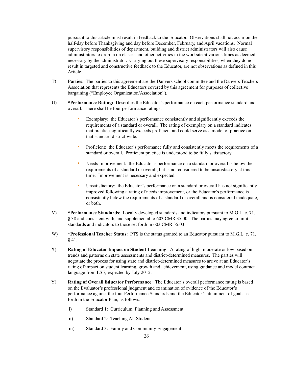pursuant to this article must result in feedback to the Educator. Observations shall not occur on the half-day before Thanksgiving and day before December, February, and April vacations. Normal supervisory responsibilities of department, building and district administrators will also cause administrators to drop in on classes and other activities in the worksite at various times as deemed necessary by the administrator. Carrying out these supervisory responsibilities, when they do not result in targeted and constructive feedback to the Educator, are not observations as defined in this Article.

- T) **Parties**: The parties to this agreement are the Danvers school committee and the Danvers Teachers Association that represents the Educators covered by this agreement for purposes of collective bargaining ("Employee Organization/Association").
- U) **\*Performance Rating:** Describes the Educator's performance on each performance standard and overall. There shall be four performance ratings:
	- Exemplary: the Educator's performance consistently and significantly exceeds the requirements of a standard or overall. The rating of exemplary on a standard indicates that practice significantly exceeds proficient and could serve as a model of practice on that standard district-wide.
	- Proficient: the Educator's performance fully and consistently meets the requirements of a standard or overall. Proficient practice is understood to be fully satisfactory.
	- Needs Improvement: the Educator's performance on a standard or overall is below the requirements of a standard or overall, but is not considered to be unsatisfactory at this time. Improvement is necessary and expected.
	- Unsatisfactory: the Educator's performance on a standard or overall has not significantly improved following a rating of needs improvement, or the Educator's performance is consistently below the requirements of a standard or overall and is considered inadequate, or both.
- V) **\*Performance Standards**: Locally developed standards and indicators pursuant to M.G.L. c. 71, § 38 and consistent with, and supplemental to 603 CMR 35.00. The parties may agree to limit standards and indicators to those set forth in 603 CMR 35.03.
- W) **\*Professional Teacher Status**: PTS is the status granted to an Educator pursuant to M.G.L. c. 71, § 41.
- X) **Rating of Educator Impact on Student Learning**: A rating of high, moderate or low based on trends and patterns on state assessments and district-determined measures. The parties will negotiate the process for using state and district-determined measures to arrive at an Educator's rating of impact on student learning, growth and achievement, using guidance and model contract language from ESE, expected by July 2012.
- Y) **Rating of Overall Educator Performance**: The Educator's overall performance rating is based on the Evaluator's professional judgment and examination of evidence of the Educator's performance against the four Performance Standards and the Educator's attainment of goals set forth in the Educator Plan, as follows:
	- i) Standard 1: Curriculum, Planning and Assessment
	- ii) Standard 2: Teaching All Students
	- iii) Standard 3: Family and Community Engagement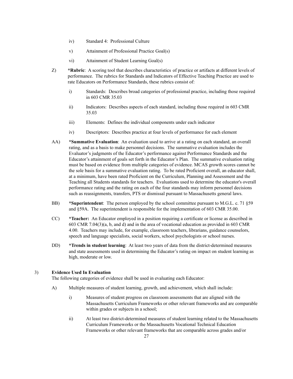- iv) Standard 4: Professional Culture
- v) Attainment of Professional Practice Goal(s)
- vi) Attainment of Student Learning Goal(s)
- Z) **\*Rubric**: A scoring tool that describes characteristics of practice or artifacts at different levels of performance. The rubrics for Standards and Indicators of Effective Teaching Practice are used to rate Educators on Performance Standards, these rubrics consist of:
	- i) Standards: Describes broad categories of professional practice, including those required in 603 CMR 35.03
	- ii) Indicators: Describes aspects of each standard, including those required in 603 CMR 35.03
	- iii) Elements: Defines the individual components under each indicator
	- iv) Descriptors: Describes practice at four levels of performance for each element
- AA) **\*Summative Evaluation**: An evaluation used to arrive at a rating on each standard, an overall rating, and as a basis to make personnel decisions. The summative evaluation includes the Evaluator's judgments of the Educator's performance against Performance Standards and the Educator's attainment of goals set forth in the Educator's Plan. The summative evaluation rating must be based on evidence from multiple categories of evidence. MCAS growth scores cannot be the sole basis for a summative evaluation rating. To be rated Proficient overall, an educator shall, at a minimum, have been rated Proficient on the Curriculum, Planning and Assessment and the Teaching all Students standards for teachers. Evaluations used to determine the educator's overall performance rating and the rating on each of the four standards may inform personnel decisions such as reassignments, transfers, PTS or dismissal pursuant to Massachusetts general laws.
- BB) **\*Superintendent**: The person employed by the school committee pursuant to M.G.L. c. 71 §59 and §59A. The superintendent is responsible for the implementation of 603 CMR 35.00.
- CC) **\*Teacher:** An Educator employed in a position requiring a certificate or license as described in 603 CMR 7.04(3)(a, b, and d) and in the area of vocational education as provided in 603 CMR 4.00. Teachers may include, for example, classroom teachers, librarians, guidance counselors, speech and language specialists, social workers, school psychologists or school nurses.
- DD) **\*Trends in student learning**: At least two years of data from the district-determined measures and state assessments used in determining the Educator's rating on impact on student learning as high, moderate or low.

# 3) **Evidence Used In Evaluation**

The following categories of evidence shall be used in evaluating each Educator:

- A) Multiple measures of student learning, growth, and achievement, which shall include:
	- i) Measures of student progress on classroom assessments that are aligned with the Massachusetts Curriculum Frameworks or other relevant frameworks and are comparable within grades or subjects in a school;
	- ii) At least two district-determined measures of student learning related to the Massachusetts Curriculum Frameworks or the Massachusetts Vocational Technical Education Frameworks or other relevant frameworks that are comparable across grades and/or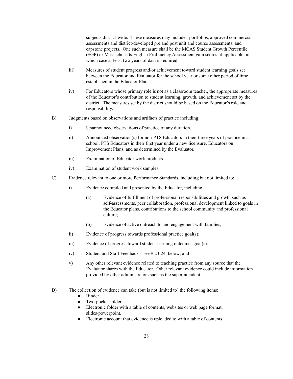subjects district-wide. These measures may include: portfolios, approved commercial assessments and district-developed pre and post unit and course assessments, and capstone projects. One such measure shall be the MCAS Student Growth Percentile (SGP) or Massachusetts English Proficiency Assessment gain scores, if applicable, in which case at least two years of data is required.

- iii) Measures of student progress and/or achievement toward student learning goals set between the Educator and Evaluator for the school year or some other period of time established in the Educator Plan.
- iv) For Educators whose primary role is not as a classroom teacher, the appropriate measures of the Educator's contribution to student learning, growth, and achievement set by the district. The measures set by the district should be based on the Educator's role and responsibility.
- B) Judgments based on observations and artifacts of practice including:
	- i) Unannounced observations of practice of any duration.
	- ii) Announced ob**s**ervation(s) for non-PTS Educators in their three years of practice in a school, PTS Educators in their first year under a new licensure, Educators on Improvement Plans, and as determined by the Evaluator.
	- iii) Examination of Educator work products.
	- iv) Examination of student work samples.
- C) Evidence relevant to one or more Performance Standards, including but not limited to:
	- i) Evidence compiled and presented by the Educator, including :
		- (a) Evidence of fulfillment of professional responsibilities and growth such as self-assessments, peer collaboration, professional development linked to goals in the Educator plans, contributions to the school community and professional culture;
		- (b) Evidence of active outreach to and engagement with families;
	- ii) Evidence of progress towards professional practice goal(s);
	- iii) Evidence of progress toward student learning outcomes goal(s).
	- iv) Student and Staff Feedback see # 23-24, below; and
	- v) Any other relevant evidence related to teaching practice from any source that the Evaluator shares with the Educator. Other relevant evidence could include information provided by other administrators such as the superintendent.
- D) The collection of evidence can take (but is not limited to) the following items:
	- Binder
	- Two-pocket folder
	- Electronic folder with a table of contents, websites or web page format, slides/powerpoint,
	- Electronic account that evidence is uploaded to with a table of contents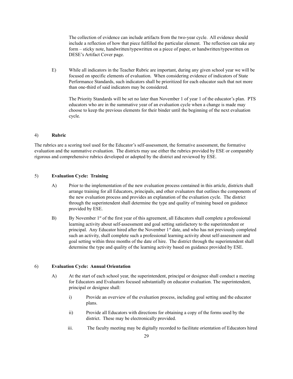The collection of evidence can include artifacts from the two-year cycle. All evidence should include a reflection of how that piece fulfilled the particular element. The reflection can take any form – sticky note, handwritten/typewritten on a piece of paper, or handwritten/typewritten on DESE's Artifact Cover page.

E) While all indicators in the Teacher Rubric are important, during any given school year we will be focused on specific elements of evaluation. When considering evidence of indicators of State Performance Standards, such indicators shall be prioritized for each educator such that not more than one-third of said indicators may be considered.

The Priority Standards will be set no later than November 1 of year 1 of the educator's plan. PTS educators who are in the summative year of an evaluation cycle when a change is made may choose to keep the previous elements for their binder until the beginning of the next evaluation cycle.

#### 4) **Rubric**

The rubrics are a scoring tool used for the Educator's self-assessment, the formative assessment, the formative evaluation and the summative evaluation. The districts may use either the rubrics provided by ESE or comparably rigorous and comprehensive rubrics developed or adopted by the district and reviewed by ESE.

#### 5) **Evaluation Cycle: Training**

- A) Prior to the implementation of the new evaluation process contained in this article, districts shall arrange training for all Educators, principals, and other evaluators that outlines the components of the new evaluation process and provides an explanation of the evaluation cycle. The district through the superintendent shall determine the type and quality of training based on guidance provided by ESE.
- B) By November 1<sup>st</sup> of the first year of this agreement, all Educators shall complete a professional learning activity about self-assessment and goal setting satisfactory to the superintendent or principal. Any Educator hired after the November 1<sup>st</sup> date, and who has not previously completed such an activity, shall complete such a professional learning activity about self-assessment and goal setting within three months of the date of hire. The district through the superintendent shall determine the type and quality of the learning activity based on guidance provided by ESE.

# 6) **Evaluation Cycle: Annual Orientation**

- A) At the start of each school year, the superintendent, principal or designee shall conduct a meeting for Educators and Evaluators focused substantially on educator evaluation. The superintendent, principal or designee shall:
	- i) Provide an overview of the evaluation process, including goal setting and the educator plans.
	- ii) Provide all Educators with directions for obtaining a copy of the forms used by the district. These may be electronically provided.
	- iii. The faculty meeting may be digitally recorded to facilitate orientation of Educators hired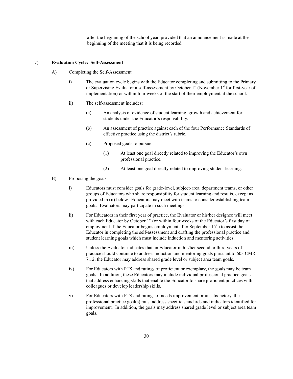after the beginning of the school year, provided that an announcement is made at the beginning of the meeting that it is being recorded.

#### 7) **Evaluation Cycle: Self-Assessment**

- A) Completing the Self-Assessment
	- i) The evaluation cycle begins with the Educator completing and submitting to the Primary or Supervising Evaluator a self-assessment by October 1<sup>st</sup> (November 1<sup>st</sup> for first-year of implementation) or within four weeks of the start of their employment at the school.
	- ii) The self-assessment includes:
		- (a) An analysis of evidence of student learning, growth and achievement for students under the Educator's responsibility.
		- (b) An assessment of practice against each of the four Performance Standards of effective practice using the district's rubric.
		- (c) Proposed goals to pursue:
			- (1) At least one goal directly related to improving the Educator's own professional practice.
			- (2) At least one goal directly related to improving student learning.
- B) Proposing the goals
	- i) Educators must consider goals for grade-level, subject-area, department teams, or other groups of Educators who share responsibility for student learning and results, except as provided in (ii) below. Educators may meet with teams to consider establishing team goals. Evaluators may participate in such meetings.
	- ii) For Educators in their first year of practice, the Evaluator or his/her designee will meet with each Educator by October  $1<sup>st</sup>$  (or within four weeks of the Educator's first day of employment if the Educator begins employment after September  $15<sup>th</sup>$ ) to assist the Educator in completing the self-assessment and drafting the professional practice and student learning goals which must include induction and mentoring activities.
	- iii) Unless the Evaluator indicates that an Educator in his/her second or third years of practice should continue to address induction and mentoring goals pursuant to 603 CMR 7.12, the Educator may address shared grade level or subject area team goals.
	- iv) For Educators with PTS and ratings of proficient or exemplary, the goals may be team goals. In addition, these Educators may include individual professional practice goals that address enhancing skills that enable the Educator to share proficient practices with colleagues or develop leadership skills.
	- v) For Educators with PTS and ratings of needs improvement or unsatisfactory, the professional practice goal(s) must address specific standards and indicators identified for improvement. In addition, the goals may address shared grade level or subject area team goals.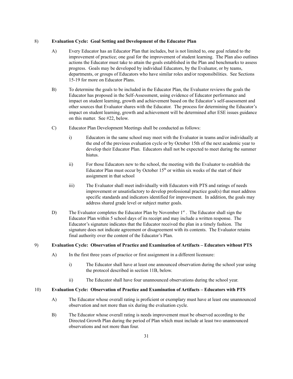#### 8) **Evaluation Cycle: Goal Setting and Development of the Educator Plan**

- A) Every Educator has an Educator Plan that includes, but is not limited to, one goal related to the improvement of practice; one goal for the improvement of student learning. The Plan also outlines actions the Educator must take to attain the goals established in the Plan and benchmarks to assess progress. Goals may be developed by individual Educators, by the Evaluator, or by teams, departments, or groups of Educators who have similar roles and/or responsibilities. See Sections 15-19 for more on Educator Plans.
- B) To determine the goals to be included in the Educator Plan, the Evaluator reviews the goals the Educator has proposed in the Self-Assessment, using evidence of Educator performance and impact on student learning, growth and achievement based on the Educator's self-assessment and other sources that Evaluator shares with the Educator. The process for determining the Educator's impact on student learning, growth and achievement will be determined after ESE issues guidance on this matter. See #22, below.
- C) Educator Plan Development Meetings shall be conducted as follows:
	- i) Educators in the same school may meet with the Evaluator in teams and/or individually at the end of the previous evaluation cycle or by October 15th of the next academic year to develop their Educator Plan. Educators shall not be expected to meet during the summer hiatus.
	- ii) For those Educators new to the school, the meeting with the Evaluator to establish the Educator Plan must occur by October  $15<sup>th</sup>$  or within six weeks of the start of their assignment in that school
	- iii) The Evaluator shall meet individually with Educators with PTS and ratings of needs improvement or unsatisfactory to develop professional practice goal(s) that must address specific standards and indicators identified for improvement. In addition, the goals may address shared grade level or subject matter goals.
- D) The Evaluator completes the Educator Plan by November 1<sup>st</sup>. The Educator shall sign the Educator Plan within 5 school days of its receipt and may include a written response. The Educator's signature indicates that the Educator received the plan in a timely fashion. The signature does not indicate agreement or disagreement with its contents. The Evaluator retains final authority over the content of the Educator's Plan.

# 9) **Evaluation Cycle: Observation of Practice and Examination of Artifacts – Educators without PTS**

- A) In the first three years of practice or first assignment in a different licensure:
	- i) The Educator shall have at least one announced observation during the school year using the protocol described in section 11B, below.
	- ii) The Educator shall have four unannounced observations during the school year.

# 10) **Evaluation Cycle: Observation of Practice and Examination of Artifacts – Educators with PTS**

- A) The Educator whose overall rating is proficient or exemplary must have at least one unannounced observation and not more than six during the evaluation cycle.
- B) The Educator whose overall rating is needs improvement must be observed according to the Directed Growth Plan during the period of Plan which must include at least two unannounced observations and not more than four.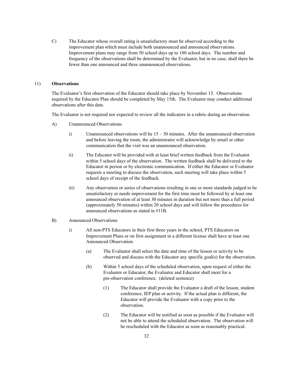C) The Educator whose overall rating is unsatisfactory must be observed according to the improvement plan which must include both unannounced and announced observations. Improvement plans may range from 50 school days up to 180 school days. The number and frequency of the observations shall be determined by the Evaluator, but in no case, shall there be fewer than one announced and three unannounced observations.

#### 11) **Observations**

The Evaluator's first observation of the Educator should take place by November 15. Observations required by the Educator Plan should be completed by May 15th. The Evaluator may conduct additional observations after this date.

The Evaluator is not required nor expected to review all the indicators in a rubric during an observation.

- A) Unannounced Observations
	- i) Unannounced observations will be  $15 30$  minutes. After the unannounced observation and before leaving the room, the administrator will acknowledge by email or other communication that the visit was an unannounced observation.
	- ii) The Educator will be provided with at least brief written feedback from the Evaluator within 5 school days of the observation. The written feedback shall be delivered to the Educator in person or by electronic communication. If either the Educator or Evaluator requests a meeting to discuss the observation, such meeting will take place within 5 school days of receipt of the feedback.
	- iii) Any observation or series of observations resulting in one or more standards judged to be unsatisfactory or needs improvement for the first time must be followed by at least one announced observation of at least 30 minutes in duration but not more than a full period (approximately 50 minutes) within 20 school days and will follow the procedures for announced observations as stated in #11B.
- B) Announced Observations
	- i) All non-PTS Educators in their first three years in the school, PTS Educators on Improvement Plans or on first assignment in a different license shall have at least one Announced Observation.
		- (a) The Evaluator shall select the date and time of the lesson or activity to be observed and discuss with the Educator any specific goal(s) for the observation.
		- (b) Within 5 school days of the scheduled observation, upon request of either the Evaluator or Educator, the Evaluator and Educator shall meet for a pre-observation conference. (deleted sentence)
			- (1) The Educator shall provide the Evaluator a draft of the lesson, student conference, IEP plan or activity. If the actual plan is different, the Educator will provide the Evaluator with a copy prior to the observation.
			- (2) The Educator will be notified as soon as possible if the Evaluator will not be able to attend the scheduled observation. The observation will be rescheduled with the Educator as soon as reasonably practical.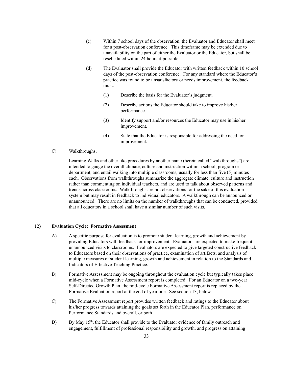- (c) Within 7 school days of the observation, the Evaluator and Educator shall meet for a post-observation conference. This timeframe may be extended due to unavailability on the part of either the Evaluator or the Educator, but shall be rescheduled within 24 hours if possible.
- (d) The Evaluator shall provide the Educator with written feedback within 10 school days of the post-observation conference. For any standard where the Educator's practice was found to be unsatisfactory or needs improvement, the feedback must:
	- (1) Describe the basis for the Evaluator's judgment.
	- (2) Describe actions the Educator should take to improve his/her performance.
	- (3) Identify support and/or resources the Educator may use in his/her improvement.
	- (4) State that the Educator is responsible for addressing the need for improvement.
- C) Walkthroughs,

Learning Walks and other like procedures by another name (herein called "walkthroughs") are intended to gauge the overall climate, culture and instruction within a school, program or department, and entail walking into multiple classrooms, usually for less than five (5) minutes each. Observations from walkthroughs summarize the aggregate climate, culture and instruction rather than commenting on individual teachers, and are used to talk about observed patterns and trends across classrooms. Walkthroughs are not observations for the sake of this evaluation system but may result in feedback to individual educators. A walkthrough can be announced or unannounced. There are no limits on the number of walkthroughs that can be conducted, provided that all educators in a school shall have a similar number of such visits.

# 12) **Evaluation Cycle: Formative Assessment**

- A) A specific purpose for evaluation is to promote student learning, growth and achievement by providing Educators with feedback for improvement. Evaluators are expected to make frequent unannounced visits to classrooms. Evaluators are expected to give targeted constructive feedback to Educators based on their observations of practice, examination of artifacts, and analysis of multiple measures of student learning, growth and achievement in relation to the Standards and Indicators of Effective Teaching Practice.
- B) Formative Assessment may be ongoing throughout the evaluation cycle but typically takes place mid-cycle when a Formative Assessment report is completed. For an Educator on a two-year Self-Directed Growth Plan, the mid-cycle Formative Assessment report is replaced by the Formative Evaluation report at the end of year one. See section 13, below.
- C) The Formative Assessment report provides written feedback and ratings to the Educator about his/her progress towards attaining the goals set forth in the Educator Plan, performance on Performance Standards and overall, or both
- D) By May 15<sup>th</sup>, the Educator shall provide to the Evaluator evidence of family outreach and engagement, fulfillment of professional responsibility and growth, and progress on attaining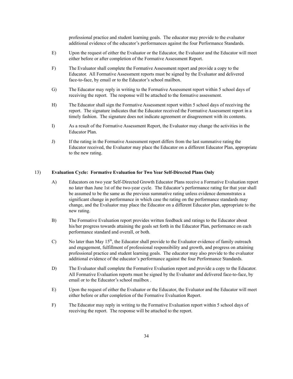professional practice and student learning goals. The educator may provide to the evaluator additional evidence of the educator's performances against the four Performance Standards.

- E) Upon the request of either the Evaluator or the Educator, the Evaluator and the Educator will meet either before or after completion of the Formative Assessment Report.
- F) The Evaluator shall complete the Formative Assessment report and provide a copy to the Educator. All Formative Assessment reports must be signed by the Evaluator and delivered face-to-face, by email or to the Educator's school mailbox.
- G) The Educator may reply in writing to the Formative Assessment report within 5 school days of receiving the report. The response will be attached to the formative assessment.
- H) The Educator shall sign the Formative Assessment report within 5 school days of receiving the report. The signature indicates that the Educator received the Formative Assessment report in a timely fashion. The signature does not indicate agreement or disagreement with its contents.
- I) As a result of the Formative Assessment Report, the Evaluator may change the activities in the Educator Plan.
- J) If the rating in the Formative Assessment report differs from the last summative rating the Educator received, the Evaluator may place the Educator on a different Educator Plan, appropriate to the new rating.

#### 13) **Evaluation Cycle: Formative Evaluation for Two Year Self-Directed Plans Only**

- A) Educators on two year Self-Directed Growth Educator Plans receive a Formative Evaluation report no later than June 1st of the two-year cycle. The Educator's performance rating for that year shall be assumed to be the same as the previous summative rating unless evidence demonstrates a significant change in performance in which case the rating on the performance standards may change, and the Evaluator may place the Educator on a different Educator plan, appropriate to the new rating.
- B) The Formative Evaluation report provides written feedback and ratings to the Educator about his/her progress towards attaining the goals set forth in the Educator Plan, performance on each performance standard and overall, or both.
- C) No later than May 15<sup>th</sup>, the Educator shall provide to the Evaluator evidence of family outreach and engagement, fulfillment of professional responsibility and growth, and progress on attaining professional practice and student learning goals. The educator may also provide to the evaluator additional evidence of the educator's performance against the four Performance Standards.
- D) The Evaluator shall complete the Formative Evaluation report and provide a copy to the Educator. All Formative Evaluation reports must be signed by the Evaluator and delivered face-to-face, by email or to the Educator's school mailbox .
- E) Upon the request of either the Evaluator or the Educator, the Evaluator and the Educator will meet either before or after completion of the Formative Evaluation Report.
- F) The Educator may reply in writing to the Formative Evaluation report within 5 school days of receiving the report. The response will be attached to the report.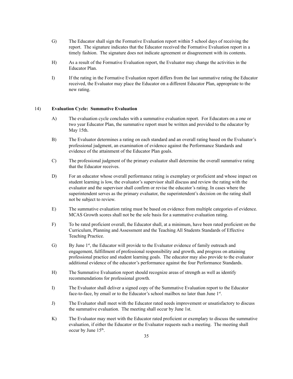- G) The Educator shall sign the Formative Evaluation report within 5 school days of receiving the report. The signature indicates that the Educator received the Formative Evaluation report in a timely fashion. The signature does not indicate agreement or disagreement with its contents.
- H) As a result of the Formative Evaluation report, the Evaluator may change the activities in the Educator Plan.
- I) If the rating in the Formative Evaluation report differs from the last summative rating the Educator received, the Evaluator may place the Educator on a different Educator Plan, appropriate to the new rating.

#### 14) **Evaluation Cycle: Summative Evaluation**

- A) The evaluation cycle concludes with a summative evaluation report. For Educators on a one or two year Educator Plan, the summative report must be written and provided to the educator by May 15th.
- B) The Evaluator determines a rating on each standard and an overall rating based on the Evaluator's professional judgment, an examination of evidence against the Performance Standards and evidence of the attainment of the Educator Plan goals.
- C) The professional judgment of the primary evaluator shall determine the overall summative rating that the Educator receives.
- D) For an educator whose overall performance rating is exemplary or proficient and whose impact on student learning is low, the evaluator's supervisor shall discuss and review the rating with the evaluator and the supervisor shall confirm or revise the educator's rating. In cases where the superintendent serves as the primary evaluator, the superintendent's decision on the rating shall not be subject to review.
- E) The summative evaluation rating must be based on evidence from multiple categories of evidence. MCAS Growth scores shall not be the sole basis for a summative evaluation rating.
- F) To be rated proficient overall, the Educator shall, at a minimum, have been rated proficient on the Curriculum, Planning and Assessment and the Teaching All Students Standards of Effective Teaching Practice.
- G) By June 1<sup>st</sup>, the Educator will provide to the Evaluator evidence of family outreach and engagement, fulfillment of professional responsibility and growth, and progress on attaining professional practice and student learning goals. The educator may also provide to the evaluator additional evidence of the educator's performance against the four Performance Standards.
- H) The Summative Evaluation report should recognize areas of strength as well as identify recommendations for professional growth.
- I) The Evaluator shall deliver a signed copy of the Summative Evaluation report to the Educator face-to-face, by email or to the Educator's school mailbox no later than June 1st.
- J) The Evaluator shall meet with the Educator rated needs improvement or unsatisfactory to discuss the summative evaluation. The meeting shall occur by June 1st.
- K) The Evaluator may meet with the Educator rated proficient or exemplary to discuss the summative evaluation, if either the Educator or the Evaluator requests such a meeting. The meeting shall occur by June  $15<sup>th</sup>$ .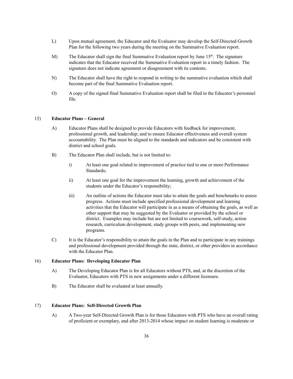- L) Upon mutual agreement, the Educator and the Evaluator may develop the Self-Directed Growth Plan for the following two years during the meeting on the Summative Evaluation report.
- M) The Educator shall sign the final Summative Evaluation report by June  $15<sup>th</sup>$ . The signature indicates that the Educator received the Summative Evaluation report in a timely fashion. The signature does not indicate agreement or disagreement with its contents.
- N) The Educator shall have the right to respond in writing to the summative evaluation which shall become part of the final Summative Evaluation report.
- O) A copy of the signed final Summative Evaluation report shall be filed in the Educator's personnel file.

# 15) **Educator Plans – General**

- A) Educator Plans shall be designed to provide Educators with feedback for improvement, professional growth, and leadership; and to ensure Educator effectiveness and overall system accountability. The Plan must be aligned to the standards and indicators and be consistent with district and school goals.
- B) The Educator Plan shall include, but is not limited to:
	- i) At least one goal related to improvement of practice tied to one or more Performance Standards;
	- ii) At least one goal for the improvement the learning, growth and achievement of the students under the Educator's responsibility;
	- iii) An outline of actions the Educator must take to attain the goals and benchmarks to assess progress. Actions must include specified professional development and learning activities that the Educator will participate in as a means of obtaining the goals, as well as other support that may be suggested by the Evaluator or provided by the school or district. Examples may include but are not limited to coursework, self-study, action research, curriculum development, study groups with peers, and implementing new programs.
- C) It is the Educator's responsibility to attain the goals in the Plan and to participate in any trainings and professional development provided through the state, district, or other providers in accordance with the Educator Plan.

# 16) **Educator Plans: Developing Educator Plan**

- A) The Developing Educator Plan is for all Educators without PTS, and, at the discretion of the Evaluator, Educators with PTS in new assignments under a different licensure.
- B) The Educator shall be evaluated at least annually.

# 17) **Educator Plans: Self-Directed Growth Plan**

A) A Two-year Self-Directed Growth Plan is for those Educators with PTS who have an overall rating of proficient or exemplary, and after 2013-2014 whose impact on student learning is moderate or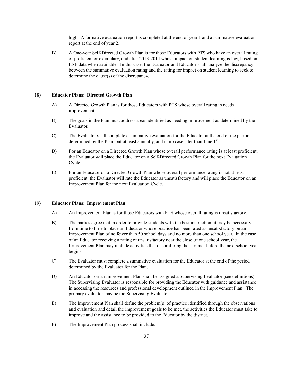high. A formative evaluation report is completed at the end of year 1 and a summative evaluation report at the end of year 2.

B) A One-year Self-Directed Growth Plan is for those Educators with PTS who have an overall rating of proficient or exemplary, and after 2013-2014 whose impact on student learning is low, based on ESE data when available. In this case, the Evaluator and Educator shall analyze the discrepancy between the summative evaluation rating and the rating for impact on student learning to seek to determine the cause(s) of the discrepancy.

#### 18) **Educator Plans: Directed Growth Plan**

- A) A Directed Growth Plan is for those Educators with PTS whose overall rating is needs improvement.
- B) The goals in the Plan must address areas identified as needing improvement as determined by the Evaluator.
- C) The Evaluator shall complete a summative evaluation for the Educator at the end of the period determined by the Plan, but at least annually, and in no case later than June 1<sup>st</sup>.
- D) For an Educator on a Directed Growth Plan whose overall performance rating is at least proficient, the Evaluator will place the Educator on a Self-Directed Growth Plan for the next Evaluation Cycle.
- E) For an Educator on a Directed Growth Plan whose overall performance rating is not at least proficient, the Evaluator will rate the Educator as unsatisfactory and will place the Educator on an Improvement Plan for the next Evaluation Cycle.

#### 19) **Educator Plans: Improvement Plan**

- A) An Improvement Plan is for those Educators with PTS whose overall rating is unsatisfactory.
- B) The parties agree that in order to provide students with the best instruction, it may be necessary from time to time to place an Educator whose practice has been rated as unsatisfactory on an Improvement Plan of no fewer than 50 school days and no more than one school year. In the case of an Educator receiving a rating of unsatisfactory near the close of one school year, the Improvement Plan may include activities that occur during the summer before the next school year begins.
- C) The Evaluator must complete a summative evaluation for the Educator at the end of the period determined by the Evaluator for the Plan.
- D) An Educator on an Improvement Plan shall be assigned a Supervising Evaluator (see definitions). The Supervising Evaluator is responsible for providing the Educator with guidance and assistance in accessing the resources and professional development outlined in the Improvement Plan. The primary evaluator may be the Supervising Evaluator.
- E) The Improvement Plan shall define the problem(s) of practice identified through the observations and evaluation and detail the improvement goals to be met, the activities the Educator must take to improve and the assistance to be provided to the Educator by the district.
- F) The Improvement Plan process shall include: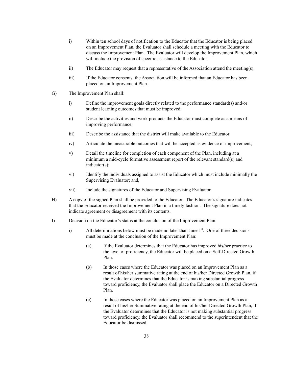- i) Within ten school days of notification to the Educator that the Educator is being placed on an Improvement Plan, the Evaluator shall schedule a meeting with the Educator to discuss the Improvement Plan. The Evaluator will develop the Improvement Plan, which will include the provision of specific assistance to the Educator.
- ii) The Educator may request that a representative of the Association attend the meeting(s).
- iii) If the Educator consents, the Association will be informed that an Educator has been placed on an Improvement Plan.
- G) The Improvement Plan shall:
	- i) Define the improvement goals directly related to the performance standard(s) and/or student learning outcomes that must be improved;
	- ii) Describe the activities and work products the Educator must complete as a means of improving performance;
	- iii) Describe the assistance that the district will make available to the Educator;
	- iv) Articulate the measurable outcomes that will be accepted as evidence of improvement;
	- v) Detail the timeline for completion of each component of the Plan, including at a minimum a mid-cycle formative assessment report of the relevant standard(s) and indicator(s);
	- vi) Identify the individuals assigned to assist the Educator which must include minimally the Supervising Evaluator; and,
	- vii) Include the signatures of the Educator and Supervising Evaluator.
- H) A copy of the signed Plan shall be provided to the Educator. The Educator's signature indicates that the Educator received the Improvement Plan in a timely fashion. The signature does not indicate agreement or disagreement with its contents.
- I) Decision on the Educator's status at the conclusion of the Improvement Plan.
	- i) All determinations below must be made no later than June  $1<sup>st</sup>$ . One of three decisions must be made at the conclusion of the Improvement Plan:
		- (a) If the Evaluator determines that the Educator has improved his/her practice to the level of proficiency, the Educator will be placed on a Self-Directed Growth Plan.
		- (b) In those cases where the Educator was placed on an Improvement Plan as a result of his/her summative rating at the end of his/her Directed Growth Plan, if the Evaluator determines that the Educator is making substantial progress toward proficiency, the Evaluator shall place the Educator on a Directed Growth Plan.
		- (c) In those cases where the Educator was placed on an Improvement Plan as a result of his/her Summative rating at the end of his/her Directed Growth Plan, if the Evaluator determines that the Educator is not making substantial progress toward proficiency, the Evaluator shall recommend to the superintendent that the Educator be dismissed.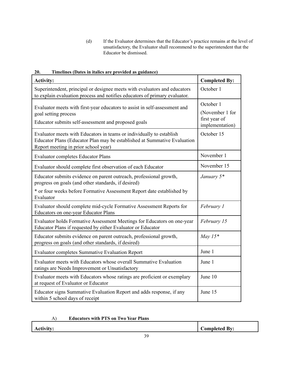(d) If the Evaluator determines that the Educator's practice remains at the level of unsatisfactory, the Evaluator shall recommend to the superintendent that the Educator be dismissed.

| <b>Activity:</b>                                                                                                                                                                         | <b>Completed By:</b>                                             |
|------------------------------------------------------------------------------------------------------------------------------------------------------------------------------------------|------------------------------------------------------------------|
| Superintendent, principal or designee meets with evaluators and educators<br>to explain evaluation process and notifies educators of primary evaluator.                                  | October 1                                                        |
| Evaluator meets with first-year educators to assist in self-assessment and<br>goal setting process<br>Educator submits self-assessment and proposed goals                                | October 1<br>(November 1 for<br>first year of<br>implementation) |
| Evaluator meets with Educators in teams or individually to establish<br>Educator Plans (Educator Plan may be established at Summative Evaluation<br>Report meeting in prior school year) | October 15                                                       |
| <b>Evaluator completes Educator Plans</b>                                                                                                                                                | November 1                                                       |
| Evaluator should complete first observation of each Educator                                                                                                                             | November 15                                                      |
| Educator submits evidence on parent outreach, professional growth,<br>progress on goals (and other standards, if desired)                                                                | January 5*                                                       |
| * or four weeks before Formative Assessment Report date established by<br>Evaluator                                                                                                      |                                                                  |
| Evaluator should complete mid-cycle Formative Assessment Reports for<br>Educators on one-year Educator Plans                                                                             | February 1                                                       |
| Evaluator holds Formative Assessment Meetings for Educators on one-year<br>Educator Plans if requested by either Evaluator or Educator                                                   | February 15                                                      |
| Educator submits evidence on parent outreach, professional growth,<br>progress on goals (and other standards, if desired)                                                                | May $15*$                                                        |
| <b>Evaluator completes Summative Evaluation Report</b>                                                                                                                                   | June 1                                                           |
| Evaluator meets with Educators whose overall Summative Evaluation<br>ratings are Needs Improvement or Unsatisfactory                                                                     | June 1                                                           |
| Evaluator meets with Educators whose ratings are proficient or exemplary<br>at request of Evaluator or Educator                                                                          | June 10                                                          |
| Educator signs Summative Evaluation Report and adds response, if any<br>within 5 school days of receipt                                                                                  | June 15                                                          |

**20. Timelines (Dates in italics are provided as guidance)**

| <b>Educators with PTS on Two Year Plans</b><br>A) |  |
|---------------------------------------------------|--|
|---------------------------------------------------|--|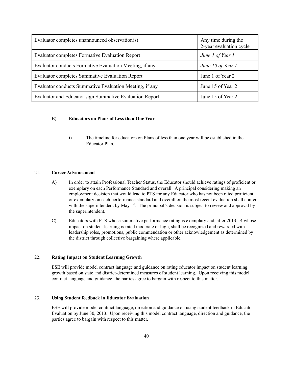| Evaluator completes unannounced observation(s)          | Any time during the<br>2-year evaluation cycle |
|---------------------------------------------------------|------------------------------------------------|
| <b>Evaluator completes Formative Evaluation Report</b>  | June 1 of Year 1                               |
| Evaluator conducts Formative Evaluation Meeting, if any | June 10 of Year 1                              |
| <b>Evaluator completes Summative Evaluation Report</b>  | June 1 of Year 2                               |
| Evaluator conducts Summative Evaluation Meeting, if any | June 15 of Year 2                              |
| Evaluator and Educator sign Summative Evaluation Report | June 15 of Year 2                              |

## B) **Educators on Plans of Less than One Year**

i) The timeline for educators on Plans of less than one year will be established in the Educator Plan.

## 21. **Career Advancement**

- A) In order to attain Professional Teacher Status, the Educator should achieve ratings of proficient or exemplary on each Performance Standard and overall. A principal considering making an employment decision that would lead to PTS for any Educator who has not been rated proficient or exemplary on each performance standard and overall on the most recent evaluation shall confer with the superintendent by May  $1<sup>st</sup>$ . The principal's decision is subject to review and approval by the superintendent.
- C) Educators with PTS whose summative performance rating is exemplary and, after 2013-14 whose impact on student learning is rated moderate or high, shall be recognized and rewarded with leadership roles, promotions, public commendation or other acknowledgement as determined by the district through collective bargaining where applicable.

## 22. **Rating Impact on Student Learning Growth**

ESE will provide model contract language and guidance on rating educator impact on student learning growth based on state and district-determined measures of student learning. Upon receiving this model contract language and guidance, the parties agree to bargain with respect to this matter.

# 23**. Using Student feedback in Educator Evaluation**

ESE will provide model contract language, direction and guidance on using student feedback in Educator Evaluation by June 30, 2013. Upon receiving this model contract language, direction and guidance, the parties agree to bargain with respect to this matter.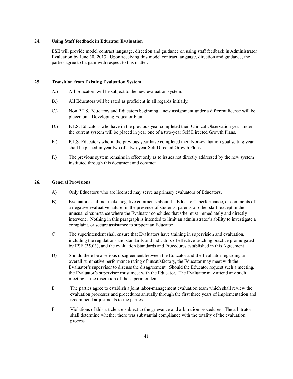## 24. **Using Staff feedback in Educator Evaluation**

ESE will provide model contract language, direction and guidance on using staff feedback in Administrator Evaluation by June 30, 2013. Upon receiving this model contract language, direction and guidance, the parties agree to bargain with respect to this matter.

#### **25. Transition from Existing Evaluation System**

- A.) All Educators will be subject to the new evaluation system.
- B.) All Educators will be rated as proficient in all regards initially.
- C.) Non P.T.S. Educators and Educators beginning a new assignment under a different license will be placed on a Developing Educator Plan.
- D.) P.T.S. Educators who have in the previous year completed their Clinical Observation year under the current system will be placed in year one of a two-year Self Directed Growth Plans.
- E.) P.T.S. Educators who in the previous year have completed their Non-evaluation goal setting year shall be placed in year two of a two-year Self Directed Growth Plans.
- F.) The previous system remains in effect only as to issues not directly addressed by the new system instituted through this document and contract

#### **26. General Provisions**

- A) Only Educators who are licensed may serve as primary evaluators of Educators.
- B) Evaluators shall not make negative comments about the Educator's performance, or comments of a negative evaluative nature, in the presence of students, parents or other staff, except in the unusual circumstance where the Evaluator concludes that s/he must immediately and directly intervene. Nothing in this paragraph is intended to limit an administrator's ability to investigate a complaint, or secure assistance to support an Educator.
- C) The superintendent shall ensure that Evaluators have training in supervision and evaluation, including the regulations and standards and indicators of effective teaching practice promulgated by ESE (35.03), and the evaluation Standards and Procedures established in this Agreement.
- D) Should there be a serious disagreement between the Educator and the Evaluator regarding an overall summative performance rating of unsatisfactory, the Educator may meet with the Evaluator's supervisor to discuss the disagreement. Should the Educator request such a meeting, the Evaluator's supervisor must meet with the Educator. The Evaluator may attend any such meeting at the discretion of the superintendent.
- E The parties agree to establish a joint labor-management evaluation team which shall review the evaluation processes and procedures annually through the first three years of implementation and recommend adjustments to the parties.
- F Violations of this article are subject to the grievance and arbitration procedures. The arbitrator shall determine whether there was substantial compliance with the totality of the evaluation process.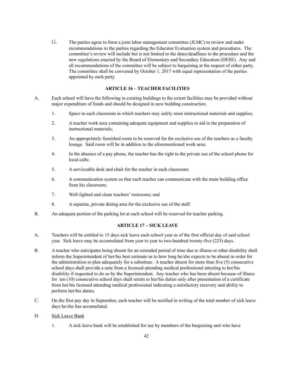G. The parties agree to form a joint labor management committee (JLMC) to review and make recommendations to the parties regarding the Educator Evaluation system and procedures. The committee's review will include but is not limited to the dates/deadlines in the procedure and the new regulations enacted by the Board of Elementary and Secondary Education (DESE). Any and all recommendations of the committee will be subject to bargaining at the request of either party. The committee shall be convened by October 1, 2017 with equal representation of the parties appointed by each party.

# **ARTICLE 16 – TEACHER FACILITIES**

- A. Each school will have the following in existing buildings to the extent facilities may be provided without major expenditure of funds and should be designed in new building construction.
	- 1. Space in each classroom in which teachers may safely store instructional materials and supplies;
	- 2. A teacher work area containing adequate equipment and supplies to aid in the preparation of instructional materials;
	- 3. An appropriately furnished room to be reserved for the exclusive use of the teachers as a faculty lounge. Said room will be in addition to the aforementioned work area;
	- 4. In the absence of a pay phone, the teacher has the right to the private use of the school phone for local calls;
	- 5. A serviceable desk and chair for the teacher in each classroom;
	- 6. A communication system so that each teacher can communicate with the main building office from his classroom;
	- 7. Well-lighted and clean teachers' restrooms; and
	- 8. A separate, private dining area for the exclusive use of the staff.
- B. An adequate portion of the parking lot at each school will be reserved for teacher parking.

#### **ARTICLE 17 – SICK LEAVE**

- A. Teachers will be entitled to 15 days sick leave each school year as of the first official day of said school year. Sick leave may be accumulated from year to year to two-hundred twenty-five (225) days.
- B. A teacher who anticipates being absent for an extended period of time due to illness or other disability shall inform the Superintendent of her/his best estimate as to how long he/she expects to be absent in order for the administration to plan adequately for a substitute. A teacher absent for more than five (5) consecutive school days shall provide a note from a licensed attending medical professional attesting to her/his disability if requested to do so by the Superintendent. Any teacher who has been absent because of illness for ten (10) consecutive school days shall return to her/his duties only after presentation of a certificate from her/his licensed attending medical professional indicating a satisfactory recovery and ability to perform her/his duties.
- C. On the first pay day in September, each teacher will be notified in writing of the total number of sick leave days he/she has accumulated.

# D. Sick Leave Bank

1. A sick leave bank will be established for use by members of the bargaining unit who have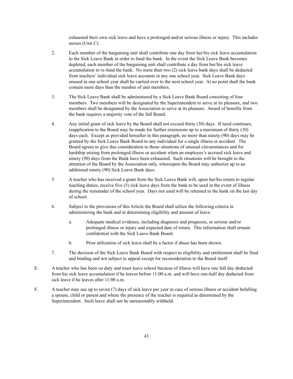exhausted their own sick leave and have a prolonged and/or serious illness or injury. This includes nurses (Unit C).

- 2. Each member of the bargaining unit shall contribute one day from her/his sick leave accumulation to the Sick Leave Bank in order to fund the bank. In the event the Sick Leave Bank becomes depleted, each member of the bargaining unit shall contribute a day from her/his sick leave accumulation to re-fund the bank. No more than two (2) sick leave bank days shall be deducted from teachers' individual sick leave accounts in any one school year. Sick Leave Bank days unused in one school year shall be carried over to the next school year. At no point shall the bank contain more days than the number of unit members.
- 3. The Sick Leave Bank shall be administered by a Sick Leave Bank Board consisting of four members. Two members will be designated by the Superintendent to serve at its pleasure, and two members shall be designated by the Association to serve at its pleasure. Award of benefits from the bank requires a majority vote of the full Board.
- 4. Any initial grant of sick leave by the Board shall not exceed thirty (30) days. If need continues, reapplication to the Board may be made for further extensions up to a maximum of thirty (30) days each. Except as provided hereafter in this paragraph, no more than ninety (90) days may be granted by the Sick Leave Bank Board to any individual for a single illness or accident. The Board agrees to give due consideration to those situations of unusual circumstances and for hardship arising from prolonged illness or accident when an employee's accrued sick leave and ninety (90) days from the Bank have been exhausted. Such situations will be brought to the attention of the Board by the Association only, whereupon the Board may authorize up to an additional ninety (90) Sick Leave Bank days.
- 5. A teacher who has received a grant from the Sick Leave Bank will, upon her/his return to regular teaching duties, receive five (5) sick leave days from the bank to be used in the event of illness during the remainder of the school year. Days not used will be returned to the bank on the last day of school.
- 6. Subject to the provisions of this Article the Board shall utilize the following criteria in administering the bank and in determining eligibility and amount of leave:
	- a. Adequate medical evidence, including diagnosis and prognosis, or serious and/or prolonged illness or injury and expected date of return. This information shall remain confidential with the Sick Leave Bank Board.
	- b. Prior utilization of sick leave shall be a factor if abuse has been shown.
- 7. The decision of the Sick Leave Bank Board with respect to eligibility and entitlement shall be final and binding and not subject to appeal except for reconsideration to the Board itself.
- E. A teacher who has been on duty and must leave school because of illness will have one full day deducted from his sick leave accumulation if he leaves before 11:00 a.m. and will have one-half day deducted from sick leave if he leaves after 11:00 a.m.
- F. A teacher may use up to seven (7) days of sick leave per year in case of serious illness or accident befalling a spouse, child or parent and where the presence of the teacher is required as determined by the Superintendent. Such leave shall not be unreasonably withheld.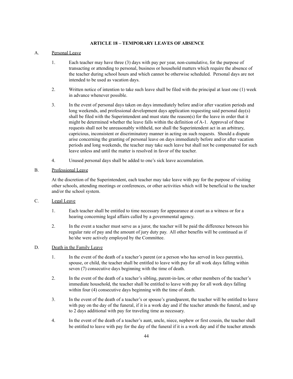## **ARTICLE 18 – TEMPORARY LEAVES OF ABSENCE**

## A. Personal Leave

- 1. Each teacher may have three (3) days with pay per year, non-cumulative, for the purpose of transacting or attending to personal, business or household matters which require the absence of the teacher during school hours and which cannot be otherwise scheduled. Personal days are not intended to be used as vacation days.
- 2. Written notice of intention to take such leave shall be filed with the principal at least one (1) week in advance whenever possible.
- 3. In the event of personal days taken on days immediately before and/or after vacation periods and long weekends, and professional development days application requesting said personal day(s) shall be filed with the Superintendent and must state the reason(s) for the leave in order that it might be determined whether the leave falls within the definition of A-1. Approval of these requests shall not be unreasonably withheld, nor shall the Superintendent act in an arbitrary, capricious, inconsistent or discriminatory manner in acting on such requests. Should a dispute arise concerning the granting of personal leave on days immediately before and/or after vacation periods and long weekends, the teacher may take such leave but shall not be compensated for such leave unless and until the matter is resolved in favor of the teacher.
- 4. Unused personal days shall be added to one's sick leave accumulation.

## B. Professional Leave

At the discretion of the Superintendent, each teacher may take leave with pay for the purpose of visiting other schools, attending meetings or conferences, or other activities which will be beneficial to the teacher and/or the school system.

- C. Legal Leave
	- 1. Each teacher shall be entitled to time necessary for appearance at court as a witness or for a hearing concerning legal affairs called by a governmental agency.
	- 2. In the event a teacher must serve as a juror, the teacher will be paid the difference between his regular rate of pay and the amount of jury duty pay. All other benefits will be continued as if he/she were actively employed by the Committee.

# D. Death in the Family Leave

- 1. In the event of the death of a teacher's parent (or a person who has served in loco parentis), spouse, or child, the teacher shall be entitled to leave with pay for all work days falling within seven (7) consecutive days beginning with the time of death.
- 2. In the event of the death of a teacher's sibling, parent-in-law, or other members of the teacher's immediate household, the teacher shall be entitled to leave with pay for all work days falling within four (4) consecutive days beginning with the time of death.
- 3. In the event of the death of a teacher's or spouse's grandparent, the teacher will be entitled to leave with pay on the day of the funeral, if it is a work day and if the teacher attends the funeral, and up to 2 days additional with pay for traveling time as necessary.
- 4. In the event of the death of a teacher's aunt, uncle, niece, nephew or first cousin, the teacher shall be entitled to leave with pay for the day of the funeral if it is a work day and if the teacher attends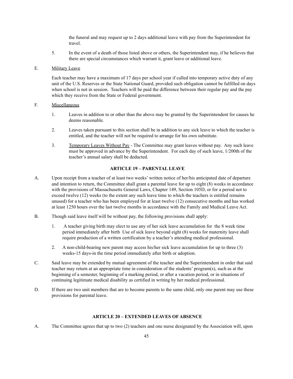the funeral and may request up to 2 days additional leave with pay from the Superintendent for travel.

5. In the event of a death of those listed above or others, the Superintendent may, if he believes that there are special circumstances which warrant it, grant leave or additional leave.

## E. Military Leave

Each teacher may have a maximum of 17 days per school year if called into temporary active duty of any unit of the U.S. Reserves or the State National Guard, provided such obligation cannot be fulfilled on days when school is not in session. Teachers will be paid the difference between their regular pay and the pay which they receive from the State or Federal government.

#### F. Miscellaneous

- 1. Leaves in addition to or other than the above may be granted by the Superintendent for causes he deems reasonable.
- 2. Leaves taken pursuant to this section shall be in addition to any sick leave to which the teacher is entitled, and the teacher will not be required to arrange for his own substitute.
- 3. Temporary Leaves Without Pay The Committee may grant leaves without pay. Any such leave must be approved in advance by the Superintendent. For each day of such leave, 1/200th of the teacher's annual salary shall be deducted.

## **ARTICLE 19 – PARENTAL LEAVE**

- A. Upon receipt from a teacher of at least two weeks' written notice of her/his anticipated date of departure and intention to return, the Committee shall grant a parental leave for up to eight (8) weeks in accordance with the provisions of Massachusetts General Laws, Chapter 149, Section 105D, or for a period not to exceed twelve (12) weeks (to the extent any such leave time to which the teachers is entitled remains unused) for a teacher who has been employed for at least twelve (12) consecutive months and has worked at least 1250 hours over the last twelve months in accordance with the Family and Medical Leave Act.
- B. Though said leave itself will be without pay, the following provisions shall apply:
	- 1. A teacher giving birth may elect to use any of her sick leave accumulation for the 8 week time period immediately after birth Use of sick leave beyond eight (8) weeks for maternity leave shall require production of a written certification by a teacher's attending medical professional.
	- 2. A non-child-bearing new parent may access his/her sick leave accumulation for up to three (3) weeks-15 days-in the time period immediately after birth or adoption.
- C. Said leave may be extended by mutual agreement of the teacher and the Superintendent in order that said teacher may return at an appropriate time in consideration of the students' program(s), such as at the beginning of a semester, beginning of a marking period, or after a vacation period, or in situations of continuing legitimate medical disability as certified in writing by her medical professional.
- D. If there are two unit members that are to become parents to the same child, only one parent may use these provisions for parental leave.

## **ARTICLE 20 – EXTENDED LEAVES OF ABSENCE**

A. The Committee agrees that up to two (2) teachers and one nurse designated by the Association will, upon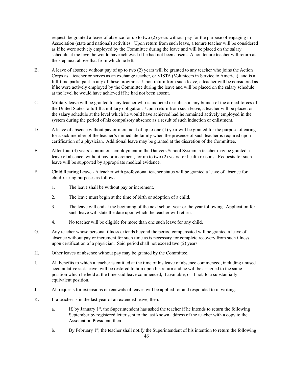request, be granted a leave of absence for up to two (2) years without pay for the purpose of engaging in Association (state and national) activities. Upon return from such leave, a tenure teacher will be considered as if he were actively employed by the Committee during the leave and will be placed on the salary schedule at the level he would have achieved if he had not been absent. A non tenure teacher will return at the step next above that from which he left.

- B. A leave of absence without pay of up to two (2) years will be granted to any teacher who joins the Action Corps as a teacher or serves as an exchange teacher, or VISTA (Volunteers in Service to America), and is a full-time participant in any of these programs. Upon return from such leave, a teacher will be considered as if he were actively employed by the Committee during the leave and will be placed on the salary schedule at the level he would have achieved if he had not been absent.
- C. Military leave will be granted to any teacher who is inducted or enlists in any branch of the armed forces of the United States to fulfill a military obligation. Upon return from such leave, a teacher will be placed on the salary schedule at the level which he would have achieved had he remained actively employed in the system during the period of his compulsory absence as a result of such induction or enlistment.
- D. A leave of absence without pay or increment of up to one (1) year will be granted for the purpose of caring for a sick member of the teacher's immediate family when the presence of such teacher is required upon certification of a physician. Additional leave may be granted at the discretion of the Committee.
- E. After four (4) years' continuous employment in the Danvers School System, a teacher may be granted a leave of absence, without pay or increment, for up to two (2) years for health reasons. Requests for such leave will be supported by appropriate medical evidence.
- F. Child Rearing Leave A teacher with professional teacher status will be granted a leave of absence for child-rearing purposes as follows:
	- 1. The leave shall be without pay or increment.
	- 2. The leave must begin at the time of birth or adoption of a child.
	- 3. The leave will end at the beginning of the next school year or the year following. Application for such leave will state the date upon which the teacher will return.
	- 4. No teacher will be eligible for more than one such leave for any child.
- G. Any teacher whose personal illness extends beyond the period compensated will be granted a leave of absence without pay or increment for such time as is necessary for complete recovery from such illness upon certification of a physician. Said period shall not exceed two (2) years.
- H. Other leaves of absence without pay may be granted by the Committee.
- I. All benefits to which a teacher is entitled at the time of his leave of absence commenced, including unused accumulative sick leave, will be restored to him upon his return and he will be assigned to the same position which he held at the time said leave commenced, if available, or if not, to a substantially equivalent position.
- J. All requests for extensions or renewals of leaves will be applied for and responded to in writing.
- K. If a teacher is in the last year of an extended leave, then:
	- a. If, by January  $1<sup>st</sup>$ , the Superintendent has asked the teacher if he intends to return the following September by registered letter sent to the last known address of the teacher with a copy to the Association President, then
	- b. By February  $1<sup>st</sup>$ , the teacher shall notify the Superintendent of his intention to return the following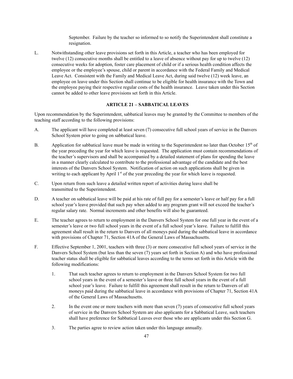September. Failure by the teacher so informed to so notify the Superintendent shall constitute a resignation.

L. Notwithstanding other leave provisions set forth in this Article, a teacher who has been employed for twelve (12) consecutive months shall be entitled to a leave of absence without pay for up to twelve (12) consecutive weeks for adoption, foster care placement of child or if a serious health condition affects the employee or the employee's spouse, child or parent in accordance with the Federal Family and Medical Leave Act. Consistent with the Family and Medical Leave Act, during said twelve (12) week leave, an employee on leave under this Section shall continue to be eligible for health insurance with the Town and the employee paying their respective regular costs of the health insurance. Leave taken under this Section cannot be added to other leave provisions set forth in this Article.

#### **ARTICLE 21 – SABBATICAL LEAVES**

Upon recommendation by the Superintendent, sabbatical leaves may be granted by the Committee to members of the teaching staff according to the following provisions:

- A. The applicant will have completed at least seven (7) consecutive full school years of service in the Danvers School System prior to going on sabbatical leave.
- B. Application for sabbatical leave must be made in writing to the Superintendent no later than October 15<sup>th</sup> of the year preceding the year for which leave is requested. The application must contain recommendations of the teacher's supervisors and shall be accompanied by a detailed statement of plans for spending the leave in a manner clearly calculated to contribute to the professional advantage of the candidate and the best interests of the Danvers School System. Notification of action on such applications shall be given in writing to each applicant by April  $1<sup>st</sup>$  of the year preceding the year for which leave is requested.
- C. Upon return from such leave a detailed written report of activities during leave shall be transmitted to the Superintendent.
- D. A teacher on sabbatical leave will be paid at his rate of full pay for a semester's leave or half pay for a full school year's leave provided that such pay when added to any program grant will not exceed the teacher's regular salary rate. Normal increments and other benefits will also be guaranteed.
- E. The teacher agrees to return to employment in the Danvers School System for one full year in the event of a semester's leave or two full school years in the event of a full school year's leave. Failure to fulfill this agreement shall result in the return to Danvers of all moneys paid during the sabbatical leave in accordance with provisions of Chapter 71, Section 41A of the General Laws of Massachusetts.
- F. Effective September 1, 2001, teachers with three (3) or more consecutive full school years of service in the Danvers School System (but less than the seven (7) years set forth in Section A) and who have professional teacher status shall be eligible for sabbatical leaves according to the terms set forth in this Article with the following modifications:
	- 1. That such teacher agrees to return to employment in the Danvers School System for two full school years in the event of a semester's leave or three full school years in the event of a full school year's leave. Failure to fulfill this agreement shall result in the return to Danvers of all moneys paid during the sabbatical leave in accordance with provisions of Chapter 71, Section 41A of the General Laws of Massachusetts.
	- 2. In the event one or more teachers with more than seven (7) years of consecutive full school years of service in the Danvers School System are also applicants for a Sabbatical Leave, such teachers shall have preference for Sabbatical Leaves over those who are applicants under this Section G.
	- 3. The parties agree to review action taken under this language annually.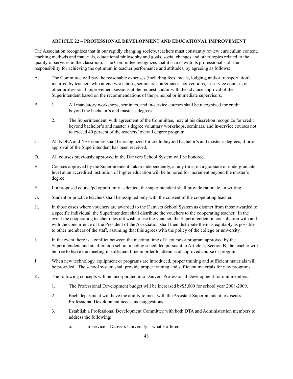#### **ARTICLE 22 – PROFESSIONAL DEVELOPMENT AND EDUCATIONAL IMPROVEMENT**

The Association recognizes that in our rapidly changing society, teachers must constantly review curriculum content, teaching methods and materials, educational philosophy and goals, social changes and other topics related to the quality of services in the classroom. The Committee recognizes that it shares with its professional staff the responsibility for achieving the optimum in teacher performance and attitudes, by agreeing as follows:

- A. The Committee will pay the reasonable expenses (including fees, meals, lodging, and/or transportation) incurred by teachers who attend workshops, seminars, conferences, conventions, in-service courses, or other professional improvement sessions at the request and/or with the advance approval of the Superintendent based on the recommendations of the principal or immediate supervisors.
- B. 1. All mandatory workshops, seminars, and in-service courses shall be recognized for credit beyond the bachelor's and master's degrees.
	- 2. The Superintendent, with agreement of the Committee, may at his discretion recognize for credit beyond bachelor's and master's degree voluntary workshops, seminars, and in-service courses not to exceed 40 percent of the teachers' overall degree program.
- C. All NDEA and NSF courses shall be recognized for credit beyond bachelor's and master's degrees, if prior approval of the Superintendent has been received.
- D. All courses previously approved in the Danvers School System will be honored.
- E. Courses approved by the Superintendent, taken independently, at any time, on a graduate or undergraduate level at an accredited institution of higher education will be honored for increment beyond the master's degree.
- F. If a proposed course/pd opportunity is denied, the superintendent shall provide rationale, in writing.
- G. Student or practice teachers shall be assigned only with the consent of the cooperating teacher.
- H. In those cases where vouchers are awarded to the Danvers School System as distinct from those awarded to a specific individual, the Superintendent shall distribute the vouchers to the cooperating teacher. In the event the cooperating teacher does not wish to use the voucher, the Superintendent in consultation with and with the concurrence of the President of the Association shall then distribute them as equitably as possible to other members of the staff, assuming that this agrees with the policy of the college or university.
- I. In the event there is a conflict between the meeting time of a course or program approved by the Superintendent and an afternoon school meeting scheduled pursuant to Article 5, Section B, the teacher will be free to leave the meeting in sufficient time in order to attend said approved course or program.
- J. When new technology, equipment or programs are introduced, proper training and sufficient materials will be provided. The school system shall provide proper training and sufficient materials for new programs.
- K. The following concepts will be incorporated into Danvers Professional Development for unit members:
	- 1. The Professional Development budget will be increased by\$5,000 for school year 2008-2009.
	- 2. Each department will have the ability to meet with the Assistant Superintendent to discuss Professional Development needs and suggestions.
	- 3. Establish a Professional Development Committee with both DTA and Administration members to address the following:
		- a. In-service Danvers University what's offered.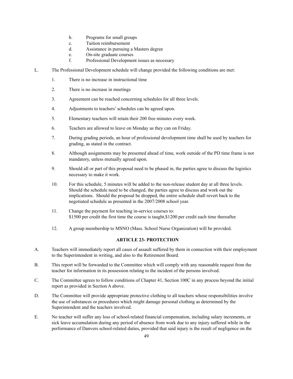- b. Programs for small groups
- c. Tuition reimbursement
- d. Assistance in pursuing a Masters degree
- e. On-site graduate courses
- f. Professional Development issues as necessary
- L. The Professional Development schedule will change provided the following conditions are met:
	- 1. There is no increase in instructional time
	- 2. There is no increase in meetings
	- 3. Agreement can be reached concerning schedules for all three levels.
	- 4. Adjustments to teachers'schedules can be agreed upon.
	- 5. Elementary teachers will retain their 200 free minutes every week.
	- 6. Teachers are allowed to leave on Monday as they can on Friday.
	- 7. During grading periods, an hour of professional development time shall be used by teachers for grading, as stated in the contract.
	- 8. Although assignments may be presented ahead of time, work outside of the PD time frame is not mandatory, unless mutually agreed upon.
	- 9. Should all or part of this proposal need to be phased in, the parties agree to discuss the logistics necessary to make it work.
	- 10. For this schedule, 5 minutes will be added to the non-release student day at all three levels. Should the schedule need to be changed, the parties agree to discuss and work out the implications. Should the proposal be dropped, the entire schedule shall revert back to the negotiated schedule as presented in the 2007/2008 school year.
	- 11. Change the payment for teaching in-service courses to: \$1500 per credit the first time the course is taught,\$1200 per credit each time thereafter.
	- 12. A group membership to MSNO (Mass. School Nurse Organization) will be provided.

# **ARTICLE 23- PROTECTION**

- A. Teachers will immediately report all cases of assault suffered by them in connection with their employment to the Superintendent in writing, and also to the Retirement Board.
- B. This report will be forwarded to the Committee which will comply with any reasonable request from the teacher for information in its possession relating to the incident of the persons involved.
- C. The Committee agrees to follow conditions of Chapter 41, Section 100C in any process beyond the initial report as provided in Section A above.
- D. The Committee will provide appropriate protective clothing to all teachers whose responsibilities involve the use of substances or procedures which might damage personal clothing as determined by the Superintendent and the teachers involved.
- E. No teacher will suffer any loss of school-related financial compensation, including salary increments, or sick leave accumulation during any period of absence from work due to any injury suffered while in the performance of Danvers school-related duties, provided that said injury is the result of negligence on the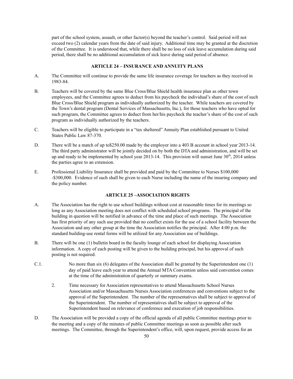part of the school system, assault, or other factor(s) beyond the teacher's control. Said period will not exceed two (2) calendar years from the date of said injury. Additional time may be granted at the discretion of the Committee. It is understood that, while there shall be no loss of sick leave accumulation during said period, there shall be no additional accumulation of sick leave during said period of absence.

#### **ARTICLE 24 – INSURANCE AND ANNUITY PLANS**

- A. The Committee will continue to provide the same life insurance coverage for teachers as they received in 1983-84.
- B. Teachers will be covered by the same Blue Cross/Blue Shield health insurance plan as other town employees, and the Committee agrees to deduct from his paycheck the individual's share of the cost of such Blue Cross/Blue Shield program as individually authorized by the teacher. While teachers are covered by the Town's dental program (Dental Services of Massachusetts, Inc.), for those teachers who have opted for such program, the Committee agrees to deduct from her/his paycheck the teacher's share of the cost of such program as individually authorized by the teachers.
- C. Teachers will be eligible to participate in a "tax sheltered" Annuity Plan established pursuant to United States Public Law 87-370.
- D. There will be a match of up to\$250.00 made by the employer into a 403 B account in school year 2013-14. The third party administrator will be jointly decided on by both the DTA and administration, and will be set up and ready to be implemented by school year  $2013-14$ . This provision will sunset June  $30<sup>th</sup>$ ,  $2014$  unless the parties agree to an extension.
- E. Professional Liability Insurance shall be provided and paid by the Committee to Nurses \$100,000 -\$300,000. Evidence of such shall be given to each Nurse including the name of the insuring company and the policy number.

## **ARTICLE 25 –ASSOCIATION RIGHTS**

- A. The Association has the right to use school buildings without cost at reasonable times for its meetings so long as any Association meeting does not conflict with scheduled school programs. The principal of the building in question will be notified in advance of the time and place of such meetings. The Association has first priority of any such use provided that no conflict exists for the use of a school facility between the Association and any other group at the time the Association notifies the principal. After 4:00 p.m. the standard building-use rental forms will be utilized for any Association use of buildings.
- B. There will be one (1) bulletin board in the faculty lounge of each school for displaying Association information. A copy of each posting will be given to the building principal, but his approval of such posting is not required.
- C.1. No more than six (6) delegates of the Association shall be granted by the Superintendent one (1) day of paid leave each year to attend the Annual MTA Convention unless said convention comes at the time of the administration of quarterly or summary exams.
	- 2. Time necessary for Association representatives to attend Massachusetts School Nurses Association and/or Massachusetts Nurses Association conferences and conventions subject to the approval of the Superintendent. The number of the representatives shall be subject to approval of the Superintendent. The number of representatives shall be subject to approval of the Superintendent based on relevance of conference and execution of job responsibilities.
- D. The Association will be provided a copy of the official agenda of all public Committee meetings prior to the meeting and a copy of the minutes of public Committee meetings as soon as possible after such meetings. The Committee, through the Superintendent's office, will, upon request, provide access for an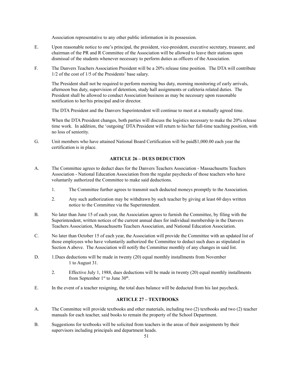Association representative to any other public information in its possession.

- E. Upon reasonable notice to one's principal, the president, vice-president, executive secretary, treasurer, and chairman of the PR and R Committee of the Association will be allowed to leave their stations upon dismissal of the students whenever necessary to perform duties as officers of the Association.
- F. The Danvers Teachers Association President will be a 20% release time position. The DTA will contribute 1/2 of the cost of 1/5 of the Presidents' base salary.

The President shall not be required to perform morning bus duty, morning monitoring of early arrivals, afternoon bus duty, supervision of detention, study hall assignments or cafeteria related duties. The President shall be allowed to conduct Association business as may be necessary upon reasonable notification to her/his principal and/or director.

The DTA President and the Danvers Superintendent will continue to meet at a mutually agreed time.

When the DTA President changes, both parties will discuss the logistics necessary to make the 20% release time work. In addition, the 'outgoing' DTA President will return to his/her full-time teaching position, with no loss of seniority.

G. Unit members who have attained National Board Certification will be paid\$1,000.00 each year the certification is in place.

#### **ARTICLE 26 – DUES DEDUCTION**

- A. The Committee agrees to deduct dues for the Danvers Teachers Association Massachusetts Teachers Association - National Education Association from the regular paychecks of those teachers who have voluntarily authorized the Committee to make said deductions.
	- 1. The Committee further agrees to transmit such deducted moneys promptly to the Association.
	- 2. Any such authorization may be withdrawn by such teacher by giving at least 60 days written notice to the Committee via the Superintendent.
- B. No later than June 15 of each year, the Association agrees to furnish the Committee, by filing with the Superintendent, written notices of the current annual dues for individual membership in the Danvers Teachers Association, Massachusetts Teachers Association, and National Education Association.
- C. No later than October 15 of each year, the Association will provide the Committee with an updated list of those employees who have voluntarily authorized the Committee to deduct such dues as stipulated in Section A above. The Association will notify the Committee monthly of any changes in said list.
- D. 1.Dues deductions will be made in twenty (20) equal monthly installments from November 1 to August 31.
	- 2. Effective July 1, 1988, dues deductions will be made in twenty (20) equal monthly installments from September  $1<sup>st</sup>$  to June  $30<sup>th</sup>$ .
- E. In the event of a teacher resigning, the total dues balance will be deducted from his last paycheck.

## **ARTICLE 27 – TEXTBOOKS**

- A. The Committee will provide textbooks and other materials, including two (2) textbooks and two (2) teacher manuals for each teacher, said books to remain the property of the School Department.
- B. Suggestions for textbooks will be solicited from teachers in the areas of their assignments by their supervisors including principals and department heads.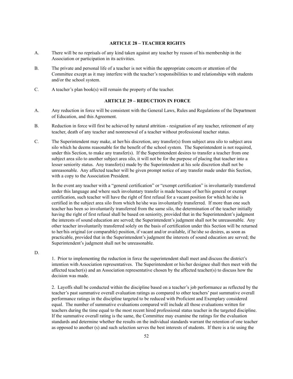## **ARTICLE 28 – TEACHER RIGHTS**

- A. There will be no reprisals of any kind taken against any teacher by reason of his membership in the Association or participation in its activities.
- B. The private and personal life of a teacher is not within the appropriate concern or attention of the Committee except as it may interfere with the teacher's responsibilities to and relationships with students and/or the school system.
- C. A teacher's plan book(s) will remain the property of the teacher.

#### **ARTICLE 29 – REDUCTION IN FORCE**

- A. Any reduction in force will be consistent with the General Laws, Rules and Regulations of the Department of Education, and this Agreement.
- B. Reduction in force will first be achieved by natural attrition resignation of any teacher, retirement of any teacher, death of any teacher and nonrenewal of a teacher without professional teacher status.
- C. The Superintendent may make, at her/his discretion, any transfer(s) from subject area silo to subject area silo which he deems reasonable for the benefit of the school system. The Superintendent is not required, under this Section, to make any transfer(s). If the Superintendent desires to transfer a teacher from one subject area silo to another subject area silo, it will not be for the purpose of placing that teacher into a lesser seniority status. Any transfer(s) made by the Superintendent at his sole discretion shall not be unreasonable. Any affected teacher will be given prompt notice of any transfer made under this Section, with a copy to the Association President.

In the event any teacher with a "general certification" or "exempt certification" is involuntarily transferred under this language and where such involuntary transfer is made because of her/his general or exempt certification, such teacher will have the right of first refusal for a vacant position for which he/she is certified in the subject area silo from which he/she was involuntarily transferred. If more than one such teacher has been so involuntarily transferred from the same silo, the determination of the teacher initially having the right of first refusal shall be based on seniority, provided that in the Superintendent's judgment the interests of sound education are served; the Superintendent's judgment shall not be unreasonable. Any other teacher involuntarily transferred solely on the basis of certification under this Section will be returned to her/his original (or comparable) position, if vacant and/or available, if he/she so desires, as soon as practicable, provided that in the Superintendent's judgment the interests of sound education are served; the Superintendent's judgment shall not be unreasonable.

D.

1. Prior to implementing the reduction in force the superintendent shall meet and discuss the district's intention with Association representatives. The Superintendent or his/her designee shall then meet with the affected teacher(s) and an Association representative chosen by the affected teacher(s) to discuss how the decision was made.

2. Layoffs shall be conducted within the discipline based on a teacher's job performance as reflected by the teacher's past summative overall evaluation ratings as compared to other teachers' past summative overall performance ratings in the discipline targeted to be reduced with Proficient and Exemplary considered equal. The number of summative evaluations compared will include all those evaluations written for teachers during the time equal to the most recent hired professional status teacher in the targeted discipline. If the summative overall rating is the same, the Committee may examine the ratings for the evaluation standards and determine whether the results on the individual standards warrant the retention of one teacher as opposed to another (s) and such selection serves the best interests of students. If there is a tie using the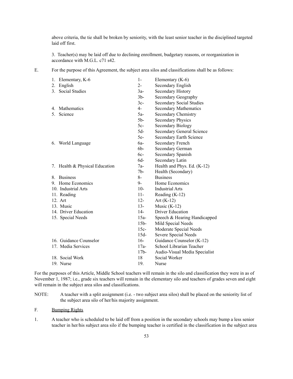above criteria, the tie shall be broken by seniority, with the least senior teacher in the disciplined targeted laid off first.

3. Teacher(s) may be laid off due to declining enrollment, budgetary reasons, or reorganization in accordance with M.G.L. c71 s42.

E. For the purpose of this Agreement, the subject area silos and classifications shall be as follows:

| 1.             | Elementary, K-6                | $1-$            | Elementary $(K-6)$              |
|----------------|--------------------------------|-----------------|---------------------------------|
| 2.             | English                        | $2 -$           | Secondary English               |
| 3 <sub>1</sub> | <b>Social Studies</b>          | $3a-$           | Secondary History               |
|                |                                | 3 <sub>b</sub>  | Secondary Geography             |
|                |                                | $3c-$           | <b>Secondary Social Studies</b> |
| $4_{\cdot}$    | <b>Mathematics</b>             | $4-$            | <b>Secondary Mathematics</b>    |
| 5              | Science                        | $5a-$           | <b>Secondary Chemistry</b>      |
|                |                                | 5 <sub>b</sub>  | <b>Secondary Physics</b>        |
|                |                                | $5c-$           | Secondary Biology               |
|                |                                | $5d-$           | Secondary General Science       |
|                |                                | $5e-$           | <b>Secondary Earth Science</b>  |
| 6.             | World Language                 | 6а-             | Secondary French                |
|                |                                | $6b-$           | Secondary German                |
|                |                                | 6c-             | Secondary Spanish               |
|                |                                | 6d-             | Secondary Latin                 |
|                | 7. Health & Physical Education | $7a-$           | Health and Phys. Ed. (K-12)     |
|                |                                | 7 <sub>b</sub>  | Health (Secondary)              |
| 8.             | <b>Business</b>                | $8-$            | <b>Business</b>                 |
|                | 9. Home Economics              | 9-              | Home Economics                  |
|                | 10. Industrial Arts            | $10-$           | <b>Industrial Arts</b>          |
|                | 11. Reading                    | $11 -$          | Reading $(K-12)$                |
|                | 12. Art                        | $12 -$          | Art $(K-12)$                    |
|                | 13. Music                      | $13 -$          | Music $(K-12)$                  |
|                | 14. Driver Education           | $14-$           | <b>Driver Education</b>         |
|                | 15. Special Needs              | $15a-$          | Speech & Hearing Handicapped    |
|                |                                | 15 <sub>b</sub> | Mild Special Needs              |
|                |                                | $15c-$          | Moderate Special Needs          |
|                |                                | $15d-$          | Severe Special Needs            |
|                | 16. Guidance Counselor         | $16-$           | Guidance Counselor (K-12)       |
|                | 17. Media Services             | $17a-$          | School Librarian Teacher        |
|                |                                | 17 <sub>b</sub> | Audio-Visual Media Specialist   |
|                | 18. Social Work                | 18              | Social Worker                   |
|                | 19. Nurse                      | 19.             | Nurse                           |

For the purposes of this Article, Middle School teachers will remain in the silo and classification they were in as of November 1, 1987; i.e., grade six teachers will remain in the elementary silo and teachers of grades seven and eight will remain in the subject area silos and classifications.

NOTE: A teacher with a split assignment (i.e. - two subject area silos) shall be placed on the seniority list of the subject area silo of her/his majority assignment.

F. Bumping Rights

1. A teacher who is scheduled to be laid off from a position in the secondary schools may bump a less senior teacher in her/his subject area silo if the bumping teacher is certified in the classification in the subject area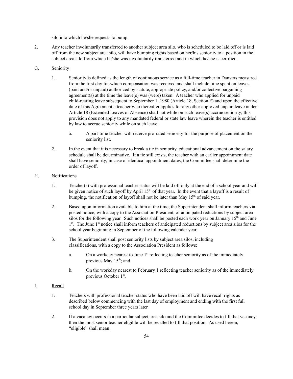silo into which he/she requests to bump.

2. Any teacher involuntarily transferred to another subject area silo, who is scheduled to be laid off or is laid off from the new subject area silo, will have bumping rights based on her/his seniority to a position in the subject area silo from which he/she was involuntarily transferred and in which he/she is certified.

## G. Seniority

- 1. Seniority is defined as the length of continuous service as a full-time teacher in Danvers measured from the first day for which compensation was received and shall include time spent on leaves (paid and/or unpaid) authorized by statute, appropriate policy, and/or collective bargaining agreement(s) at the time the leave(s) was (were) taken. A teacher who applied for unpaid child-rearing leave subsequent to September 1, 1980 (Article 18, Section F) and upon the effective date of this Agreement a teacher who thereafter applies for any other approved unpaid leave under Article 18 (Extended Leaves of Absence) shall not while on such leave(s) accrue seniority; this provision does not apply to any mandated federal or state law leave wherein the teacher is entitled by law to accrue seniority while on such leave.
	- a. A part-time teacher will receive pro-rated seniority for the purpose of placement on the seniority list.
- 2. In the event that it is necessary to break a tie in seniority, educational advancement on the salary schedule shall be determinative. If a tie still exists, the teacher with an earlier appointment date shall have seniority; in case of identical appointment dates, the Committee shall determine the order of layoff.

#### H. Notifications

- 1. Teacher(s) with professional teacher status will be laid off only at the end of a school year and will be given notice of such layoff by April  $15<sup>th</sup>$  of that year. In the event that a layoff is a result of bumping, the notification of layoff shall not be later than May 15<sup>th</sup> of said year.
- 2. Based upon information available to him at the time, the Superintendent shall inform teachers via posted notice, with a copy to the Association President, of anticipated reductions by subject area silos for the following year. Such notices shall be posted each work year on January  $15<sup>th</sup>$  and June 1<sup>st</sup>. The June 1<sup>st</sup> notice shall inform teachers of anticipated reductions by subject area silos for the school year beginning in September of the following calendar year.
- 3. The Superintendent shall post seniority lists by subject area silos, including classifications, with a copy to the Association President as follows:
	- a. On a workday nearest to June  $1<sup>st</sup>$  reflecting teacher seniority as of the immediately previous May 15<sup>th</sup>; and
	- b. On the workday nearest to February 1 reflecting teacher seniority as of the immediately previous October 1<sup>st</sup>.

#### I. Recall

- 1. Teachers with professional teacher status who have been laid off will have recall rights as described below commencing with the last day of employment and ending with the first full school day in September three years later.
- 2. If a vacancy occurs in a particular subject area silo and the Committee decides to fill that vacancy, then the most senior teacher eligible will be recalled to fill that position. As used herein, "eligible" shall mean: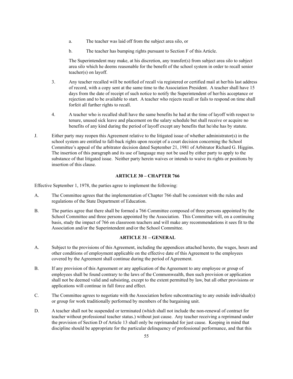- a. The teacher was laid off from the subject area silo, or
- b. The teacher has bumping rights pursuant to Section F of this Article.

The Superintendent may make, at his discretion, any transfer(s) from subject area silo to subject area silo which he deems reasonable for the benefit of the school system in order to recall senior teacher(s) on layoff.

- 3. Any teacher recalled will be notified of recall via registered or certified mail at her/his last address of record, with a copy sent at the same time to the Association President. A teacher shall have 15 days from the date of receipt of such notice to notify the Superintendent of her/his acceptance or rejection and to be available to start. A teacher who rejects recall or fails to respond on time shall forfeit all further rights to recall.
- 4. A teacher who is recalled shall have the same benefits he had at the time of layoff with respect to tenure, unused sick leave and placement on the salary schedule but shall receive or acquire no benefits of any kind during the period of layoff except any benefits that he/she has by statute.
- J. Either party may reopen this Agreement relative to the litigated issue of whether administrator(s) in the school system are entitled to fall-back rights upon receipt of a court decision concerning the School Committee's appeal of the arbitrator decision dated September 21, 1981 of Arbitrator Richard G. Higgins. The insertion of this paragraph and its use of language may not be used by either party to apply to the substance of that litigated issue. Neither party herein waives or intends to waive its rights or positions by insertion of this clause.

#### **ARTICLE 30 – CHAPTER 766**

Effective September 1, 1978, the parties agree to implement the following:

- A. The Committee agrees that the implementation of Chapter 766 shall be consistent with the rules and regulations of the State Department of Education.
- B. The parties agree that there shall be formed a 766 Committee composed of three persons appointed by the School Committee and three persons appointed by the Association. This Committee will, on a continuing basis, study the impact of 766 on classroom teachers and will make any recommendations it sees fit to the Association and/or the Superintendent and/or the School Committee.

#### **ARTICLE 31 – GENERAL**

- A. Subject to the provisions of this Agreement, including the appendices attached hereto, the wages, hours and other conditions of employment applicable on the effective date of this Agreement to the employees covered by the Agreement shall continue during the period of Agreement.
- B. If any provision of this Agreement or any application of the Agreement to any employee or group of employees shall be found contrary to the laws of the Commonwealth, then such provision or application shall not be deemed valid and subsisting, except to the extent permitted by law, but all other provisions or applications will continue in full force and effect.
- C. The Committee agrees to negotiate with the Association before subcontracting to any outside individual(s) or group for work traditionally performed by members of the bargaining unit.
- D. A teacher shall not be suspended or terminated (which shall not include the non-renewal of contract for teacher without professional teacher status.) without just cause. Any teacher receiving a reprimand under the provision of Section D of Article 13 shall only be reprimanded for just cause. Keeping in mind that discipline should be appropriate for the particular delinquency of professional performance, and that this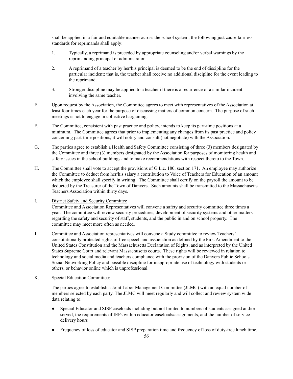shall be applied in a fair and equitable manner across the school system, the following just cause fairness standards for reprimands shall apply:

- 1. Typically, a reprimand is preceded by appropriate counseling and/or verbal warnings by the reprimanding principal or administrator.
- 2. A reprimand of a teacher by her/his principal is deemed to be the end of discipline for the particular incident; that is, the teacher shall receive no additional discipline for the event leading to the reprimand.
- 3. Stronger discipline may be applied to a teacher if there is a recurrence of a similar incident involving the same teacher.
- E. Upon request by the Association, the Committee agrees to meet with representatives of the Association at least four times each year for the purpose of discussing matters of common concern. The purpose of such meetings is not to engage in collective bargaining.
- F. The Committee, consistent with past practice and policy, intends to keep its part-time positions at a minimum. The Committee agrees that prior to implementing any changes from its past practice and policy concerning part-time positions, it will notify and consult (not negotiate) with the Association.
- G. The parties agree to establish a Health and Safety Committee consisting of three (3) members designated by the Committee and three (3) members designated by the Association for purposes of monitoring health and safety issues in the school buildings and to make recommendations with respect thereto to the Town.
- H. The Committee shall vote to accept the provisions of G.L.c. 180, section 171. An employee may authorize the Committee to deduct from her/his salary a contribution to Voice of Teachers for Education of an amount which the employee shall specify in writing. The Committee shall certify on the payroll the amount to be deducted by the Treasurer of the Town of Danvers. Such amounts shall be transmitted to the Massachusetts Teachers Association within thirty days.
- I. District Safety and Security Committee

Committee and Association Representatives will convene a safety and security committee three times a year. The committee will review security procedures, development of security systems and other matters regarding the safety and security of staff, students, and the public in and on school property. The committee may meet more often as needed.

- J. Committee and Association representatives will convene a Study committee to review Teachers' constitutionally protected rights of free speech and association as defined by the First Amendment to the United States Constitution and the Massachusetts Declaration of Rights, and as interpreted by the United States Supreme Court and relevant Massachusetts courts. These rights will be reviewed in relation to technology and social media and teachers compliance with the provision of the Danvers Public Schools Social Networking Policy and possible discipline for inappropriate use of technology with students or others, or behavior online which is unprofessional.
- K. Special Education Committee:

The parties agree to establish a Joint Labor Management Committee (JLMC) with an equal number of members selected by each party. The JLMC will meet regularly and will collect and review system wide data relating to:

- Special Educator and SISP caseloads including but not limited to numbers of students assigned and/or served, the requirements of IEPs within educator caseloads/assignments, and the number of service delivery hours
- Frequency of loss of educator and SISP preparation time and frequency of loss of duty-free lunch time.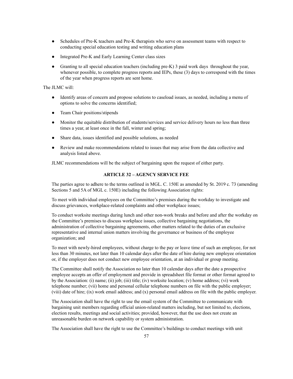- Schedules of Pre-K teachers and Pre-K therapists who serve on assessment teams with respect to conducting special education testing and writing education plans
- Integrated Pre-K and Early Learning Center class sizes
- Granting to all special education teachers (including pre-K) 3 paid work days throughout the year, whenever possible, to complete progress reports and IEPs, these (3) days to correspond with the times of the year when progress reports are sent home.

The JLMC will:

- Identify areas of concern and propose solutions to caseload issues, as needed, including a menu of options to solve the concerns identified;
- Team Chair positions/stipends
- Monitor the equitable distribution of students/services and service delivery hours no less than three times a year, at least once in the fall, winter and spring;
- Share data, issues identified and possible solutions, as needed
- Review and make recommendations related to issues that may arise from the data collective and analysis listed above.

JLMC recommendations will be the subject of bargaining upon the request of either party.

#### **ARTICLE 32 – AGENCY SERVICE FEE**

The parties agree to adhere to the terms outlined in MGL. C. 150E as amended by St. 2019 c. 73 (amending Sections 5 and 5A of MGL c. 150E) including the following Association rights:

To meet with individual employees on the Committee's premises during the workday to investigate and discuss grievances, workplace-related complaints and other workplace issues;

To conduct worksite meetings during lunch and other non-work breaks and before and after the workday on the Committee's premises to discuss workplace issues, collective bargaining negotiations, the administration of collective bargaining agreements, other matters related to the duties of an exclusive representative and internal union matters involving the governance or business of the employee organization; and

To meet with newly-hired employees, without charge to the pay or leave time of such an employee, for not less than 30 minutes, not later than 10 calendar days after the date of hire during new employee orientation or, if the employer does not conduct new employee orientation, at an individual or group meeting.

The Committee shall notify the Association no later than 10 calendar days after the date a prospective employee accepts an offer of employment and provide in spreadsheet file format or other format agreed to by the Association: (i) name; (ii) job; (iii) title; (iv) worksite location; (v) home address; (vi) work telephone number; (vii) home and personal cellular telephone numbers on file with the public employer; (viii) date of hire; (ix) work email address; and (x) personal email address on file with the public employer.

The Association shall have the right to use the email system of the Committee to communicate with bargaining unit members regarding official union-related matters including, but not limited to, elections, election results, meetings and social activities; provided, however, that the use does not create an unreasonable burden on network capability or system administration.

The Association shall have the right to use the Committee's buildings to conduct meetings with unit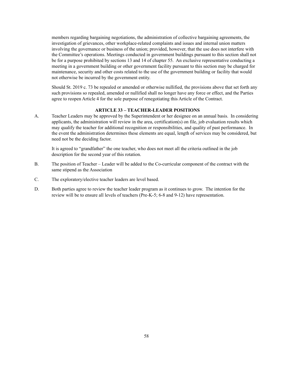members regarding bargaining negotiations, the administration of collective bargaining agreements, the investigation of grievances, other workplace-related complaints and issues and internal union matters involving the governance or business of the union; provided, however, that the use does not interfere with the Committee's operations. Meetings conducted in government buildings pursuant to this section shall not be for a purpose prohibited by sections 13 and 14 of chapter 55. An exclusive representative conducting a meeting in a government building or other government facility pursuant to this section may be charged for maintenance, security and other costs related to the use of the government building or facility that would not otherwise be incurred by the government entity.

Should St. 2019 c. 73 be repealed or amended or otherwise nullified, the provisions above that set forth any such provisions so repealed, amended or nullified shall no longer have any force or effect, and the Parties agree to reopen Article 4 for the sole purpose of renegotiating this Article of the Contract.

# **ARTICLE 33 – TEACHER-LEADER POSITIONS**

A. Teacher Leaders may be approved by the Superintendent or her designee on an annual basis. In considering applicants, the administration will review in the area, certification(s) on file, job evaluation results which may qualify the teacher for additional recognition or responsibilities, and quality of past performance. In the event the administration determines these elements are equal, length of services may be considered, but need not be the deciding factor.

It is agreed to "grandfather" the one teacher, who does not meet all the criteria outlined in the job description for the second year of this rotation.

- B. The position of Teacher Leader will be added to the Co-curricular component of the contract with the same stipend as the Association
- C. The exploratory/elective teacher leaders are level based.
- D. Both parties agree to review the teacher leader program as it continues to grow. The intention for the review will be to ensure all levels of teachers (Pre-K-5; 6-8 and 9-12) have representation.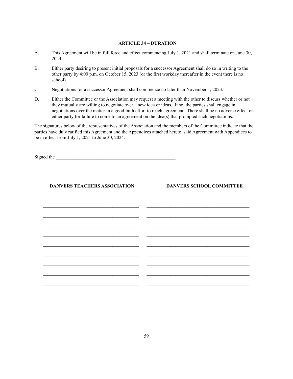#### **ARTICLE 34 – DURATION**

- A. This Agreement will be in full force and effect commencing July 1, 2021 and shall terminate on June 30, 2024.
- B. Either party desiring to present initial proposals for a successor Agreement shall do so in writing to the other party by 4:00 p.m. on October 15, 2023 (or the first workday thereafter in the event there is no school).
- C. Negotiations for a successor Agreement shall commence no later than November 1, 2023.
- D. Either the Committee or the Association may request a meeting with the other to discuss whether or not they mutually are willing to negotiate over a new idea or ideas. If so, the parties shall engage in negotiations over the matter in a good faith effort to reach agreement. There shall be no adverse effect on either party for failure to come to an agreement on the idea(s) that prompted such negotiations.

The signatures below of the representatives of the Association and the members of the Committee indicate that the parties have duly ratified this Agreement and the Appendices attached hereto, said Agreement with Appendices to be in effect from July 1, 2021 to June 30, 2024.

Signed the

| <b>DANVERS TEACHERS ASSOCIATION</b>                                                                                    | <b>DANVERS SCHOOL COMMITTEE</b><br><u> 1999 - Johann Johann Johann Johann Johann Johann Johann Johann Johann Johann Johann Johann Johann Johann Johann Johann Johann Johann Johann Johann Johann Johann Johann Johann Johann Johann Johann Johann Johann Johann Joh</u> |
|------------------------------------------------------------------------------------------------------------------------|-------------------------------------------------------------------------------------------------------------------------------------------------------------------------------------------------------------------------------------------------------------------------|
| <u> 1989 - Johann John Stoff, deutscher Stoffen und der Stoffen und der Stoffen und der Stoffen und der Stoffen u</u>  |                                                                                                                                                                                                                                                                         |
| <u> 1989 - Johann John Stoff, deutscher Stoffen und der Stoffen und der Stoffen und der Stoffen und der Stoffen un</u> |                                                                                                                                                                                                                                                                         |
|                                                                                                                        |                                                                                                                                                                                                                                                                         |
|                                                                                                                        |                                                                                                                                                                                                                                                                         |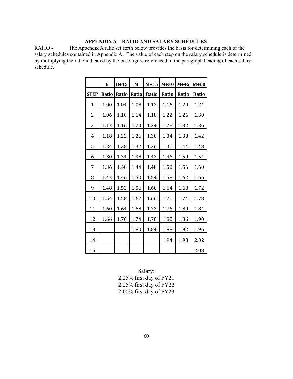# **APPENDIX A – RATIO AND SALARY SCHEDULES**

RATIO - The Appendix A ratio set forth below provides the basis for determining each of the salary schedules contained in Appendix A. The value of each step on the salary schedule is determined by multiplying the ratio indicated by the base figure referenced in the paragraph heading of each salary schedule.

|             | B     | $B+15$ | M     | $M+15$ | $M+30$ | $M+45$ | $M+60$ |
|-------------|-------|--------|-------|--------|--------|--------|--------|
| <b>STEP</b> | Ratio | Ratio  | Ratio | Ratio  | Ratio  | Ratio  | Ratio  |
| $\mathbf 1$ | 1.00  | 1.04   | 1.08  | 1.12   | 1.16   | 1.20   | 1.24   |
| 2           | 1.06  | 1.10   | 1.14  | 1.18   | 1.22   | 1.26   | 1.30   |
| 3           | 1.12  | 1.16   | 1.20  | 1.24   | 1.28   | 1.32   | 1.36   |
| 4           | 1.18  | 1.22   | 1.26  | 1.30   | 1.34   | 1.38   | 1.42   |
| 5           | 1.24  | 1.28   | 1.32  | 1.36   | 1.40   | 1.44   | 1.48   |
| 6           | 1.30  | 1.34   | 1.38  | 1.42   | 1.46   | 1.50   | 1.54   |
| 7           | 1.36  | 1.40   | 1.44  | 1.48   | 1.52   | 1.56   | 1.60   |
| 8           | 1.42  | 1.46   | 1.50  | 1.54   | 1.58   | 1.62   | 1.66   |
| 9           | 1.48  | 1.52   | 1.56  | 1.60   | 1.64   | 1.68   | 1.72   |
| 10          | 1.54  | 1.58   | 1.62  | 1.66   | 1.70   | 1.74   | 1.78   |
| 11          | 1.60  | 1.64   | 1.68  | 1.72   | 1.76   | 1.80   | 1.84   |
| 12          | 1.66  | 1.70   | 1.74  | 1.78   | 1.82   | 1.86   | 1.90   |
| 13          |       |        | 1.80  | 1.84   | 1.88   | 1.92   | 1.96   |
| 14          |       |        |       |        | 1.94   | 1.98   | 2.02   |
| 15          |       |        |       |        |        |        | 2.08   |

Salary: 2.25% first day of FY21 2.25% first day of FY22 2.00% first day of FY23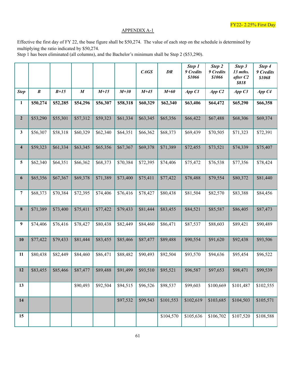# APPENDIX A-1

Effective the first day of FY 22, the base figure shall be \$50,274. The value of each step on the schedule is determined by multiplying the ratio indicated by \$50,274.

Step 1 has been eliminated (all columns), and the Bachelor's minimum shall be Step 2 (\$53,290).

|                         |                  |          |                  |          |          | CAGS     | DR        | Step 1<br>9 Credits<br>\$1066 | Step 2<br>9 Credits<br>\$1066 | Step 3<br>13 mths.<br>after C <sub>2</sub><br>\$818 | Step 4<br>9 Credits<br>\$1068 |
|-------------------------|------------------|----------|------------------|----------|----------|----------|-----------|-------------------------------|-------------------------------|-----------------------------------------------------|-------------------------------|
| <b>Step</b>             | $\boldsymbol{B}$ | $B+15$   | $\boldsymbol{M}$ | $M+15$   | $M+30$   | $M+45$   | $M+60$    | App C1                        | App C2                        | AppC3                                               | App C4                        |
| 1                       | \$50,274         | \$52,285 | \$54,296         | \$56,307 | \$58,318 | \$60,329 | \$62,340  | \$63,406                      | \$64,472                      | \$65,290                                            | \$66,358                      |
| $\mathbf{2}$            | \$53,290         | \$55,301 | \$57,312         | \$59,323 | \$61,334 | \$63,345 | \$65,356  | \$66,422                      | \$67,488                      | \$68,306                                            | \$69,374                      |
| 3                       | \$56,307         | \$58,318 | \$60,329         | \$62,340 | \$64,351 | \$66,362 | \$68,373  | \$69,439                      | \$70,505                      | \$71,323                                            | \$72,391                      |
| $\overline{\mathbf{4}}$ | \$59,323         | \$61,334 | \$63,345         | \$65,356 | \$67,367 | \$69,378 | \$71,389  | \$72,455                      | \$73,521                      | \$74,339                                            | \$75,407                      |
| 5                       | \$62,340         | \$64,351 | \$66,362         | \$68,373 | \$70,384 | \$72,395 | \$74,406  | \$75,472                      | \$76,538                      | \$77,356                                            | \$78,424                      |
| 6                       | \$65,356         | \$67,367 | \$69,378         | \$71,389 | \$73,400 | \$75,411 | \$77,422  | \$78,488                      | \$79,554                      | \$80,372                                            | \$81,440                      |
| 7                       | \$68,373         | \$70,384 | \$72,395         | \$74,406 | \$76,416 | \$78,427 | \$80,438  | \$81,504                      | \$82,570                      | \$83,388                                            | \$84,456                      |
| 8                       | \$71,389         | \$73,400 | \$75,411         | \$77,422 | \$79,433 | \$81,444 | \$83,455  | \$84,521                      | \$85,587                      | \$86,405                                            | \$87,473                      |
| 9                       | \$74,406         | \$76,416 | \$78,427         | \$80,438 | \$82,449 | \$84,460 | \$86,471  | \$87,537                      | \$88,603                      | \$89,421                                            | \$90,489                      |
| 10                      | \$77,422         | \$79,433 | \$81,444         | \$83,455 | \$85,466 | \$87,477 | \$89,488  | \$90,554                      | \$91,620                      | \$92,438                                            | \$93,506                      |
| 11                      | \$80,438         | \$82,449 | \$84,460         | \$86,471 | \$88,482 | \$90,493 | \$92,504  | \$93,570                      | \$94,636                      | \$95,454                                            | \$96,522                      |
| 12                      | \$83,455         | \$85,466 | \$87,477         | \$89,488 | \$91,499 | \$93,510 | \$95,521  | \$96,587                      | \$97,653                      | \$98,471                                            | \$99,539                      |
| 13                      |                  |          | \$90,493         | \$92,504 | \$94,515 | \$96,526 | \$98,537  | \$99,603                      | \$100,669                     | \$101,487                                           | \$102,555                     |
| 14                      |                  |          |                  |          | \$97,532 | \$99,543 | \$101,553 | \$102,619                     | \$103,685                     | \$104,503                                           | \$105,571                     |
| 15                      |                  |          |                  |          |          |          | \$104,570 | \$105,636                     | \$106,702                     | \$107,520                                           | \$108,588                     |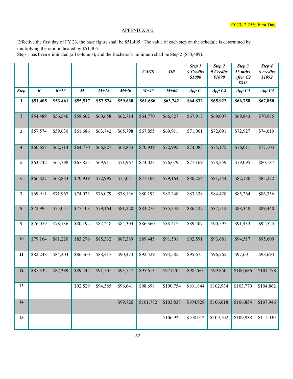# APPENDIX A-2

Effective the first day of FY 23, the base figure shall be \$51,405. The value of each step on the schedule is determined by multiplying the ratio indicated by \$51,405.

Step 1 has been eliminated (all columns), and the Bachelor's minimum shall be Step 2 (\$54,489).

|                         |                  |          |                  |          |          | CAGS      | DR        | Step 1<br>9 Credits<br>\$1090 | Step 2<br>9 Credits<br>\$1090 | Step 3<br>13 mths.<br>after C <sub>2</sub><br>\$836 | Step 4<br>9 credits<br>\$1092 |
|-------------------------|------------------|----------|------------------|----------|----------|-----------|-----------|-------------------------------|-------------------------------|-----------------------------------------------------|-------------------------------|
| <b>Step</b>             | $\boldsymbol{B}$ | $B+15$   | $\boldsymbol{M}$ | $M+15$   | $M+30$   | $M+45$    | $M+60$    | App C                         | AppC2                         | App C3                                              | App C4                        |
| 1                       | \$51,405         | \$53,461 | \$55,517         | \$57,574 | \$59,630 | \$61,686  | \$63,742  | \$64,832                      | \$65,922                      | \$66,758                                            | \$67,850                      |
| $\boldsymbol{2}$        | \$54,489         | \$56,546 | \$58,602         | \$60,658 | \$62,714 | \$64,770  | \$66,827  | \$67,917                      | \$69,007                      | \$69,843                                            | \$70,935                      |
| 3                       | \$57,574         | \$59,630 | \$61,686         | \$63,742 | \$65,798 | \$67,855  | \$69,911  | \$71,001                      | \$72,091                      | \$72,927                                            | \$74,019                      |
| $\overline{\mathbf{4}}$ | \$60,658         | \$62,714 | \$64,770         | \$66,827 | \$68,883 | \$70,939  | \$72,995  | \$74,085                      | \$75,175                      | \$76,011                                            | \$77,103                      |
| 5                       | \$63,742         | \$65,798 | \$67,855         | \$69,911 | \$71,967 | \$74,023  | \$76,079  | \$77,169                      | \$78,259                      | \$79,095                                            | \$80,187                      |
| 6                       | \$66,827         | \$68,883 | \$70,939         | \$72,995 | \$75,051 | \$77,108  | \$79,164  | \$80,254                      | \$81,344                      | \$82,180                                            | \$83,272                      |
| 7                       | \$69,911         | \$71,967 | \$74,023         | \$76,079 | \$78,136 | \$80,192  | \$82,248  | \$83,338                      | \$84,428                      | \$85,264                                            | \$86,356                      |
| $\bf 8$                 | \$72,995         | \$75,051 | \$77,108         | \$79,164 | \$81,220 | \$83,276  | \$85,332  | \$86,422                      | \$87,512                      | \$88,348                                            | \$89,440                      |
| 9                       | \$76,079         | \$78,136 | \$80,192         | \$82,248 | \$84,304 | \$86,360  | \$88,417  | \$89,507                      | \$90,597                      | \$91,433                                            | \$92,525                      |
| 10                      | \$79,164         | \$81,220 | \$83,276         | \$85,332 | \$87,389 | \$89,445  | \$91,501  | \$92,591                      | \$93,681                      | \$94,517                                            | \$95,609                      |
| 11                      | \$82,248         | \$84,304 | \$86,360         | \$88,417 | \$90,473 | \$92,529  | \$94,585  | \$95,675                      | \$96,765                      | \$97,601                                            | \$98,693                      |
| 12                      | \$85,332         | \$87,389 | \$89,445         | \$91,501 | \$93,557 | \$95,613  | \$97,670  | \$98,760                      | \$99,850                      | \$100,686                                           | \$101,778                     |
| 13                      |                  |          | \$92,529         | \$94,585 | \$96,641 | \$98,698  | \$100,754 | \$101,844                     | \$102,934                     | \$103,770                                           | \$104,862                     |
| 14                      |                  |          |                  |          | \$99,726 | \$101,782 | \$103,838 | \$104,928                     | \$106,018                     | \$106,854                                           | \$107,946                     |
| 15                      |                  |          |                  |          |          |           | \$106,922 | \$108,012                     | \$109,102                     | \$109,938                                           | \$111,030                     |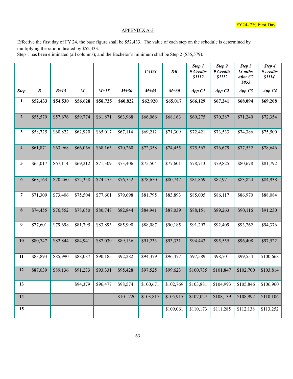# APPENDIX A-3

Effective the first day of FY 24, the base figure shall be \$52,433. The value of each step on the schedule is determined by multiplying the ratio indicated by \$52,433.

Step 1 has been eliminated (all columns), and the Bachelor's minimum shall be Step 2 (\$55,579).

|                  |           |          |                  |          |           | CAGS      | DR        | Step 1<br>9 Credits<br>\$1112 | Step 2<br>9 Credits<br>\$1112 | Step 3<br>13 mths.<br>after C <sub>2</sub><br>\$853 | Step 4<br>9 credits<br>\$1114 |
|------------------|-----------|----------|------------------|----------|-----------|-----------|-----------|-------------------------------|-------------------------------|-----------------------------------------------------|-------------------------------|
| <b>Step</b>      | $\pmb{B}$ | $B+15$   | $\boldsymbol{M}$ | $M+15$   | $M+30$    | $M+45$    | $M+60$    | App C1                        | App C2                        | App C3                                              | App C4                        |
| $\mathbf{1}$     | \$52,433  | \$54,530 | \$56,628         | \$58,725 | \$60,822  | \$62,920  | \$65,017  | \$66,129                      | \$67,241                      | \$68,094                                            | \$69,208                      |
| $\boldsymbol{2}$ | \$55,579  | \$57,676 | \$59,774         | \$61,871 | \$63,968  | \$66,066  | \$68,163  | \$69,275                      | \$70,387                      | \$71,240                                            | \$72,354                      |
| 3                | \$58,725  | \$60,822 | \$62,920         | \$65,017 | \$67,114  | \$69,212  | \$71,309  | \$72,421                      | \$73,533                      | \$74,386                                            | \$75,500                      |
| $\boldsymbol{4}$ | \$61,871  | \$63,968 | \$66,066         | \$68,163 | \$70,260  | \$72,358  | \$74,455  | \$75,567                      | \$76,679                      | \$77,532                                            | \$78,646                      |
| 5                | \$65,017  | \$67,114 | \$69,212         | \$71,309 | \$73,406  | \$75,504  | \$77,601  | \$78,713                      | \$79,825                      | \$80,678                                            | \$81,792                      |
| 6                | \$68,163  | \$70,260 | \$72,358         | \$74,455 | \$76,552  | \$78,650  | \$80,747  | \$81,859                      | \$82,971                      | \$83,824                                            | \$84,938                      |
| 7                | \$71,309  | \$73,406 | \$75,504         | \$77,601 | \$79,698  | \$81,795  | \$83,893  | \$85,005                      | \$86,117                      | \$86,970                                            | \$88,084                      |
| 8                | \$74,455  | \$76,552 | \$78,650         | \$80,747 | \$82,844  | \$84,941  | \$87,039  | \$88,151                      | \$89,263                      | \$90,116                                            | \$91,230                      |
| 9                | \$77,601  | \$79,698 | \$81,795         | \$83,893 | \$85,990  | \$88,087  | \$90,185  | \$91,297                      | \$92,409                      | \$93,262                                            | \$94,376                      |
| 10               | \$80,747  | \$82,844 | \$84,941         | \$87,039 | \$89,136  | \$91,233  | \$93,331  | \$94,443                      | \$95,555                      | \$96,408                                            | \$97,522                      |
| 11               | \$83,893  | \$85,990 | \$88,087         | \$90,185 | \$92,282  | \$94,379  | \$96,477  | \$97,589                      | \$98,701                      | \$99,554                                            | \$100,668                     |
| 12               | \$87,039  | \$89,136 | \$91,233         | \$93,331 | \$95,428  | \$97,525  | \$99,623  | \$100,735                     | \$101,847                     | \$102,700                                           | \$103,814                     |
| 13               |           |          | \$94,379         | \$96,477 | \$98,574  | \$100,671 | \$102,769 | \$103,881                     | \$104,993                     | \$105,846                                           | \$106,960                     |
| 14               |           |          |                  |          | \$101,720 | \$103,817 | \$105,915 | \$107,027                     | \$108,139                     | \$108,992                                           | \$110,106                     |
| 15               |           |          |                  |          |           |           | \$109,061 | \$110,173                     | \$111,285                     | \$112,138                                           | \$113,252                     |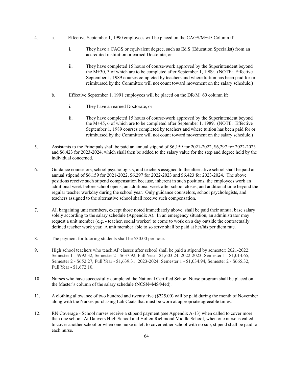- 4. a. Effective September 1, 1990 employees will be placed on the CAGS/M+45 Column if:
	- i. They have a CAGS or equivalent degree, such as Ed.S (Education Specialist) from an accredited institution or earned Doctorate, or
	- ii. They have completed 15 hours of course-work approved by the Superintendent beyond the M+30, 3 of which are to be completed after September 1, 1989. (NOTE: Effective September 1, 1989 courses completed by teachers and where tuition has been paid for or reimbursed by the Committee will not count toward movement on the salary schedule.)
	- b. Effective September 1, 1991 employees will be placed on the DR/M+60 column if:
		- i. They have an earned Doctorate, or
		- ii. They have completed 15 hours of course-work approved by the Superintendent beyond the M+45, 6 of which are to be completed after September 1, 1989. (NOTE: Effective September 1, 1989 courses completed by teachers and where tuition has been paid for or reimbursed by the Committee will not count toward movement on the salary schedule.)
- 5. Assistants to the Principals shall be paid an annual stipend of \$6,159 for 2021-2022, \$6,297 for 2022-2023 and \$6,423 for 2023-2024, which shall then be added to the salary value for the step and degree held by the individual concerned.
- 6. Guidance counselors, school psychologists, and teachers assigned to the alternative school shall be paid an annual stipend of \$6,159 for 2021-2022, \$6,297 for 2022-2023 and \$6,423 for 2023-2024. The above positions receive such stipend compensation because, inherent in such positions, the employees work an additional week before school opens, an additional week after school closes, and additional time beyond the regular teacher workday during the school year. Only guidance counselors, school psychologists, and teachers assigned to the alternative school shall receive such compensation.
- 7. All bargaining unit members, except those noted immediately above, shall be paid their annual base salary solely according to the salary schedule (Appendix A). In an emergency situation, an administrator may request a unit member (e.g. - teacher, social worker) to come to work on a day outside the contractually defined teacher work year. A unit member able to so serve shall be paid at her/his per diem rate.
- 8. The payment for tutoring students shall be \$30.00 per hour.
- 9. High school teachers who teach AP classes after school shall be paid a stipend by semester: 2021-2022: Semester 1 - \$992.32, Semester 2 - \$637.92, Full Year - \$1,603.24. 2022-2023: Semester 1 - \$1,014.65, Semester 2 - \$652.27, Full Year - \$1,639.31. 2023-2024: Semester 1 - \$1,034.94, Semester 2 - \$665.32, Full Year - \$1,672.10.
- 10. Nurses who have successfully completed the National Certified School Nurse program shall be placed on the Master's column of the salary schedule (NCSN=MS/Med).
- 11. A clothing allowance of two hundred and twenty five (\$225.00) will be paid during the month of November along with the Nurses purchasing Lab Coats that must be worn at appropriate agreeable times.
- 12. RN Coverage School nurses receive a stipend payment (see Appendix A-13) when called to cover more than one school. At Danvers High School and Holten Richmond Middle School, when one nurse is called to cover another school or when one nurse is left to cover either school with no sub, stipend shall be paid to each nurse.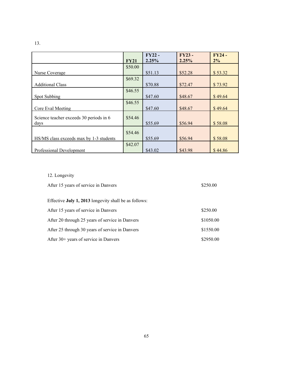|                                         |             | <b>FY22-</b> | FY23-   | <b>FY24-</b> |
|-----------------------------------------|-------------|--------------|---------|--------------|
|                                         | <b>FY21</b> | 2.25%        | 2.25%   | 2%           |
|                                         | \$50.00     |              |         |              |
| Nurse Coverage                          |             | \$51.13      | \$52.28 | \$53.32      |
|                                         | \$69.32     |              |         |              |
| <b>Additional Class</b>                 |             | \$70.88      | \$72.47 | \$73.92      |
|                                         | \$46.55     |              |         |              |
| Spot Subbing                            |             | \$47.60      | \$48.67 | \$49.64      |
|                                         | \$46.55     |              |         |              |
| Core Eval Meeting                       |             | \$47.60      | \$48.67 | \$49.64      |
| Science teacher exceeds 30 periods in 6 | \$54.46     |              |         |              |
| days                                    |             | \$55.69      | \$56.94 | \$58.08      |
|                                         |             |              |         |              |
|                                         | \$54.46     |              |         |              |
| HS/MS class exceeds max by 1-3 students |             | \$55.69      | \$56.94 | \$58.08      |
|                                         | \$42.07     |              |         |              |
| Professional Development                |             | \$43.02      | \$43.98 | \$44.86      |

# 13.

# 12. Longevity

| After 15 years of service in Danvers                  | \$250.00  |
|-------------------------------------------------------|-----------|
| Effective July 1, 2013 longevity shall be as follows: |           |
| After 15 years of service in Danvers                  | \$250.00  |
| After 20 through 25 years of service in Danvers       | \$1050.00 |
| After 25 through 30 years of service in Danvers       | \$1550.00 |
| After 30+ years of service in Danvers                 | \$2950.00 |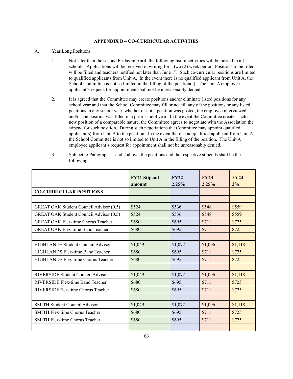## **APPENDIX B – CO-CURRICULAR ACTIVITIES**

#### A. Year Long Positions

- 1. Not later than the second Friday in April, the following list of activities will be posted in all schools. Applications will be received in writing for a two (2) week period. Positions to be filled will be filled and teachers notified not later than June 1<sup>st</sup>. Such co-curricular positions are limited to qualified applicants from Unit A. In the event there is no qualified applicant from Unit A, the School Committee is not so limited in the filling of the position(s). The Unit A employee applicant's request for appointment shall not be unreasonably denied.
- 2. It is agreed that the Committee may create positions and/or eliminate listed positions for any school year and that the School Committee may fill or not fill any of the positions or any listed positions in any school year, whether or not a position was posted, the employee interviewed and/or the position was filled in a prior school year. In the event the Committee creates such a new position of a comparable nature, the Committee agrees to negotiate with the Association the stipend for such position. During such negotiations the Committee may appoint qualified applicant(s) from Unit A to the position. In the event there is no qualified applicant from Unit A, the School Committee is not so limited to Unit A in the filling of the position. The Unit A employee applicant's request for appointment shall not be unreasonably denied.
- 3. Subject to Paragraphs 1 and 2 above, the positions and the respective stipends shall be the following:

|                                                | <b>FY21 Stipend</b><br>amount | $FY22 -$<br>2.25% | $FY23 -$<br>2.25% | $FY24 -$<br>2% |
|------------------------------------------------|-------------------------------|-------------------|-------------------|----------------|
| <b>CO-CURRICULAR POSITIONS</b>                 |                               |                   |                   |                |
|                                                |                               |                   |                   |                |
| GREAT OAK Student Council Advisor (0.5)        | \$524                         | \$536             | \$548             | \$559          |
| <b>GREAT OAK Student Council Advisor (0.5)</b> | \$524                         | \$536             | \$548             | \$559          |
| <b>GREAT OAK Flex-time Chorus Teacher</b>      | \$680                         | \$695             | \$711             | \$725          |
| <b>GREAT OAK Flex-time Band Teacher</b>        | \$680                         | \$695             | \$711             | \$725          |
|                                                |                               |                   |                   |                |
| <b>HIGHLANDS Student Council Advisor</b>       | \$1,049                       | \$1,072           | \$1,096           | \$1,118        |
| HIGHLANDS Flex-time Band Teacher               | \$680                         | \$695             | \$711             | \$725          |
| HIGHLANDS Flex-time Chorus Teacher             | \$680                         | \$695             | \$711             | \$725          |
|                                                |                               |                   |                   |                |
| RIVERSIDE Student Council Advisor              | \$1,049                       | \$1,072           | \$1,096           | \$1,118        |
| RIVERSIDE Flex-time Band Teacher               | \$680                         | \$695             | \$711             | \$725          |
| RIVERSIDEFlex-time Chorus Teacher              | \$680                         | \$695             | \$711             | \$725          |
|                                                |                               |                   |                   |                |
| <b>SMITH Student Council Advisor</b>           | \$1,049                       | \$1,072           | \$1,096           | \$1,118        |
| <b>SMITH Flex-time Chorus Teacher</b>          | \$680                         | \$695             | \$711             | \$725          |
| <b>SMITH Flex-time Chorus Teacher</b>          | \$680                         | \$695             | \$711             | \$725          |
|                                                |                               |                   |                   |                |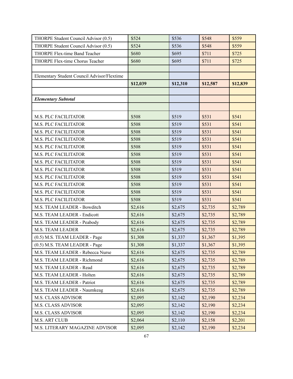| THORPE Student Council Advisor (0.5)        | \$524    | \$536    | \$548    | \$559    |
|---------------------------------------------|----------|----------|----------|----------|
| THORPE Student Council Advisor (0.5)        | \$524    | \$536    | \$548    | \$559    |
| THORPE Flex-time Band Teacher               | \$680    | \$695    | \$711    | \$725    |
| THORPE Flex-time Chorus Teacher             | \$680    | \$695    | \$711    | \$725    |
|                                             |          |          |          |          |
| Elementary Student Council Advisor/Flextime |          |          |          |          |
|                                             | \$12,039 | \$12,310 | \$12,587 | \$12,839 |
|                                             |          |          |          |          |
| <b>Elementary Subtotal</b>                  |          |          |          |          |
|                                             |          |          |          |          |
| M.S. PLC FACILITATOR                        | \$508    | \$519    | \$531    | \$541    |
| <b>M.S. PLC FACILITATOR</b>                 | \$508    | \$519    | \$531    | \$541    |
| M.S. PLC FACILITATOR                        | \$508    | \$519    | \$531    | \$541    |
| M.S. PLC FACILITATOR                        | \$508    | \$519    | \$531    | \$541    |
| <b>M.S. PLC FACILITATOR</b>                 | \$508    | \$519    | \$531    | \$541    |
| <b>M.S. PLC FACILITATOR</b>                 | \$508    | \$519    | \$531    | \$541    |
| <b>M.S. PLC FACILITATOR</b>                 | \$508    | \$519    | \$531    | \$541    |
| M.S. PLC FACILITATOR                        | \$508    | \$519    | \$531    | \$541    |
| M.S. PLC FACILITATOR                        | \$508    | \$519    | \$531    | \$541    |
| <b>M.S. PLC FACILITATOR</b>                 | \$508    | \$519    | \$531    | \$541    |
| M.S. PLC FACILITATOR                        | \$508    | \$519    | \$531    | \$541    |
| M.S. PLC FACILITATOR                        | \$508    | \$519    | \$531    | \$541    |
| M.S. TEAM LEADER - Bowditch                 | \$2,616  | \$2,675  | \$2,735  | \$2,789  |
| M.S. TEAM LEADER - Endicott                 | \$2,616  | \$2,675  | \$2,735  | \$2,789  |
| M.S. TEAM LEADER - Peabody                  | \$2,616  | \$2,675  | \$2,735  | \$2,789  |
| M.S. TEAM LEADER                            | \$2,616  | \$2,675  | \$2,735  | \$2,789  |
| (0.5) M.S. TEAM LEADER - Page               | \$1,308  | \$1,337  | \$1,367  | \$1,395  |
| (0.5) M.S. TEAM LEADER - Page               | \$1,308  | \$1,337  | \$1,367  | \$1,395  |
| M.S. TEAM LEADER - Rebecca Nurse            | \$2,616  | \$2,675  | \$2,735  | \$2,789  |
| M.S. TEAM LEADER - Richmond                 | \$2,616  | \$2,675  | \$2,735  | \$2,789  |
| M.S. TEAM LEADER - Read                     | \$2,616  | \$2,675  | \$2,735  | \$2,789  |
| M.S. TEAM LEADER - Holten                   | \$2,616  | \$2,675  | \$2,735  | \$2,789  |
| M.S. TEAM LEADER - Patriot                  | \$2,616  | \$2,675  | \$2,735  | \$2,789  |
| M.S. TEAM LEADER - Naumkeag                 | \$2,616  | \$2,675  | \$2,735  | \$2,789  |
| <b>M.S. CLASS ADVISOR</b>                   | \$2,095  | \$2,142  | \$2,190  | \$2,234  |
| <b>M.S. CLASS ADVISOR</b>                   | \$2,095  | \$2,142  | \$2,190  | \$2,234  |
| <b>M.S. CLASS ADVISOR</b>                   | \$2,095  | \$2,142  | \$2,190  | \$2,234  |
| M.S. ART CLUB                               | \$2,064  | \$2,110  | \$2,158  | \$2,201  |
| M.S. LITERARY MAGAZINE ADVISOR              | \$2,095  | \$2,142  | \$2,190  | \$2,234  |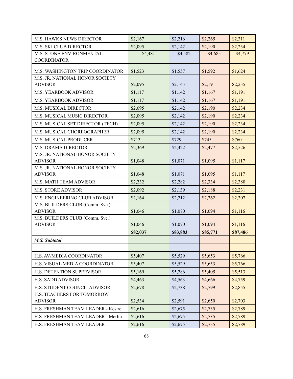| M.S. HAWKS NEWS DIRECTOR                                         | \$2,167  | \$2,216  | \$2,265  | \$2,311  |
|------------------------------------------------------------------|----------|----------|----------|----------|
| <b>M.S. SKI CLUB DIRECTOR</b>                                    | \$2,095  | \$2,142  | \$2,190  | \$2,234  |
| M.S. STONE ENVIRONMENTAL                                         | \$4,481  | \$4,582  | \$4,685  | \$4,779  |
| <b>COORDINATOR</b>                                               |          |          |          |          |
| M.S. WASHINGTON TRIP COORDINATOR                                 | \$1,523  | \$1,557  | \$1,592  | \$1,624  |
| M.S. JR. NATIONAL HONOR SOCIETY                                  |          |          |          |          |
| <b>ADVISOR</b>                                                   | \$2,095  | \$2,143  | \$2,191  | \$2,235  |
| M.S. YEARBOOK ADVISOR                                            | \$1,117  | \$1,142  | \$1,167  | \$1,191  |
| M.S. YEARBOOK ADVISOR                                            | \$1,117  | \$1,142  | \$1,167  | \$1,191  |
| M.S. MUSICAL DIRECTOR                                            | \$2,095  | \$2,142  | \$2,190  | \$2,234  |
| M.S. MUSICAL MUSIC DIRECTOR                                      | \$2,095  | \$2,142  | \$2,190  | \$2,234  |
| M.S. MUSICAL SET DIRECTOR (TECH)                                 | \$2,095  | \$2,142  | \$2,190  | \$2,234  |
| M.S. MUSICAL CHOREOGRAPHER                                       | \$2,095  | \$2,142  | \$2,190  | \$2,234  |
| M.S. MUSICAL PRODUCER                                            | \$713    | \$729    | \$745    | \$760    |
| M.S. DRAMA DIRECTOR                                              | \$2,369  | \$2,422  | \$2,477  | \$2,526  |
| M.S. JR. NATIONAL HONOR SOCIETY                                  |          |          |          |          |
| <b>ADVISOR</b>                                                   | \$1,048  | \$1,071  | \$1,095  | \$1,117  |
| M.S. JR. NATIONAL HONOR SOCIETY<br><b>ADVISOR</b>                |          |          |          |          |
|                                                                  | \$1,048  | \$1,071  | \$1,095  | \$1,117  |
| M.S. MATH TEAM ADVISOR                                           | \$2,232  | \$2,282  | \$2,334  | \$2,380  |
| <b>M.S. STORE ADVISOR</b>                                        | \$2,092  | \$2,139  | \$2,188  | \$2,231  |
| M.S. ENGINEERING CLUB ADVISOR<br>M.S. BUILDERS CLUB (Comm. Svc.) | \$2,164  | \$2,212  | \$2,262  | \$2,307  |
| <b>ADVISOR</b>                                                   | \$1,046  | \$1,070  | \$1,094  | \$1,116  |
| M.S. BUILDERS CLUB (Comm. Svc.)                                  |          |          |          |          |
| <b>ADVISOR</b>                                                   | \$1,046  | \$1,070  | \$1,094  | \$1,116  |
|                                                                  | \$82,037 | \$83,883 | \$85,771 | \$87,486 |
| <b>M.S. Subtotal</b>                                             |          |          |          |          |
|                                                                  |          |          |          |          |
| H.S. AV/MEDIA COORDINATOR                                        | \$5,407  | \$5,529  | \$5,653  | \$5,766  |
| H.S. VISUAL MEDIA COORDINATOR                                    | \$5,407  | \$5,529  | \$5,653  | \$5,766  |
| H.S. DETENTION SUPERVISOR                                        | \$5,169  | \$5,286  | \$5,405  | \$5,513  |
| <b>H.S. SADD ADVISOR</b>                                         | \$4,463  | \$4,563  | \$4,666  | \$4,759  |
| H.S. STUDENT COUNCIL ADVISOR                                     | \$2,678  | \$2,738  | \$2,799  | \$2,855  |
| H.S. TEACHERS FOR TOMORROW                                       |          |          |          |          |
| <b>ADVISOR</b>                                                   | \$2,534  | \$2,591  | \$2,650  | \$2,703  |
| H.S. FRESHMAN TEAM LEADER - Kestrel                              | \$2,616  | \$2,675  | \$2,735  | \$2,789  |
| H.S. FRESHMAN TEAM LEADER - Merlin                               | \$2,616  | \$2,675  | \$2,735  | \$2,789  |
| H.S. FRESHMAN TEAM LEADER -                                      | \$2,616  | \$2,675  | \$2,735  | \$2,789  |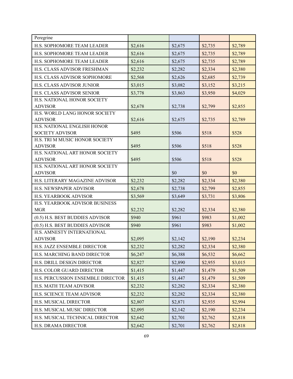| Peregrine                                     |         |         |         |         |
|-----------------------------------------------|---------|---------|---------|---------|
| H.S. SOPHOMORE TEAM LEADER                    | \$2,616 | \$2,675 | \$2,735 | \$2,789 |
| H.S. SOPHOMORE TEAM LEADER                    | \$2,616 | \$2,675 | \$2,735 | \$2,789 |
| H.S. SOPHOMORE TEAM LEADER                    | \$2,616 | \$2,675 | \$2,735 | \$2,789 |
| <b>H.S. CLASS ADVISOR FRESHMAN</b>            | \$2,232 | \$2,282 | \$2,334 | \$2,380 |
| H.S. CLASS ADVISOR SOPHOMORE                  | \$2,568 | \$2,626 | \$2,685 | \$2,739 |
| <b>H.S. CLASS ADVISOR JUNIOR</b>              | \$3,015 | \$3,082 | \$3,152 | \$3,215 |
| H.S. CLASS ADVISOR SENIOR                     | \$3,778 | \$3,863 | \$3,950 | \$4,029 |
| H.S. NATIONAL HONOR SOCIETY                   |         |         |         |         |
| <b>ADVISOR</b>                                | \$2,678 | \$2,738 | \$2,799 | \$2,855 |
| H.S. WORLD LANG HONOR SOCIETY                 |         |         |         |         |
| <b>ADVISOR</b><br>H.S. NATIONAL ENGLISH HONOR | \$2,616 | \$2,675 | \$2,735 | \$2,789 |
| <b>SOCIETY ADVISOR</b>                        | \$495   | \$506   | \$518   | \$528   |
| H.S. TRI M MUSIC HONOR SOCIETY                |         |         |         |         |
| <b>ADVISOR</b>                                | \$495   | \$506   | \$518   | \$528   |
| H.S. NATIONAL ART HONOR SOCIETY               |         |         |         |         |
| <b>ADVISOR</b>                                | \$495   | \$506   | \$518   | \$528   |
| H.S. NATIONAL ART HONOR SOCIETY               |         |         |         |         |
| <b>ADVISOR</b>                                |         | \$0     | \$0     | \$0     |
| H.S. LITERARY MAGAZINE ADVISOR                | \$2,232 | \$2,282 | \$2,334 | \$2,380 |
| H.S. NEWSPAPER ADVISOR                        | \$2,678 | \$2,738 | \$2,799 | \$2,855 |
| H.S. YEARBOOK ADVISOR                         | \$3,569 | \$3,649 | \$3,731 | \$3,806 |
| H.S. YEARBOOK ADVISOR BUSINESS                |         |         |         |         |
| <b>MGR</b>                                    | \$2,232 | \$2,282 | \$2,334 | \$2,380 |
| (0.5) H.S. BEST BUDDIES ADVISOR               | \$940   | \$961   | \$983   | \$1,002 |
| (0.5) H.S. BEST BUDDIES ADVISOR               | \$940   | \$961   | \$983   | \$1,002 |
| H.S. AMNESTY INTERNATIONAL                    |         |         |         |         |
| <b>ADVISOR</b>                                | \$2,095 | \$2,142 | \$2,190 | \$2,234 |
| H.S. JAZZ ENSEMBLE DIRECTOR                   | \$2,232 | \$2,282 | \$2,334 | \$2,380 |
| H.S. MARCHING BAND DIRECTOR                   | \$6,247 | \$6,388 | \$6,532 | \$6,662 |
| H.S. DRILL DESIGN DIRECTOR                    | \$2,827 | \$2,890 | \$2,955 | \$3,015 |
| H.S. COLOR GUARD DIRECTOR                     | \$1,415 | \$1,447 | \$1,479 | \$1,509 |
| H.S. PERCUSSION ENSEMBLE DIRECTOR             | \$1,415 | \$1,447 | \$1,479 | \$1,509 |
| H.S. MATH TEAM ADVISOR                        | \$2,232 | \$2,282 | \$2,334 | \$2,380 |
| H.S. SCIENCE TEAM ADVISOR                     | \$2,232 | \$2,282 | \$2,334 | \$2,380 |
| H.S. MUSICAL DIRECTOR                         | \$2,807 | \$2,871 | \$2,935 | \$2,994 |
| H.S. MUSICAL MUSIC DIRECTOR                   | \$2,095 | \$2,142 | \$2,190 | \$2,234 |
| H.S. MUSICAL TECHNICAL DIRECTOR               | \$2,642 | \$2,701 | \$2,762 | \$2,818 |
| H.S. DRAMA DIRECTOR                           | \$2,642 | \$2,701 | \$2,762 | \$2,818 |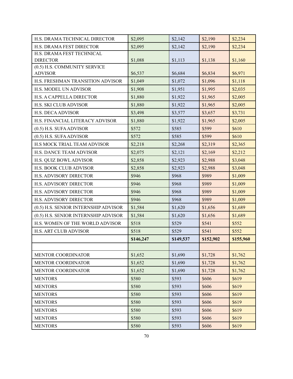| H.S. DRAMA TECHNICAL DIRECTOR                  | \$2,095   | \$2,142   | \$2,190   | \$2,234   |
|------------------------------------------------|-----------|-----------|-----------|-----------|
| H.S. DRAMA FEST DIRECTOR                       | \$2,095   | \$2,142   | \$2,190   | \$2,234   |
| H.S. DRAMA FEST TECHNICAL                      |           |           |           |           |
| <b>DIRECTOR</b>                                | \$1,088   | \$1,113   | \$1,138   | \$1,160   |
| (0.5) H.S. COMMUNITY SERVICE<br><b>ADVISOR</b> | \$6,537   | \$6,684   | \$6,834   | \$6,971   |
| H.S. FRESHMAN TRANSITION ADVISOR               | \$1,049   | \$1,072   | \$1,096   | \$1,118   |
| H.S. MODEL UN ADVISOR                          | \$1,908   | \$1,951   | \$1,995   | \$2,035   |
| H.S. A CAPPELLA DIRECTOR                       | \$1,880   | \$1,922   | \$1,965   | \$2,005   |
| <b>H.S. SKI CLUB ADVISOR</b>                   | \$1,880   | \$1,922   | \$1,965   | \$2,005   |
| <b>H.S. DECA ADVISOR</b>                       | \$3,498   | \$3,577   | \$3,657   | \$3,731   |
| H.S. FINANCIAL LITERACY ADVISOR                | \$1,880   | \$1,922   | \$1,965   | \$2,005   |
| $(0.5)$ H.S. SUFA ADVISOR                      | \$572     | \$585     | \$599     | \$610     |
| (0.5) H.S. SUFA ADVISOR                        | \$572     | \$585     | \$599     | \$610     |
| H.S MOCK TRIAL TEAM ADVISOR                    | \$2,218   | \$2,268   | \$2,319   | \$2,365   |
| H.S. DANCE TEAM ADVISOR                        | \$2,075   | \$2,121   | \$2,169   | \$2,212   |
| H.S. QUIZ BOWL ADVISOR                         | \$2,858   | \$2,923   | \$2,988   | \$3,048   |
| <b>H.S. BOOK CLUB ADVISOR</b>                  | \$2,858   | \$2,923   | \$2,988   | \$3,048   |
| <b>H.S. ADVISORY DIRECTOR</b>                  | \$946     | \$968     | \$989     | \$1,009   |
| H.S. ADVISORY DIRECTOR                         | \$946     | \$968     | \$989     | \$1,009   |
| H.S. ADVISORY DIRECTOR                         | \$946     | \$968     | \$989     | \$1,009   |
| <b>H.S. ADVISORY DIRECTOR</b>                  | \$946     | \$968     | \$989     | \$1,009   |
| (0.5) H.S. SENIOR INTERNSHIP ADVISOR           | \$1,584   | \$1,620   | \$1,656   | \$1,689   |
| (0.5) H.S. SENIOR INTERNSHIP ADVISOR           | \$1,584   | \$1,620   | \$1,656   | \$1,689   |
| H.S. WOMEN OF THE WORLD ADVISOR                | \$518     | \$529     | \$541     | \$552     |
| <b>H.S. ART CLUB ADVISOR</b>                   | \$518     | \$529     | \$541     | \$552     |
|                                                | \$146,247 | \$149,537 | \$152,902 | \$155,960 |
|                                                |           |           |           |           |
| MENTOR COORDINATOR                             | \$1,652   | \$1,690   | \$1,728   | \$1,762   |
| MENTOR COORDINATOR                             | \$1,652   | \$1,690   | \$1,728   | \$1,762   |
| <b>MENTOR COORDINATOR</b>                      | \$1,652   | \$1,690   | \$1,728   | \$1,762   |
| <b>MENTORS</b>                                 | \$580     | \$593     | \$606     | \$619     |
| <b>MENTORS</b>                                 | \$580     | \$593     | \$606     | \$619     |
| <b>MENTORS</b>                                 | \$580     | \$593     | \$606     | \$619     |
| <b>MENTORS</b>                                 | \$580     | \$593     | \$606     | \$619     |
| <b>MENTORS</b>                                 | \$580     | \$593     | \$606     | \$619     |
| <b>MENTORS</b>                                 | \$580     | \$593     | \$606     | \$619     |
| <b>MENTORS</b>                                 | \$580     | \$593     | \$606     | \$619     |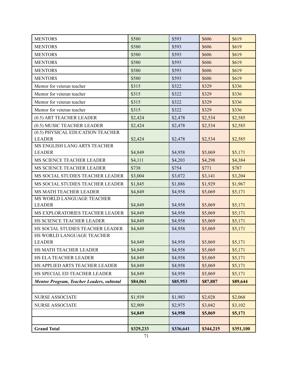| <b>MENTORS</b>                                      | \$580     | \$593     | \$606     | \$619     |
|-----------------------------------------------------|-----------|-----------|-----------|-----------|
| <b>MENTORS</b>                                      | \$580     | \$593     | \$606     | \$619     |
| <b>MENTORS</b>                                      | \$580     | \$593     | \$606     | \$619     |
| <b>MENTORS</b>                                      | \$580     | \$593     | \$606     | \$619     |
| <b>MENTORS</b>                                      | \$580     | \$593     | \$606     | \$619     |
| <b>MENTORS</b>                                      | \$580     | \$593     | \$606     | \$619     |
| Mentor for veteran teacher                          | \$315     | \$322     | \$329     | \$336     |
| Mentor for veteran teacher                          | \$315     | \$322     | \$329     | \$336     |
| Mentor for veteran teacher                          | \$315     | \$322     | \$329     | \$336     |
| Mentor for veteran teacher                          | \$315     | \$322     | \$329     | \$336     |
| (0.5) ART TEACHER LEADER                            | \$2,424   | \$2,478   | \$2,534   | \$2,585   |
| (0.5) MUSIC TEACHER LEADER                          | \$2,424   | \$2,478   | \$2,534   | \$2,585   |
| (0.5) PHYSICAL EDUCATION TEACHER                    |           |           |           |           |
| <b>LEADER</b>                                       | \$2,424   | \$2,478   | \$2,534   | \$2,585   |
| MS ENGLISH LANG ARTS TEACHER                        |           |           |           |           |
| <b>LEADER</b>                                       | \$4,849   | \$4,958   | \$5,069   | \$5,171   |
| MS SCIENCE TEACHER LEADER                           | \$4,111   | \$4,203   | \$4,298   | \$4,384   |
| MS SCIENCE TEACHER LEADER                           | \$738     | \$754     | \$771     | \$787     |
| MS SOCIAL STUDIES TEACHER LEADER                    | \$3,004   | \$3,072   | \$3,141   | \$3,204   |
| MS SOCIAL STUDIES TEACHER LEADER                    | \$1,845   | \$1,886   | \$1,929   | \$1,967   |
| MS MATH TEACHER LEADER<br>MS WORLD LANGUAGE TEACHER | \$4,849   | \$4,958   | \$5,069   | \$5,171   |
| <b>LEADER</b>                                       | \$4,849   | \$4,958   | \$5,069   | \$5,171   |
| MS EXPLORATORIES TEACHER LEADER                     | \$4,849   | \$4,958   | \$5,069   | \$5,171   |
| HS SCIENCE TEACHER LEADER                           | \$4,849   | \$4,958   | \$5,069   | \$5,171   |
| HS SOCIAL STUDIES TEACHER LEADER                    | \$4,849   | \$4,958   | \$5,069   | \$5,171   |
| HS WORLD LANGUAGE TEACHER                           |           |           |           |           |
| <b>LEADER</b>                                       | \$4,849   | \$4,958   | \$5,069   | \$5,171   |
| HS MATH TEACHER LEADER                              | \$4,849   | \$4,958   | \$5,069   | \$5,171   |
| HS ELA TEACHER LEADER                               | \$4,849   | \$4,958   | \$5,069   | \$5,171   |
| HS APPLIED ARTS TEACHER LEADER                      | \$4,849   | \$4,958   | \$5,069   | \$5,171   |
| HS SPECIAL ED TEACHER LEADER                        | \$4,849   | \$4,958   | \$5,069   | \$5,171   |
| <b>Mentor Program, Teacher Leaders, subtotal</b>    | \$84,061  | \$85,953  | \$87,887  | \$89,644  |
|                                                     |           |           |           |           |
| NURSE ASSOCIATE                                     | \$1,939   | \$1,983   | \$2,028   | \$2,068   |
| NURSE ASSOCIATE                                     | \$2,909   | \$2,975   | \$3,042   | \$3,102   |
|                                                     | \$4,849   | \$4,958   | \$5,069   | \$5,171   |
|                                                     |           |           |           |           |
| <b>Grand Total</b>                                  | \$329,233 | \$336,641 | \$344,215 | \$351,100 |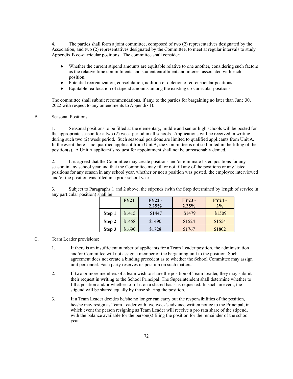4. The parties shall form a joint committee, composed of two (2) representatives designated by the Association, and two (2) representatives designated by the Committee, to meet at regular intervals to study Appendix B co-curricular positions. The committee shall consider:

- Whether the current stipend amounts are equitable relative to one another, considering such factors as the relative time commitments and student enrollment and interest associated with each position.
- Potential reorganization, consolidation, addition or deletion of co-curricular positions
- Equitable reallocation of stipend amounts among the existing co-curricular positions.

The committee shall submit recommendations, if any, to the parties for bargaining no later than June 30, 2022 with respect to any amendments to Appendix B.

#### B. Seasonal Positions

1. Seasonal positions to be filled at the elementary, middle and senior high schools will be posted for the appropriate season for a two (2) week period in all schools. Applications will be received in writing during such two (2) week period. Such seasonal positions are limited to qualified applicants from Unit A. In the event there is no qualified applicant from Unit A, the Committee is not so limited in the filling of the position(s). A Unit A applicant's request for appointment shall not be unreasonably denied.

2. It is agreed that the Committee may create positions and/or eliminate listed positions for any season in any school year and that the Committee may fill or not fill any of the positions or any listed positions for any season in any school year, whether or not a position was posted, the employee interviewed and/or the position was filled in a prior school year.

3. Subject to Paragraphs 1 and 2 above, the stipends (with the Step determined by length of service in any particular position) shall be:

|        | <b>FY21</b> | $FY22 -$<br>2.25% | $FY23 -$<br>2.25% | $FY24-$<br>2% |
|--------|-------------|-------------------|-------------------|---------------|
| Step 1 | \$1415      | \$1447            | \$1479            | \$1509        |
| Step 2 | \$1458      | \$1490            | \$1524            | \$1554        |
| Step 3 | \$1690      | \$1728            | \$1767            | \$1802        |

### C. Team Leader provisions:

- 1. If there is an insufficient number of applicants for a Team Leader position, the administration and/or Committee will not assign a member of the bargaining unit to the position. Such agreement does not create a binding precedent as to whether the School Committee may assign unit personnel. Each party reserves its position on such matters.
- 2. If two or more members of a team wish to share the position of Team Leader, they may submit their request in writing to the School Principal. The Superintendent shall determine whether to fill a position and/or whether to fill it on a shared basis as requested. In such an event, the stipend will be shared equally by those sharing the position.
- 3. If a Team Leader decides he/she no longer can carry out the responsibilities of the position, he/she may resign as Team Leader with two week's advance written notice to the Principal, in which event the person resigning as Team Leader will receive a pro rata share of the stipend, with the balance available for the person(s) filing the position for the remainder of the school year.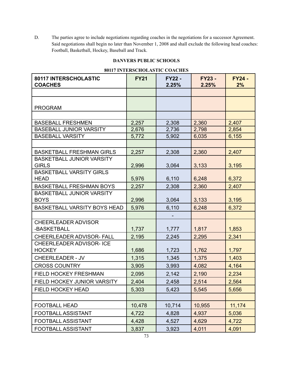D. The parties agree to include negotiations regarding coaches in the negotiations for a successor Agreement. Said negotiations shall begin no later than November 1, 2008 and shall exclude the following head coaches: Football, Basketball, Hockey, Baseball and Track.

# **DANVERS PUBLIC SCHOOLS**

|                                         | 00117 INTERSCHOLASTIC COACHES |                        |                        |                     |
|-----------------------------------------|-------------------------------|------------------------|------------------------|---------------------|
| 80117 INTERSCHOLASTIC<br><b>COACHES</b> | <b>FY21</b>                   | <b>FY22 -</b><br>2.25% | <b>FY23 -</b><br>2.25% | <b>FY24 -</b><br>2% |
|                                         |                               |                        |                        |                     |
|                                         |                               |                        |                        |                     |
| <b>PROGRAM</b>                          |                               |                        |                        |                     |
|                                         |                               |                        |                        |                     |
| <b>BASEBALL FRESHMEN</b>                | 2,257                         | 2,308                  | 2,360                  | 2,407               |
| <b>BASEBALL JUNIOR VARSITY</b>          | 2,676                         | 2,736                  | 2,798                  | 2,854               |
| <b>BASEBALL VARSITY</b>                 | 5,772                         | 5,902                  | 6,035                  | 6,155               |
|                                         |                               |                        |                        |                     |
| <b>BASKETBALL FRESHMAN GIRLS</b>        | 2,257                         | 2,308                  | 2,360                  | 2,407               |
| <b>BASKETBALL JUNIOR VARSITY</b>        |                               |                        |                        |                     |
| <b>GIRLS</b>                            | 2,996                         | 3,064                  | 3,133                  | 3,195               |
| <b>BASKETBALL VARSITY GIRLS</b>         |                               |                        |                        |                     |
| <b>HEAD</b>                             | 5,976                         | 6,110                  | 6,248                  | 6,372               |
| <b>BASKETBALL FRESHMAN BOYS</b>         | 2,257                         | 2,308                  | 2,360                  | 2,407               |
| <b>BASKETBALL JUNIOR VARSITY</b>        |                               |                        |                        |                     |
| <b>BOYS</b>                             | 2,996                         | 3,064                  | 3,133                  | 3,195               |
| <b>BASKETBALL VARSITY BOYS HEAD</b>     | 5,976                         | 6,110                  | 6,248                  | 6,372               |
|                                         |                               |                        |                        |                     |
| <b>CHEERLEADER ADVISOR</b>              |                               |                        |                        |                     |
| -BASKETBALL                             | 1,737                         | 1,777                  | 1,817                  | 1,853               |
| <b>CHEERLEADER ADVISOR- FALL</b>        | 2,195                         | 2,245                  | 2,295                  | 2,341               |
| <b>CHEERLEADER ADVISOR- ICE</b>         |                               |                        |                        |                     |
| <b>HOCKEY</b>                           | 1,686                         | 1,723                  | 1,762                  | 1,797               |
| <b>CHEERLEADER - JV</b>                 | 1,315                         | 1,345                  | 1,375                  | 1,403               |
| <b>CROSS COUNTRY</b>                    | 3,905                         | 3,993                  | 4,082                  | 4,164               |
| FIELD HOCKEY FRESHMAN                   | 2,095                         | 2,142                  | 2,190                  | 2,234               |
| FIELD HOCKEY JUNIOR VARSITY             | 2,404                         | 2,458                  | 2,514                  | 2,564               |
| FIELD HOCKEY HEAD                       | 5,303                         | 5,423                  | 5,545                  | 5,656               |
|                                         |                               |                        |                        |                     |
| <b>FOOTBALL HEAD</b>                    | 10,478                        | 10,714                 | 10,955                 | 11,174              |
| FOOTBALL ASSISTANT                      | 4,722                         | 4,828                  | 4,937                  | 5,036               |
| <b>FOOTBALL ASSISTANT</b>               | 4,428                         | 4,527                  | 4,629                  | 4,722               |
| FOOTBALL ASSISTANT                      | 3,837                         | 3,923                  | 4,011                  | 4,091               |

### **80117 INTERSCHOLASTIC COACHES**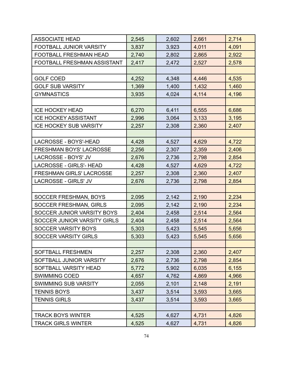| <b>ASSOCIATE HEAD</b>           | 2,545 | 2,602 | 2,661 | 2,714 |
|---------------------------------|-------|-------|-------|-------|
| FOOTBALL JUNIOR VARSITY         | 3,837 | 3,923 | 4,011 | 4,091 |
| <b>FOOTBALL FRESHMAN HEAD</b>   | 2,740 | 2,802 | 2,865 | 2,922 |
| FOOTBALL FRESHMAN ASSISTANT     | 2,417 | 2,472 | 2,527 | 2,578 |
|                                 |       |       |       |       |
| <b>GOLF COED</b>                | 4,252 | 4,348 | 4,446 | 4,535 |
| <b>GOLF SUB VARSITY</b>         | 1,369 | 1,400 | 1,432 | 1,460 |
| <b>GYMNASTICS</b>               | 3,935 | 4,024 | 4,114 | 4,196 |
|                                 |       |       |       |       |
| <b>ICE HOCKEY HEAD</b>          | 6,270 | 6,411 | 6,555 | 6,686 |
| <b>ICE HOCKEY ASSISTANT</b>     | 2,996 | 3,064 | 3,133 | 3,195 |
| <b>ICE HOCKEY SUB VARSITY</b>   | 2,257 | 2,308 | 2,360 | 2,407 |
|                                 |       |       |       |       |
| LACROSSE - BOYS'-HEAD           | 4,428 | 4,527 | 4,629 | 4,722 |
| FRESHMAN BOYS' LACROSSE         | 2,256 | 2,307 | 2,359 | 2,406 |
| LACROSSE - BOYS' JV             | 2,676 | 2,736 | 2,798 | 2,854 |
| LACROSSE - GIRLS'- HEAD         | 4,428 | 4,527 | 4,629 | 4,722 |
| <b>FRESHMAN GIRLS' LACROSSE</b> | 2,257 | 2,308 | 2,360 | 2,407 |
| LACROSSE - GIRLS' JV            | 2,676 | 2,736 | 2,798 | 2,854 |
|                                 |       |       |       |       |
| SOCCER FRESHMAN, BOYS           | 2,095 | 2,142 | 2,190 | 2,234 |
| <b>SOCCER FRESHMAN, GIRLS</b>   | 2,095 | 2,142 | 2,190 | 2,234 |
| SOCCER JUNIOR VARSITY BOYS      | 2,404 | 2,458 | 2,514 | 2,564 |
| SOCCER JUNIOR VARSITY GIRLS     | 2,404 | 2,458 | 2,514 | 2,564 |
| <b>SOCCER VARSITY BOYS</b>      | 5,303 | 5,423 | 5,545 | 5,656 |
| SOCCER VARSITY GIRLS            | 5,303 | 5,423 | 5,545 | 5,656 |
|                                 |       |       |       |       |
| <b>SOFTBALL FRESHMEN</b>        | 2,257 | 2,308 | 2,360 | 2,407 |
| SOFTBALL JUNIOR VARSITY         | 2,676 | 2,736 | 2,798 | 2,854 |
| SOFTBALL VARSITY HEAD           | 5,772 | 5,902 | 6,035 | 6,155 |
| <b>SWIMMING COED</b>            | 4,657 | 4,762 | 4,869 | 4,966 |
| <b>SWIMMING SUB VARSITY</b>     | 2,055 | 2,101 | 2,148 | 2,191 |
| <b>TENNIS BOYS</b>              | 3,437 | 3,514 | 3,593 | 3,665 |
| <b>TENNIS GIRLS</b>             | 3,437 | 3,514 | 3,593 | 3,665 |
|                                 |       |       |       |       |
| <b>TRACK BOYS WINTER</b>        | 4,525 | 4,627 | 4,731 | 4,826 |
| <b>TRACK GIRLS WINTER</b>       | 4,525 | 4,627 | 4,731 | 4,826 |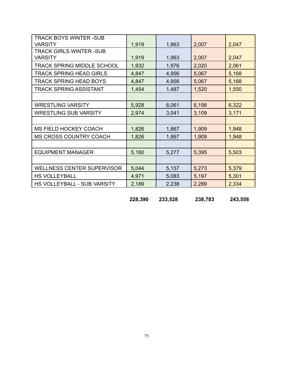| <b>TRACK BOYS WINTER-SUB</b>      |       |       |       |       |
|-----------------------------------|-------|-------|-------|-------|
| <b>VARSITY</b>                    | 1,919 | 1,963 | 2,007 | 2,047 |
| <b>TRACK GIRLS WINTER -SUB</b>    |       |       |       |       |
| <b>VARSITY</b>                    | 1,919 | 1,963 | 2,007 | 2,047 |
| TRACK SPRING MIDDLE SCHOOL        | 1,932 | 1,976 | 2,020 | 2,061 |
| <b>TRACK SPRING HEAD GIRLS</b>    | 4,847 | 4,956 | 5,067 | 5,168 |
| <b>TRACK SPRING HEAD BOYS</b>     | 4,847 | 4,956 | 5,067 | 5,168 |
| <b>TRACK SPRING ASSISTANT</b>     | 1,454 | 1,487 | 1,520 | 1,550 |
|                                   |       |       |       |       |
| <b>WRESTLING VARSITY</b>          | 5,928 | 6,061 | 6,198 | 6,322 |
| <b>WRESTLING SUB VARSITY</b>      | 2,974 | 3,041 | 3,109 | 3,171 |
|                                   |       |       |       |       |
| <b>MS FIELD HOCKEY COACH</b>      | 1,826 | 1,867 | 1,909 | 1,948 |
| <b>MS CROSS COUNTRY COACH</b>     | 1,826 | 1,867 | 1,909 | 1,948 |
|                                   |       |       |       |       |
| <b>EQUIPMENT MANAGER</b>          | 5,160 | 5,277 | 5,395 | 5,503 |
|                                   |       |       |       |       |
| <b>WELLNESS CENTER SUPERVISOR</b> | 5,044 | 5,157 | 5,273 | 5,379 |
| <b>HS VOLLEYBALL</b>              | 4,971 | 5,083 | 5,197 | 5,301 |
| HS VOLLEYBALL - SUB VARSITY       | 2,189 | 2,238 | 2,289 | 2,334 |

**228,390 233,528 238,783 243,558**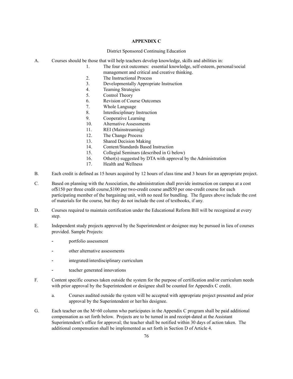#### **APPENDIX C**

#### District Sponsored Continuing Education

- A. Courses should be those that will help teachers develop knowledge, skills and abilities in:
	- 1. The four exit outcomes: essential knowledge, self-esteem, personal/social management and critical and creative thinking.
	- 2. The Instructional Process
	- 3. Developmentally Appropriate Instruction
	- 4. Teaming Strategies
	- 5. Control Theory
	- 6. Revision of Course Outcomes
	- 7. Whole Language
	- 8. Interdisciplinary Instruction
	- 9. Cooperative Learning
	- 10. Alternative Assessments
	- 11. REI (Mainstreaming)
	- 12. The Change Process
	- 13. Shared Decision Making
	- 14. Content/Standards Based Instruction
	- 15. Collegial Seminars (described in G below)
	- 16. Other(s) suggested by DTA with approval by the Administration
	- 17. Health and Wellness
- B. Each credit is defined as 15 hours acquired by 12 hours of class time and 3 hours for an appropriate project.
- C. Based on planning with the Association, the administration shall provide instruction on campus at a cost of\$150 per three credit course,\$100 per two-credit course and\$50 per one-credit course for each participating member of the bargaining unit, with no need for bundling. The figures above include the cost of materials for the course, but they do not include the cost of textbooks, if any.
- D. Courses required to maintain certification under the Educational Reform Bill will be recognized at every step.
- E. Independent study projects approved by the Superintendent or designee may be pursued in lieu of courses provided. Sample Projects:
	- portfolio assessment
	- other alternative assessments
	- integrated/interdisciplinary curriculum
	- teacher generated innovations
- F. Content specific courses taken outside the system for the purpose of certification and/or curriculum needs with prior approval by the Superintendent or designee shall be counted for Appendix C credit.
	- a. Courses audited outside the system will be accepted with appropriate project presented and prior approval by the Superintendent or her/his designee.
- G. Each teacher on the M+60 column who participates in the Appendix C program shall be paid additional compensation as set forth below. Projects are to be turned in and receipt-dated at the Assistant Superintendent's office for approval; the teacher shall be notified within 30 days of action taken. The additional compensation shall be implemented as set forth in Section D of Article 4.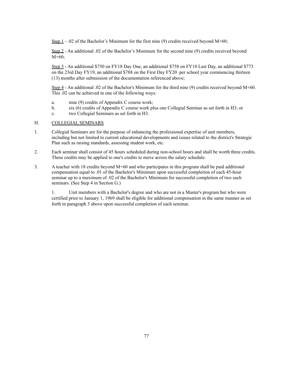Step 1 - .02 of the Bachelor's Minimum for the first nine (9) credits received beyond M+60;

Step 2 - An additional .02 of the Bachelor's Minimum for the second nine (9) credits received beyond M+60;

Step 3 - An additional \$750 on FY18 Day One, an additional \$758 on FY18 Last Day, an additional \$773 on the 23rd Day FY19, an additional \$788 on the First Day FY20 per school year commencing thirteen (13) months after submission of the documentation referenced above;

Step 4 - An additional .02 of the Bachelor's Minimum for the third nine (9) credits received beyond M+60. This .02 can be achieved in one of the following ways:

- a. nine (9) credits of Appendix C course work;
- b. six (6) credits of Appendix C course work plus one Collegial Seminar as set forth in H3; or
- c. two Collegial Seminars as set forth in H3.

#### H. COLLEGIAL SEMINARS

- 1. Collegial Seminars are for the purpose of enhancing the professional expertise of unit members, including but not limited to current educational developments and issues related to the district's Strategic Plan such as raising standards, assessing student work, etc.
- 2. Each seminar shall consist of 45 hours scheduled during non-school hours and shall be worth three credits. These credits may be applied to one's credits to move across the salary schedule.
- 3. A teacher with 18 credits beyond M+60 and who participates in this program shall be paid additional compensation equal to .01 of the Bachelor's Minimum upon successful completion of each 45-hour seminar up to a maximum of .02 of the Bachelor's Minimum for successful completion of two such seminars. (See Step 4 in Section G.)

1. Unit members with a Bachelor's degree and who are not in a Master's program but who were certified prior to January 1, 1969 shall be eligible for additional compensation in the same manner as set forth in paragraph 3 above upon successful completion of each seminar.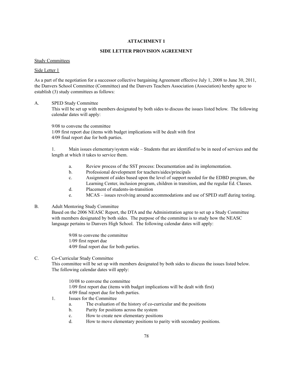#### **SIDE LETTER PROVISION AGREEMENT**

#### Study Committees

#### Side Letter 1

As a part of the negotiation for a successor collective bargaining Agreement effective July 1, 2008 to June 30, 2011, the Danvers School Committee (Committee) and the Danvers Teachers Association (Association) hereby agree to establish (3) study committees as follows:

#### A. SPED Study Committee

This will be set up with members designated by both sides to discuss the issues listed below. The following calendar dates will apply:

9/08 to convene the committee 1/09 first report due (items with budget implications will be dealt with first 4/09 final report due for both parties.

1. Main issues elementary/system wide – Students that are identified to be in need of services and the length at which it takes to service them.

- a. Review process of the SST process: Documentation and its implementation.
- b. Professional development for teachers/aides/principals
- c. Assignment of aides based upon the level of support needed for the EDBD program, the Learning Center, inclusion program, children in transition, and the regular Ed. Classes.
- d. Placement of students-in-transition
- e. MCAS issues revolving around accommodations and use of SPED staff during testing.

# B. Adult Mentoring Study Committee

Based on the 2006 NEASC Report, the DTA and the Administration agree to set up a Study Committee with members designated by both sides. The purpose of the committee is to study how the NEASC language pertains to Danvers High School. The following calendar dates will apply:

9/08 to convene the committee 1/09 first report due 4/09 final report due for both parties.

# C. Co-Curricular Study Committee

This committee will be set up with members designated by both sides to discuss the issues listed below. The following calendar dates will apply:

10/08 to convene the committee 1/09 first report due (items with budget implications will be dealt with first) 4/09 final report due for both parties.

- 1. Issues for the Committee
	- a. The evaluation of the history of co-curricular and the positions
	- b. Parity for positions across the system
	- c. How to create new elementary positions
	- d. How to move elementary positions to parity with secondary positions.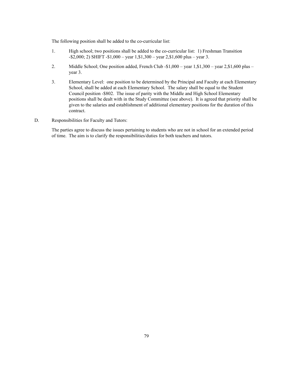The following position shall be added to the co-curricular list:

- 1. High school; two positions shall be added to the co-curricular list: 1) Freshman Transition -\$2,000; 2) SHIFT -\$1,000 – year 1,\$1,300 – year 2,\$1,600 plus – year 3.
- 2. Middle School; One position added, French Club -\$1,000 year 1,\$1,300 year 2,\$1,600 plus year 3.
- 3. Elementary Level: one position to be determined by the Principal and Faculty at each Elementary School, shall be added at each Elementary School. The salary shall be equal to the Student Council position -\$802. The issue of parity with the Middle and High School Elementary positions shall be dealt with in the Study Committee (see above). It is agreed that priority shall be given to the salaries and establishment of additional elementary positions for the duration of this contract.
- D. Responsibilities for Faculty and Tutors:

The parties agree to discuss the issues pertaining to students who are not in school for an extended period of time. The aim is to clarify the responsibilities/duties for both teachers and tutors.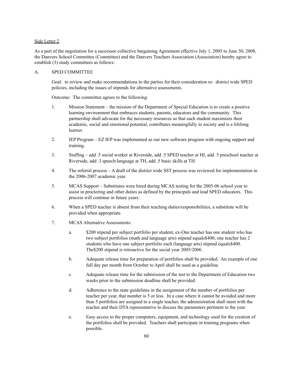#### Side Letter 2

As a part of the negotiation for a successor collective bargaining Agreement effective July 1, 2005 to June 30, 2008, the Danvers School Committee (Committee) and the Danvers Teachers Association (Association) hereby agree to establish (3) study committees as follows:

#### A. SPED COMMITTEE

Goal: to review and make recommendations to the parties for their consideration re: district wide SPED policies, including the issues of stipends for alternative assessments.

Outcome: The committee agrees to the following:

- 1. Mission Statement the mission of the Department of Special Education is to create a positive learning environment that embraces students, parents, educators and the community. This partnership shall advocate for the necessary resources so that each student maximizes their academic, social and emotional potential, contributes meaningfully to society and is a lifelong learner.
- 2. IEP Program EZ IEP was implemented as our new software program with ongoing support and training.
- 3. Staffing add .5 social worker at Riverside, add .5 SPED teacher at HI, add .5 preschool teacher at Riverside, add .3 speech/language at TH, add .5 basic skills at TH.
- 4. The referral process A draft of the district wide SST process was reviewed for implementation in the 2006-2007 academic year.
- 5. MCAS Support Substitutes were hired during MCAS testing for the 2005-06 school year to assist in proctoring and other duties as defined by the principals and lead SPED educators. This process will continue in future years.
- 6. When a SPED teacher is absent from their teaching duties/responsibilities, a substitute will be provided when appropriate.
- 7. MCAS Alternative Assessments:
	- a. \$200 stipend per subject portfolio per student, ex-One teacher has one student who has two subject portfolios (math and language arts) stipend equals\$400; one teacher has 2 students who have one subject portfolio each (language arts) stipend equals\$400. The\$200 stipend is retroactive for the social year 2005/2006.
	- b. Adequate release time for preparation of portfolios shall be provided. An example of one full day per month from October to April shall be used as a guideline.
	- c. Adequate release time for the submission of the test to the Department of Education two weeks prior to the submission deadline shall be provided.
	- d. Adherence to the state guidelines in the assignment of the number of portfolios per teacher per year, that number is 5 or less. In a case where it cannot be avoided and more than 5 portfolios are assigned to a single teacher, the administration shall meet with the teacher and their DTA representative to discuss the parameters pertinent to the year.
	- e. Easy access to the proper computers, equipment, and technology used for the creation of the portfolios shall be provided. Teachers shall participate in training programs when possible.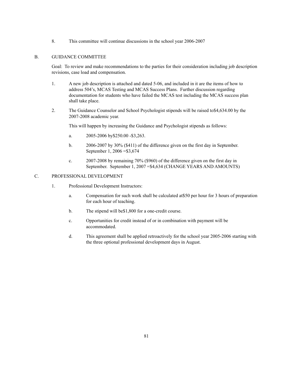8. This committee will continue discussions in the school year 2006-2007

# B. GUIDANCE COMMITTEE

Goal: To review and make recommendations to the parties for their consideration including job description revisions, case load and compensation.

- 1. A new job description is attached and dated 5-06, and included in it are the items of how to address 504's, MCAS Testing and MCAS Success Plans. Further discussion regarding documentation for students who have failed the MCAS test including the MCAS success plan shall take place.
- 2. The Guidance Counselor and School Psychologist stipends will be raised to\$4,634.00 by the 2007-2008 academic year.

This will happen by increasing the Guidance and Psychologist stipends as follows:

- a. 2005-2006 by\$250.00 -\$3,263.
- b. 2006-2007 by 30% (\$411) of the difference given on the first day in September. September 1, 2006 =\$3,674
- c. 2007-2008 by remaining 70% (\$960) of the difference given on the first day in September. September 1, 2007 =\$4,634 (CHANGE YEARS AND AMOUNTS)

#### C. PROFESSIONAL DEVELOPMENT

- 1. Professional Development Instructors:
	- a. Compensation for such work shall be calculated at\$50 per hour for 3 hours of preparation for each hour of teaching.
	- b. The stipend will be\$1,800 for a one-credit course.
	- c. Opportunities for credit instead of or in combination with payment will be accommodated.
	- d. This agreement shall be applied retroactively for the school year 2005-2006 starting with the three optional professional development days in August.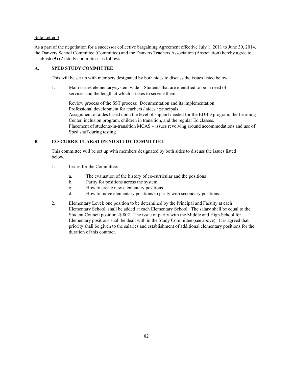#### Side Letter 3

As a part of the negotiation for a successor collective bargaining Agreement effective July 1, 2011 to June 30, 2014, the Danvers School Committee (Committee) and the Danvers Teachers Association (Association) hereby agree to establish  $(3)(2)$  study committees as follows:

#### **A. SPED STUDY COMMITTEE**

This will be set up with members designated by both sides to discuss the issues listed below.

1. Main issues elementary/system wide – Students that are identified to be in need of services and the length at which it takes to service them.

Review process of the SST process: Documentation and its implementation Professional development for teachers / aides / principals Assignment of aides based upon the level of support needed for the EDBD program, the Learning Center, inclusion program, children in transition, and the regular Ed classes. Placement of students-in-transition MCAS – issues revolving around accommodations and use of Sped staff during testing.

## **B CO-CURRICULAR/STIPEND STUDY COMMITTEE**

This committee will be set up with members designated by both sides to discuss the issues listed below.

- 1. Issues for the Committee:
	- a. The evaluation of the history of co-curricular and the positions
	- b. Parity for positions across the system
	- c. How to create new elementary positions
	- d. How to move elementary positions to parity with secondary positions.
- 2. Elementary Level; one position to be determined by the Principal and Faculty at each Elementary School, shall be added at each Elementary School. The salary shall be equal to the Student Council position -\$ 802. The issue of parity with the Middle and High School for Elementary positions shall be dealt with in the Study Committee (see above). It is agreed that priority shall be given to the salaries and establishment of additional elementary positions for the duration of this contract.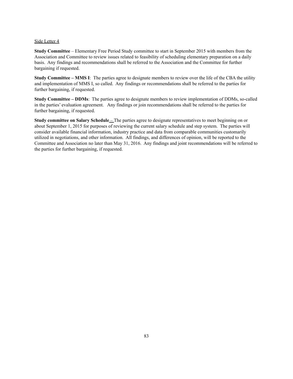#### Side Letter 4

**Study Committee** – Elementary Free Period Study committee to start in September 2015 with members from the Association and Committee to review issues related to feasibility of scheduling elementary preparation on a daily basis. Any findings and recommendations shall be referred to the Association and the Committee for further bargaining if requested.

**Study Committee – MMS I**: The parties agree to designate members to review over the life of the CBA the utility and implementation of MMS I, so called. Any findings or recommendations shall be referred to the parties for further bargaining, if requested.

**Study Committee – DDMs**: The parties agree to designate members to review implementation of DDMs, so-called in the parties' evaluation agreement. Any findings or join recommendations shall be referred to the parties for further bargaining, if requested.

**Study committee on Salary Schedule** – The parties agree to designate representatives to meet beginning on or about September 1, 2015 for purposes of reviewing the current salary schedule and step system. The parties will consider available financial information, industry practice and data from comparable communities customarily utilized in negotiations, and other information. All findings, and differences of opinion, will be reported to the Committee and Association no later than May 31, 2016. Any findings and joint recommendations will be referred to the parties for further bargaining, if requested.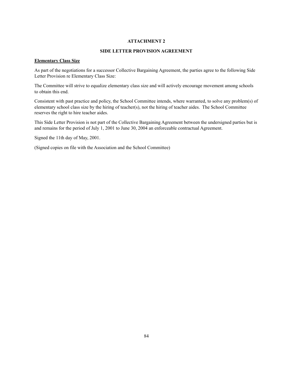#### **SIDE LETTER PROVISION AGREEMENT**

# **Elementary Class Size**

As part of the negotiations for a successor Collective Bargaining Agreement, the parties agree to the following Side Letter Provision re Elementary Class Size:

The Committee will strive to equalize elementary class size and will actively encourage movement among schools to obtain this end.

Consistent with past practice and policy, the School Committee intends, where warranted, to solve any problem(s) of elementary school class size by the hiring of teacher(s), not the hiring of teacher aides. The School Committee reserves the right to hire teacher aides.

This Side Letter Provision is not part of the Collective Bargaining Agreement between the undersigned parties but is and remains for the period of July 1, 2001 to June 30, 2004 an enforceable contractual Agreement.

Signed the 11th day of May, 2001.

(Signed copies on file with the Association and the School Committee)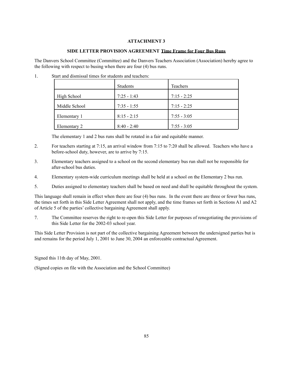# **SIDE LETTER PROVISION AGREEMENT Time Frame for Four Bus Runs**

The Danvers School Committee (Committee) and the Danvers Teachers Association (Association) hereby agree to the following with respect to busing when there are four (4) bus runs.

1. Start and dismissal times for students and teachers:

|               | <b>Students</b> | Teachers      |
|---------------|-----------------|---------------|
| High School   | $7:25 - 1:43$   | $7:15 - 2:25$ |
| Middle School | $7:35 - 1:55$   | $7:15 - 2:25$ |
| Elementary 1  | $8:15 - 2:15$   | $7:55 - 3:05$ |
| Elementary 2  | $8:40 - 2:40$   | $7:55 - 3:05$ |

The elementary 1 and 2 bus runs shall be rotated in a fair and equitable manner.

- 2. For teachers starting at 7:15, an arrival window from 7:15 to 7:20 shall be allowed. Teachers who have a before-school duty, however, are to arrive by 7:15.
- 3. Elementary teachers assigned to a school on the second elementary bus run shall not be responsible for after-school bus duties.
- 4. Elementary system-wide curriculum meetings shall be held at a school on the Elementary 2 bus run.
- 5. Duties assigned to elementary teachers shall be based on need and shall be equitable throughout the system.

This language shall remain in effect when there are four (4) bus runs. In the event there are three or fewer bus runs, the times set forth in this Side Letter Agreement shall not apply, and the time frames set forth in Sections A1 and A2 of Article 5 of the parties' collective bargaining Agreement shall apply.

7. The Committee reserves the right to re-open this Side Letter for purposes of renegotiating the provisions of this Side Letter for the 2002-03 school year.

This Side Letter Provision is not part of the collective bargaining Agreement between the undersigned parties but is and remains for the period July 1, 2001 to June 30, 2004 an enforceable contractual Agreement.

Signed this 11th day of May, 2001.

(Signed copies on file with the Association and the School Committee)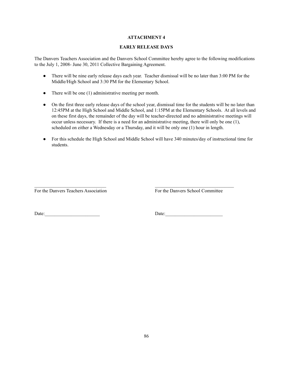# **EARLY RELEASE DAYS**

The Danvers Teachers Association and the Danvers School Committee hereby agree to the following modifications to the July 1, 2008- June 30, 2011 Collective Bargaining Agreement.

- There will be nine early release days each year. Teacher dismissal will be no later than 3:00 PM for the Middle/High School and 3:30 PM for the Elementary School.
- There will be one (1) administrative meeting per month.
- On the first three early release days of the school year, dismissal time for the students will be no later than 12:45PM at the High School and Middle School, and 1:15PM at the Elementary Schools. At all levels and on these first days, the remainder of the day will be teacher-directed and no administrative meetings will occur unless necessary. If there is a need for an administrative meeting, there will only be one (1), scheduled on either a Wednesday or a Thursday, and it will be only one (1) hour in length.
- For this schedule the High School and Middle School will have 340 minutes/day of instructional time for students.

For the Danvers Teachers Association For the Danvers School Committee

Date:\_\_\_\_\_\_\_\_\_\_\_\_\_\_\_\_\_\_\_\_\_\_\_ Date:\_\_\_\_\_\_\_\_\_\_\_\_\_\_\_\_\_\_\_\_\_\_\_\_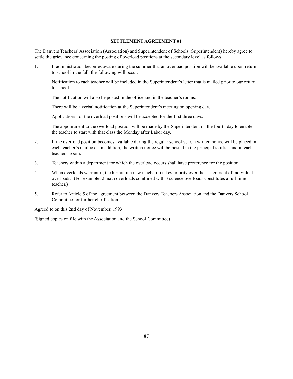The Danvers Teachers'Association (Association) and Superintendent of Schools (Superintendent) hereby agree to settle the grievance concerning the posting of overload positions at the secondary level as follows:

1. If administration becomes aware during the summer that an overload position will be available upon return to school in the fall, the following will occur:

Notification to each teacher will be included in the Superintendent's letter that is mailed prior to our return to school.

The notification will also be posted in the office and in the teacher's rooms.

There will be a verbal notification at the Superintendent's meeting on opening day.

Applications for the overload positions will be accepted for the first three days.

The appointment to the overload position will be made by the Superintendent on the fourth day to enable the teacher to start with that class the Monday after Labor day.

- 2. If the overload position becomes available during the regular school year, a written notice will be placed in each teacher's mailbox. In addition, the written notice will be posted in the principal's office and in each teachers' room.
- 3. Teachers within a department for which the overload occurs shall have preference for the position.
- 4. When overloads warrant it, the hiring of a new teacher(s) takes priority over the assignment of individual overloads. (For example, 2 math overloads combined with 3 science overloads constitutes a full-time teacher.)
- 5. Refer to Article 5 of the agreement between the Danvers Teachers Association and the Danvers School Committee for further clarification.

Agreed to on this 2nd day of November, 1993

(Signed copies on file with the Association and the School Committee)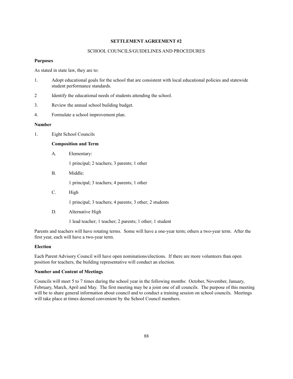#### SCHOOL COUNCILS/GUIDELINES AND PROCEDURES

# **Purposes**

As stated in state law, they are to:

- 1. Adopt educational goals for the school that are consistent with local educational policies and statewide student performance standards.
- 2 Identify the educational needs of students attending the school.
- 3. Review the annual school building budget.
- 4. Formulate a school improvement plan.

#### **Number**

1. Eight School Councils

#### **Composition and Term**

A. Elementary:

1 principal; 2 teachers; 3 parents; 1 other

B. Middle:

1 principal; 3 teachers; 4 parents; 1 other

C. High

1 principal; 3 teachers; 4 parents; 3 other; 2 students

D. Alternative High

1 lead teacher; 1 teacher; 2 parents; 1 other; 1 student

Parents and teachers will have rotating terms. Some will have a one-year term; others a two-year term. After the first year, each will have a two-year term.

#### **Election**

Each Parent Advisory Council will have open nominations/elections. If there are more volunteers than open position for teachers, the building representative will conduct an election.

#### **Number and Content of Meetings**

Councils will meet 5 to 7 times during the school year in the following months: October, November, January, February, March, April and May. The first meeting may be a joint one of all councils. The purpose of this meeting will be to share general information about council and to conduct a training session on school councils. Meetings will take place at times deemed convenient by the School Council members.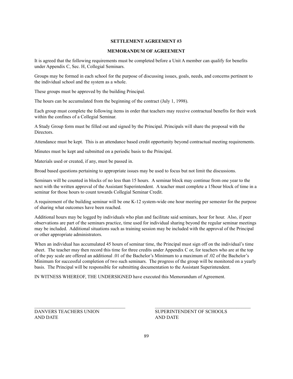## **MEMORANDUM OF AGREEMENT**

It is agreed that the following requirements must be completed before a Unit A member can qualify for benefits under Appendix C, Sec. H, Collegial Seminars.

Groups may be formed in each school for the purpose of discussing issues, goals, needs, and concerns pertinent to the individual school and the system as a whole.

These groups must be approved by the building Principal.

The hours can be accumulated from the beginning of the contract (July 1, 1998).

Each group must complete the following items in order that teachers may receive contractual benefits for their work within the confines of a Collegial Seminar.

A Study Group form must be filled out and signed by the Principal. Principals will share the proposal with the Directors.

Attendance must be kept. This is an attendance based credit opportunity beyond contractual meeting requirements.

Minutes must be kept and submitted on a periodic basis to the Principal.

Materials used or created, if any, must be passed in.

Broad based questions pertaining to appropriate issues may be used to focus but not limit the discussions.

Seminars will be counted in blocks of no less than 15 hours. A seminar block may continue from one year to the next with the written approval of the Assistant Superintendent. A teacher must complete a 15hour block of time in a seminar for those hours to count towards Collegial Seminar Credit.

A requirement of the building seminar will be one K-12 system-wide one hour meeting per semester for the purpose of sharing what outcomes have been reached.

Additional hours may be logged by individuals who plan and facilitate said seminars, hour for hour. Also, if peer observations are part of the seminars practice, time used for individual sharing beyond the regular seminar meetings may be included. Additional situations such as training session may be included with the approval of the Principal or other appropriate administrators.

When an individual has accumulated 45 hours of seminar time, the Principal must sign off on the individual's time sheet. The teacher may then record this time for three credits under Appendix C or, for teachers who are at the top of the pay scale are offered an additional .01 of the Bachelor's Minimum to a maximum of .02 of the Bachelor's Minimum for successful completion of two such seminars. The progress of the group will be monitored on a yearly basis. The Principal will be responsible for submitting documentation to the Assistant Superintendent.

IN WITNESS WHEREOF, THE UNDERSIGNED have executed this Memorandum of Agreement.

AND DATE AND DATE

DANVERS TEACHERS UNION SUPERINTENDENT OF SCHOOLS

 $\_$  , and the state of the state of the state of the state of the state of the state of the state of the state of the state of the state of the state of the state of the state of the state of the state of the state of the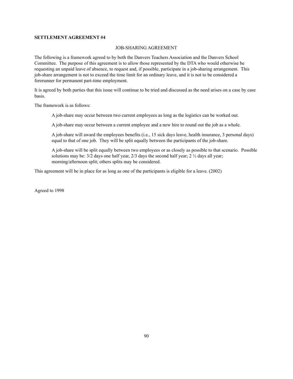#### JOB-SHARING AGREEMENT

The following is a framework agreed to by both the Danvers Teachers Association and the Danvers School Committee. The purpose of this agreement is to allow those represented by the DTA who would otherwise be requesting an unpaid leave of absence, to request and, if possible, participate in a job-sharing arrangement. This job-share arrangement is not to exceed the time limit for an ordinary leave, and it is not to be considered a forerunner for permanent part-time employment.

It is agreed by both parties that this issue will continue to be tried and discussed as the need arises on a case by case basis.

The framework is as follows:

A job-share may occur between two current employees as long as the logistics can be worked out.

A job-share may occur between a current employee and a new hire to round out the job as a whole.

A job-share will award the employees benefits (i.e., 15 sick days leave, health insurance, 3 personal days) equal to that of one job. They will be split equally between the participants of the job-share.

A job-share will be split equally between two employees or as closely as possible to that scenario. Possible solutions may be:  $3/2$  days one half year,  $2/3$  days the second half year;  $2\frac{1}{2}$  days all year; morning/afternoon split; others splits may be considered.

This agreement will be in place for as long as one of the participants is eligible for a leave. (2002)

Agreed to 1998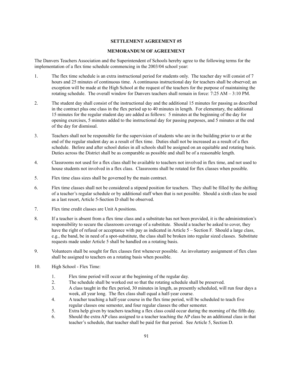#### **MEMORANDUM OF AGREEMENT**

The Danvers Teachers Association and the Superintendent of Schools hereby agree to the following terms for the implementation of a flex time schedule commencing in the 2003/04 school year:

- 1. The flex time schedule is an extra instructional period for students only. The teacher day will consist of 7 hours and 25 minutes of continuous time. A continuous instructional day for teachers shall be observed; an exception will be made at the High School at the request of the teachers for the purpose of maintaining the rotating schedule. The overall window for Danvers teachers shall remain in force: 7:25 AM – 3:10 PM.
- 2. The student day shall consist of the instructional day and the additional 15 minutes for passing as described in the contract plus one class in the flex period up to 40 minutes in length. For elementary, the additional 15 minutes for the regular student day are added as follows: 5 minutes at the beginning of the day for opening exercises, 5 minutes added to the instructional day for passing purposes, and 5 minutes at the end of the day for dismissal.
- 3. Teachers shall not be responsible for the supervision of students who are in the building prior to or at the end of the regular student day as a result of flex time. Duties shall not be increased as a result of a flex schedule. Before and after school duties in all schools shall be assigned on an equitable and rotating basis. Duties across the District shall be as comparable as possible and shall be of a reasonable length.
- 4. Classrooms not used for a flex class shall be available to teachers not involved in flex time, and not used to house students not involved in a flex class. Classrooms shall be rotated for flex classes when possible.
- 5. Flex time class sizes shall be governed by the main contract.
- 6. Flex time classes shall not be considered a stipend position for teachers. They shall be filled by the shifting of a teacher's regular schedule or by additional staff when that is not possible. Should a sixth class be used as a last resort, Article 5-Section D shall be observed.
- 7. Flex time credit classes are Unit A positions.
- 8. If a teacher is absent from a flex time class and a substitute has not been provided, it is the administration's responsibility to secure the classroom coverage of a substitute. Should a teacher be asked to cover, they have the right of refusal or acceptance with pay as indicated in Article 5 – Section F. Should a large class, e.g., the band, be in need of a spot-substitute, the class shall be broken into regular sized classes. Substitute requests made under Article 5 shall be handled on a rotating basis.
- 9. Volunteers shall be sought for flex classes first whenever possible. An involuntary assignment of flex class shall be assigned to teachers on a rotating basis when possible.
- 10. High School Flex Time:
	- 1. Flex time period will occur at the beginning of the regular day.
	- 2. The schedule shall be worked out so that the rotating schedule shall be preserved.
	- 3. A class taught in the flex period, 30 minutes in length, as presently scheduled, will run four days a week, all year long. The flex class shall equal a half-year course.
	- 4. A teacher teaching a half-year course in the flex time period, will be scheduled to teach five regular classes one semester, and four regular classes the other semester.
	- 5. Extra help given by teachers teaching a flex class could occur during the morning of the fifth day.
	- 6. Should the extra AP class assigned to a teacher teaching the AP class be an additional class in that teacher's schedule, that teacher shall be paid for that period. See Article 5, Section D.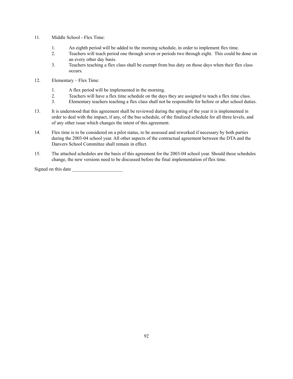- 11. Middle School Flex Time:
	- 1. An eighth period will be added to the morning schedule, in order to implement flex time.
	- 2. Teachers will teach period one through seven or periods two through eight. This could be done on an every other day basis.
	- 3. Teachers teaching a flex class shall be exempt from bus duty on those days when their flex class occurs.
- 12. Elementary Flex Time:
	- 1. A flex period will be implemented in the morning.
	- 2. Teachers will have a flex time schedule on the days they are assigned to teach a flex time class.
	- 3. Elementary teachers teaching a flex class shall not be responsible for before or after school duties.
- 13. It is understood that this agreement shall be reviewed during the spring of the year it is implemented in order to deal with the impact, if any, of the bus schedule, of the finalized schedule for all three levels, and of any other issue which changes the intent of this agreement.
- 14. Flex time is to be considered on a pilot status, to be assessed and reworked if necessary by both parties during the 2003-04 school year. All other aspects of the contractual agreement between the DTA and the Danvers School Committee shall remain in effect.
- 15. The attached schedules are the basis of this agreement for the 2003-04 school year. Should these schedules change, the new versions need to be discussed before the final implementation of flex time.

Signed on this date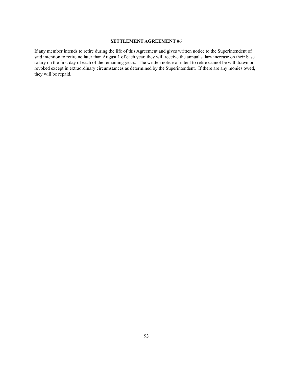If any member intends to retire during the life of this Agreement and gives written notice to the Superintendent of said intention to retire no later than August 1 of each year, they will receive the annual salary increase on their base salary on the first day of each of the remaining years. The written notice of intent to retire cannot be withdrawn or revoked except in extraordinary circumstances as determined by the Superintendent. If there are any monies owed, they will be repaid.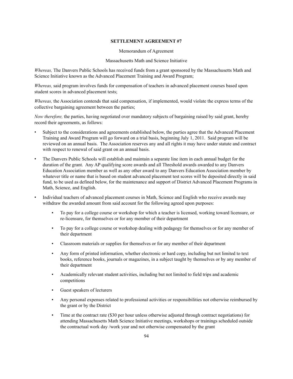#### Memorandum of Agreement

#### Massachusetts Math and Science Initiative

*Whereas,* The Danvers Public Schools has received funds from a grant sponsored by the Massachusetts Math and Science Initiative known as the Advanced Placement Training and Award Program;

*Whereas,* said program involves funds for compensation of teachers in advanced placement courses based upon student scores in advanced placement tests;

*Whereas,* the Association contends that said compensation, if implemented, would violate the express terms of the collective bargaining agreement between the parties;

*Now therefore,* the parties, having negotiated over mandatory subjects of bargaining raised by said grant, hereby record their agreements, as follows:

- Subject to the considerations and agreements established below, the parties agree that the Advanced Placement Training and Award Program will go forward on a trial basis, beginning July 1, 2011. Said program will be reviewed on an annual basis. The Association reserves any and all rights it may have under statute and contract with respect to renewal of said grant on an annual basis.
- The Danvers Public Schools will establish and maintain a separate line item in each annual budget for the duration of the grant. Any AP qualifying score awards and all Threshold awards awarded to any Danvers Education Association member as well as any other award to any Danvers Education Association member by whatever title or name that is based on student advanced placement test scores will be deposited directly in said fund, to be used as defined below, for the maintenance and support of District Advanced Placement Programs in Math, Science, and English.
- Individual teachers of advanced placement courses in Math, Science and English who receive awards may withdraw the awarded amount from said account for the following agreed upon purposes:
	- To pay for a college course or workshop for which a teacher is licensed, working toward licensure, or re-licensure, for themselves or for any member of their department
	- To pay for a college course or workshop dealing with pedagogy for themselves or for any member of their department
	- Classroom materials or supplies for themselves or for any member of their department
	- Any form of printed information, whether electronic or hard copy, including but not limited to text books, reference books, journals or magazines, in a subject taught by themselves or by any member of their department
	- Academically relevant student activities, including but not limited to field trips and academic competitions
	- Guest speakers of lecturers
	- Any personal expenses related to professional activities or responsibilities not otherwise reimbursed by the grant or by the District
	- Time at the contract rate (\$30 per hour unless otherwise adjusted through contract negotiations) for attending Massachusetts Math Science Initiative meetings, workshops or trainings scheduled outside the contractual work day /work year and not otherwise compensated by the grant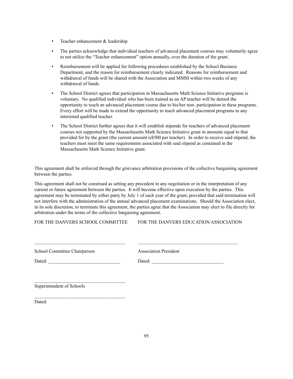- **•** Teacher enhancement & leadership
- The parties acknowledge that individual teachers of advanced placement courses may voluntarily agree to not utilize the "Teacher enhancement" option annually, over the duration of the grant.
- Reimbursement will be applied for following procedures established by the School Business Department, and the reason for reimbursement clearly indicated. Reasons for reimbursement and withdrawal of funds will be shared with the Association and MMSI within two weeks of any withdrawal of funds.
- The School District agrees that participation in Massachusetts Math Science Initiative programs is voluntary. No qualified individual who has been trained as an AP teacher will be denied the opportunity to teach an advanced placement course due to his/her non- participation in these programs. Every effort will be made to extend the opportunity to teach advanced placement programs to any interested qualified teacher.
- The School District further agrees that it will establish stipends for teachers of advanced placement courses not supported by the Massachusetts Math Science Initiative grant in amounts equal to that provided for by the grant (the current amount is\$500 per teacher). In order to receive said stipend, the teachers must meet the same requirements associated with said stipend as contained in the Massachusetts Math Science Initiative grant.

This agreement shall be enforced through the grievance arbitration provisions of the collective bargaining agreement between the parties.

This agreement shall not be construed as setting any precedent in any negotiation or in the interpretation of any current or future agreement between the parties. It will become effective upon execution by the parties. This agreement may be terminated by either party by July 1 of each year of the grant, provided that said termination will not interfere with the administration of the annual advanced placement examinations. Should the Association elect, in its sole discretion, to terminate this agreement, the parties agree that the Association may elect to file directly for arbitration under the terms of the collective bargaining agreement.

 $\mathcal{L}_\text{max}$  and  $\mathcal{L}_\text{max}$  and  $\mathcal{L}_\text{max}$  and  $\mathcal{L}_\text{max}$ 

FOR THE DANVERS SCHOOL COMMITTEE FOR THE DANVERS EDUCATION ASSOCIATION

Superintendent of Schools

Dated: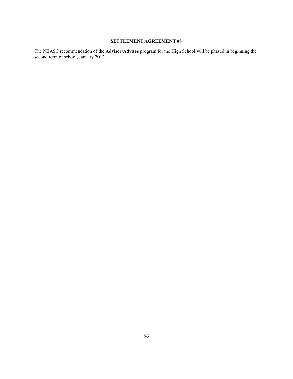The NEASC recommendation of the **Advisor/Advisee** program for the High School will be phased in beginning the second term of school, January 2012.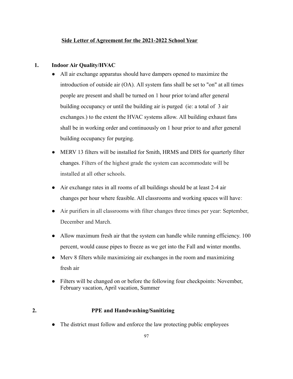# **Side Letter of Agreement for the 2021-2022 School Year**

# **1. Indoor Air Quality/HVAC**

- All air exchange apparatus should have dampers opened to maximize the introduction of outside air (OA). All system fans shall be set to "on" at all times people are present and shall be turned on 1 hour prior to/and after general building occupancy or until the building air is purged (ie: a total of 3 air exchanges.) to the extent the HVAC systems allow. All building exhaust fans shall be in working order and continuously on 1 hour prior to and after general building occupancy for purging.
- MERV 13 filters will be installed for Smith, HRMS and DHS for quarterly filter changes. Filters of the highest grade the system can accommodate will be installed at all other schools.
- Air exchange rates in all rooms of all buildings should be at least 2-4 air changes per hour where feasible. All classrooms and working spaces will have:
- Air purifiers in all classrooms with filter changes three times per year: September, December and March.
- Allow maximum fresh air that the system can handle while running efficiency. 100 percent, would cause pipes to freeze as we get into the Fall and winter months.
- Merv 8 filters while maximizing air exchanges in the room and maximizing fresh air
- Filters will be changed on or before the following four checkpoints: November, February vacation, April vacation, Summer

# **2. PPE and Handwashing/Sanitizing**

• The district must follow and enforce the law protecting public employees